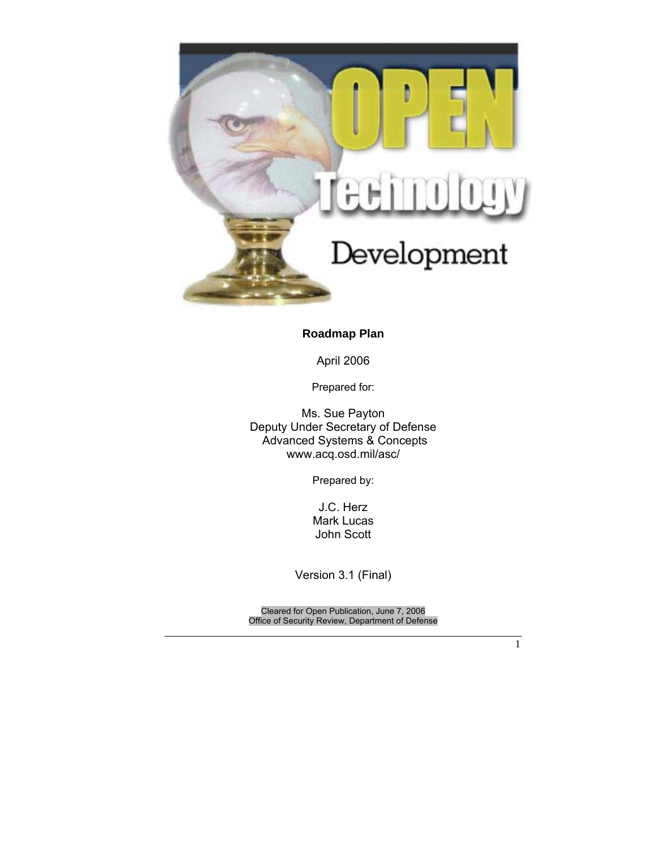

# **Roadmap Plan**

April 2006

Prepared for:

Ms. Sue Payton Deputy Under Secretary of Defense Advanced Systems & Concepts www.acq.osd.mil/asc/

Prepared by:

J.C. Herz Mark Lucas John Scott

Version 3.1 (Final)

Cleared for Open Publication, June 7, 2006 Office of Security Review, Department of Defense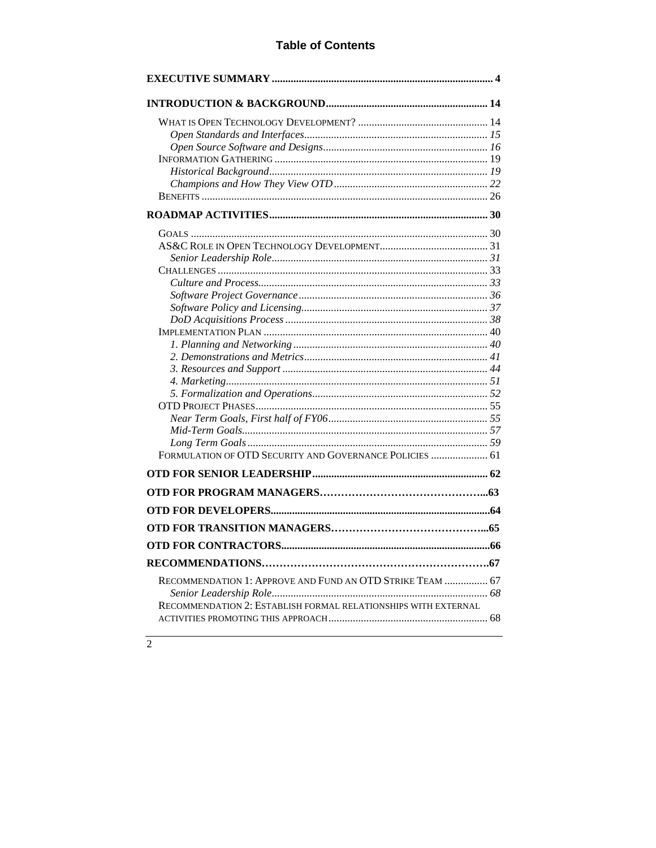# **Table of Contents**

| FORMULATION OF OTD SECURITY AND GOVERNANCE POLICIES  61        |  |
|----------------------------------------------------------------|--|
|                                                                |  |
|                                                                |  |
|                                                                |  |
|                                                                |  |
|                                                                |  |
|                                                                |  |
|                                                                |  |
| RECOMMENDATION 1: APPROVE AND FUND AN OTD STRIKE TEAM  67      |  |
|                                                                |  |
| RECOMMENDATION 2: ESTABLISH FORMAL RELATIONSHIPS WITH EXTERNAL |  |
|                                                                |  |

# $\overline{2}$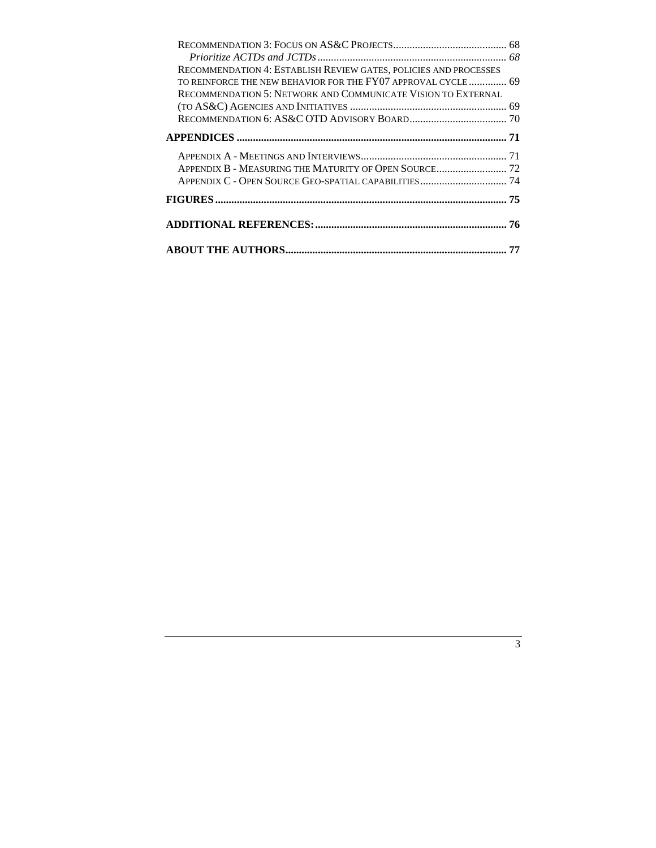| RECOMMENDATION 4: ESTABLISH REVIEW GATES, POLICIES AND PROCESSES    |  |
|---------------------------------------------------------------------|--|
| TO REINFORCE THE NEW BEHAVIOR FOR THE FY07 APPROVAL CYCLE  69       |  |
| <b>RECOMMENDATION 5: NETWORK AND COMMUNICATE VISION TO EXTERNAL</b> |  |
|                                                                     |  |
|                                                                     |  |
|                                                                     |  |
|                                                                     |  |
|                                                                     |  |
|                                                                     |  |
|                                                                     |  |
|                                                                     |  |
|                                                                     |  |
|                                                                     |  |
|                                                                     |  |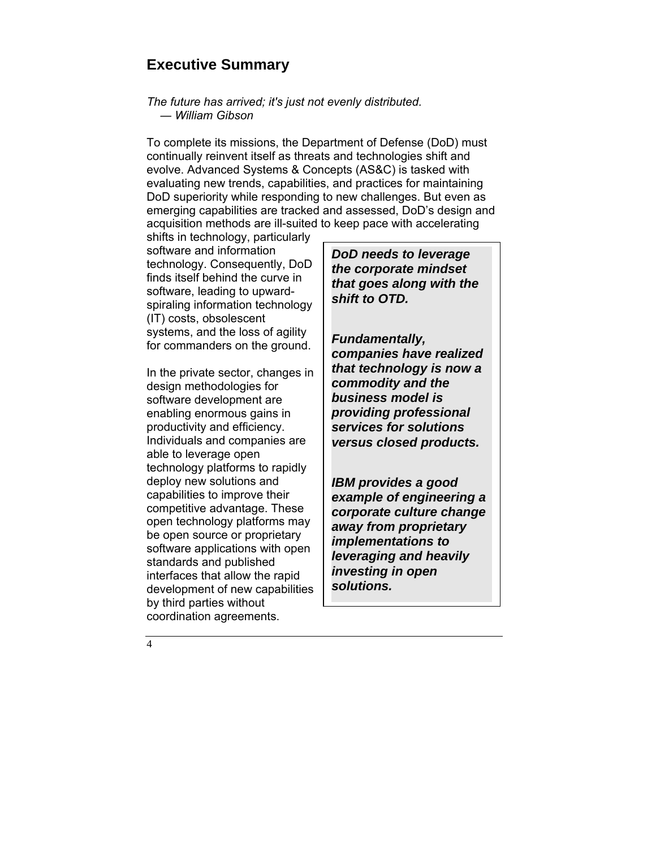# **Executive Summary**

#### *The future has arrived; it's just not evenly distributed. ― William Gibson*

To complete its missions, the Department of Defense (DoD) must continually reinvent itself as threats and technologies shift and evolve. Advanced Systems & Concepts (AS&C) is tasked with evaluating new trends, capabilities, and practices for maintaining DoD superiority while responding to new challenges. But even as emerging capabilities are tracked and assessed, DoD's design and acquisition methods are ill-suited to keep pace with accelerating

shifts in technology, particularly software and information technology. Consequently, DoD finds itself behind the curve in software, leading to upwardspiraling information technology (IT) costs, obsolescent systems, and the loss of agility for commanders on the ground.

In the private sector, changes in design methodologies for software development are enabling enormous gains in productivity and efficiency. Individuals and companies are able to leverage open technology platforms to rapidly deploy new solutions and capabilities to improve their competitive advantage. These open technology platforms may be open source or proprietary software applications with open standards and published interfaces that allow the rapid development of new capabilities by third parties without coordination agreements.

*DoD needs to leverage the corporate mindset that goes along with the shift to OTD.* 

*Fundamentally, companies have realized that technology is now a commodity and the business model is providing professional services for solutions versus closed products.* 

*IBM provides a good example of engineering a corporate culture change away from proprietary implementations to leveraging and heavily investing in open solutions.* 

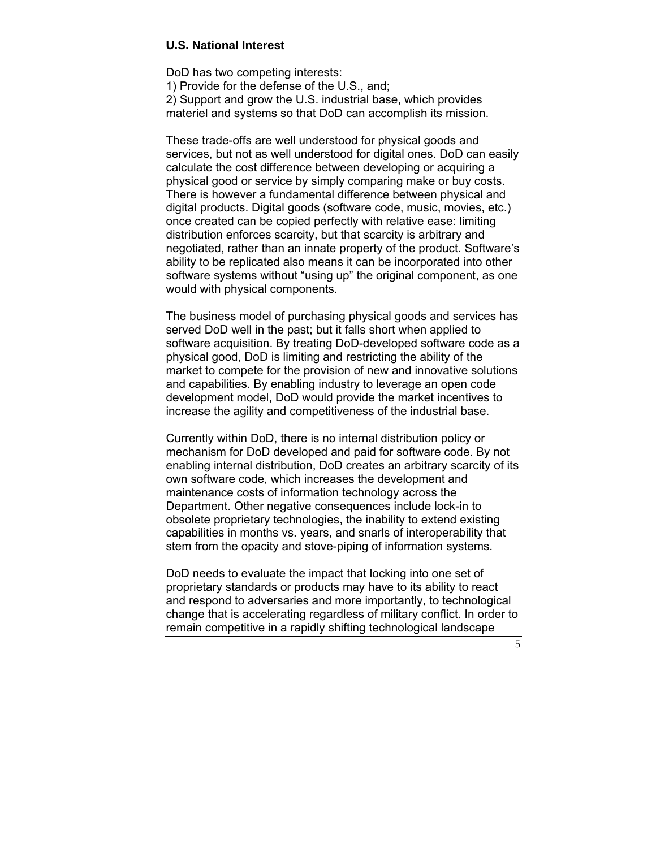#### **U.S. National Interest**

DoD has two competing interests:

1) Provide for the defense of the U.S., and; 2) Support and grow the U.S. industrial base, which provides materiel and systems so that DoD can accomplish its mission.

These trade-offs are well understood for physical goods and services, but not as well understood for digital ones. DoD can easily calculate the cost difference between developing or acquiring a physical good or service by simply comparing make or buy costs. There is however a fundamental difference between physical and digital products. Digital goods (software code, music, movies, etc.) once created can be copied perfectly with relative ease: limiting distribution enforces scarcity, but that scarcity is arbitrary and negotiated, rather than an innate property of the product. Software's ability to be replicated also means it can be incorporated into other software systems without "using up" the original component, as one would with physical components.

The business model of purchasing physical goods and services has served DoD well in the past; but it falls short when applied to software acquisition. By treating DoD-developed software code as a physical good, DoD is limiting and restricting the ability of the market to compete for the provision of new and innovative solutions and capabilities. By enabling industry to leverage an open code development model, DoD would provide the market incentives to increase the agility and competitiveness of the industrial base.

Currently within DoD, there is no internal distribution policy or mechanism for DoD developed and paid for software code. By not enabling internal distribution, DoD creates an arbitrary scarcity of its own software code, which increases the development and maintenance costs of information technology across the Department. Other negative consequences include lock-in to obsolete proprietary technologies, the inability to extend existing capabilities in months vs. years, and snarls of interoperability that stem from the opacity and stove-piping of information systems.

DoD needs to evaluate the impact that locking into one set of proprietary standards or products may have to its ability to react and respond to adversaries and more importantly, to technological change that is accelerating regardless of military conflict. In order to remain competitive in a rapidly shifting technological landscape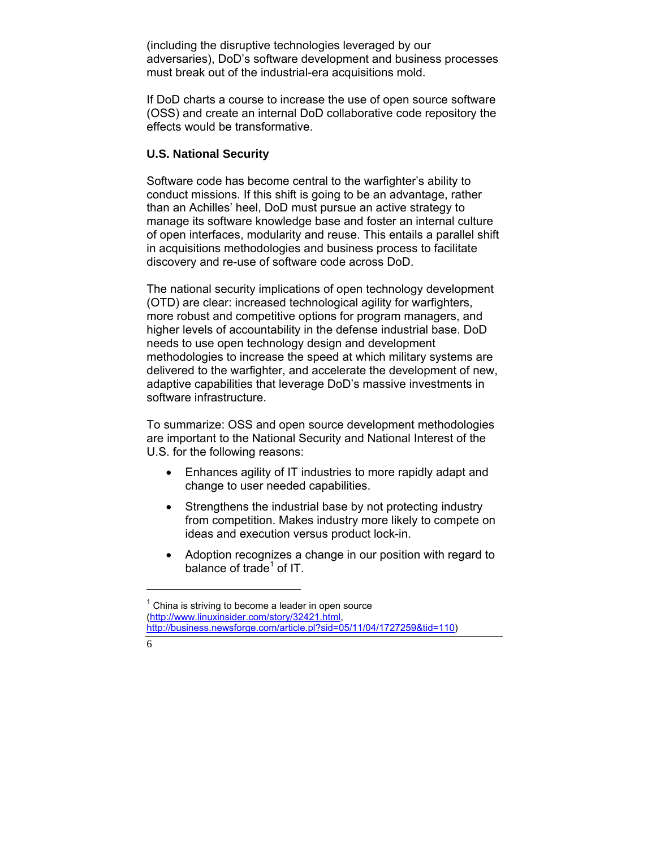(including the disruptive technologies leveraged by our adversaries), DoD's software development and business processes must break out of the industrial-era acquisitions mold.

If DoD charts a course to increase the use of open source software (OSS) and create an internal DoD collaborative code repository the effects would be transformative.

## **U.S. National Security**

Software code has become central to the warfighter's ability to conduct missions. If this shift is going to be an advantage, rather than an Achilles' heel, DoD must pursue an active strategy to manage its software knowledge base and foster an internal culture of open interfaces, modularity and reuse. This entails a parallel shift in acquisitions methodologies and business process to facilitate discovery and re-use of software code across DoD.

The national security implications of open technology development (OTD) are clear: increased technological agility for warfighters, more robust and competitive options for program managers, and higher levels of accountability in the defense industrial base. DoD needs to use open technology design and development methodologies to increase the speed at which military systems are delivered to the warfighter, and accelerate the development of new, adaptive capabilities that leverage DoD's massive investments in software infrastructure.

To summarize: OSS and open source development methodologies are important to the National Security and National Interest of the U.S. for the following reasons:

- Enhances agility of IT industries to more rapidly adapt and change to user needed capabilities.
- Strengthens the industrial base by not protecting industry from competition. Makes industry more likely to compete on ideas and execution versus product lock-in.
- Adoption recognizes a change in our position with regard to balance of trade<sup>1</sup> of IT.

 $1$  China is striving to become a leader in open source (http://www.linuxinsider.com/story/32421.html, http://business.newsforge.com/article.pl?sid=05/11/04/1727259&tid=110)

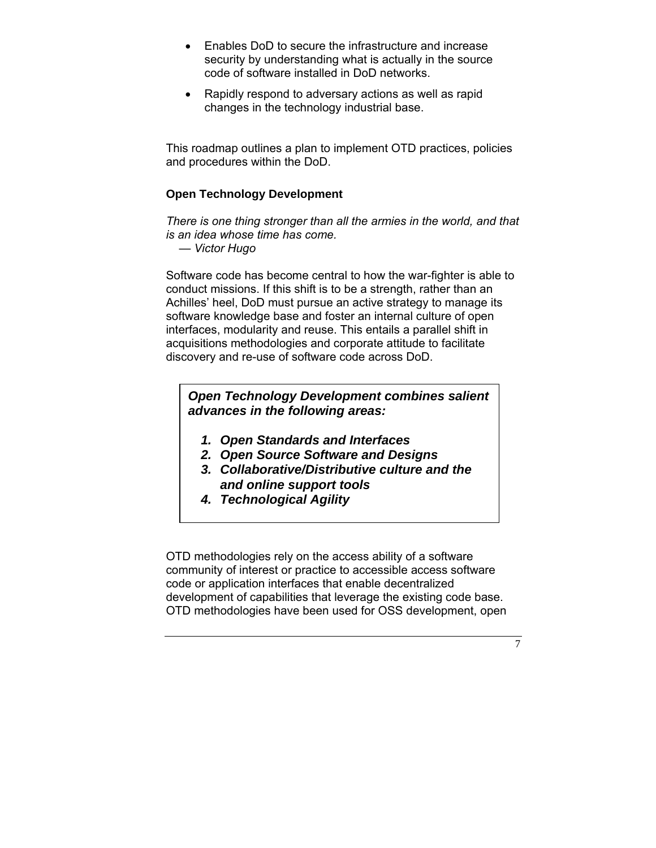- Enables DoD to secure the infrastructure and increase security by understanding what is actually in the source code of software installed in DoD networks.
- Rapidly respond to adversary actions as well as rapid changes in the technology industrial base.

This roadmap outlines a plan to implement OTD practices, policies and procedures within the DoD.

# **Open Technology Development**

*There is one thing stronger than all the armies in the world, and that is an idea whose time has come.* 

 *— Victor Hugo* 

Software code has become central to how the war-fighter is able to conduct missions. If this shift is to be a strength, rather than an Achilles' heel, DoD must pursue an active strategy to manage its software knowledge base and foster an internal culture of open interfaces, modularity and reuse. This entails a parallel shift in acquisitions methodologies and corporate attitude to facilitate discovery and re-use of software code across DoD.

# *Open Technology Development combines salient advances in the following areas:*

- *1. Open Standards and Interfaces*
- *2. Open Source Software and Designs*
- *3. Collaborative/Distributive culture and the and online support tools*
- *4. Technological Agility*

OTD methodologies rely on the access ability of a software community of interest or practice to accessible access software code or application interfaces that enable decentralized development of capabilities that leverage the existing code base. OTD methodologies have been used for OSS development, open

 $\overline{7}$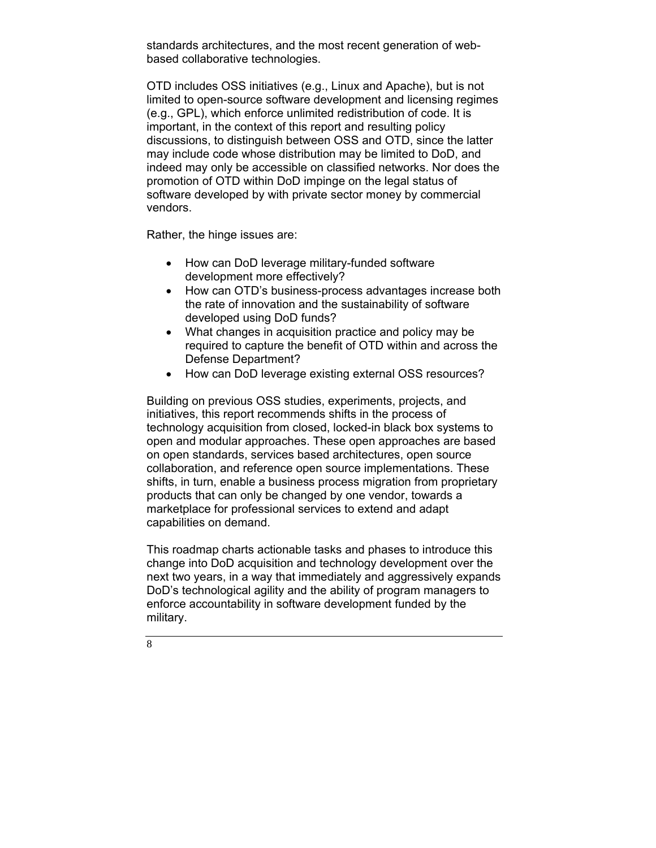standards architectures, and the most recent generation of webbased collaborative technologies.

OTD includes OSS initiatives (e.g., Linux and Apache), but is not limited to open-source software development and licensing regimes (e.g., GPL), which enforce unlimited redistribution of code. It is important, in the context of this report and resulting policy discussions, to distinguish between OSS and OTD, since the latter may include code whose distribution may be limited to DoD, and indeed may only be accessible on classified networks. Nor does the promotion of OTD within DoD impinge on the legal status of software developed by with private sector money by commercial vendors.

Rather, the hinge issues are:

- How can DoD leverage military-funded software development more effectively?
- How can OTD's business-process advantages increase both the rate of innovation and the sustainability of software developed using DoD funds?
- What changes in acquisition practice and policy may be required to capture the benefit of OTD within and across the Defense Department?
- How can DoD leverage existing external OSS resources?

Building on previous OSS studies, experiments, projects, and initiatives, this report recommends shifts in the process of technology acquisition from closed, locked-in black box systems to open and modular approaches. These open approaches are based on open standards, services based architectures, open source collaboration, and reference open source implementations. These shifts, in turn, enable a business process migration from proprietary products that can only be changed by one vendor, towards a marketplace for professional services to extend and adapt capabilities on demand.

This roadmap charts actionable tasks and phases to introduce this change into DoD acquisition and technology development over the next two years, in a way that immediately and aggressively expands DoD's technological agility and the ability of program managers to enforce accountability in software development funded by the military.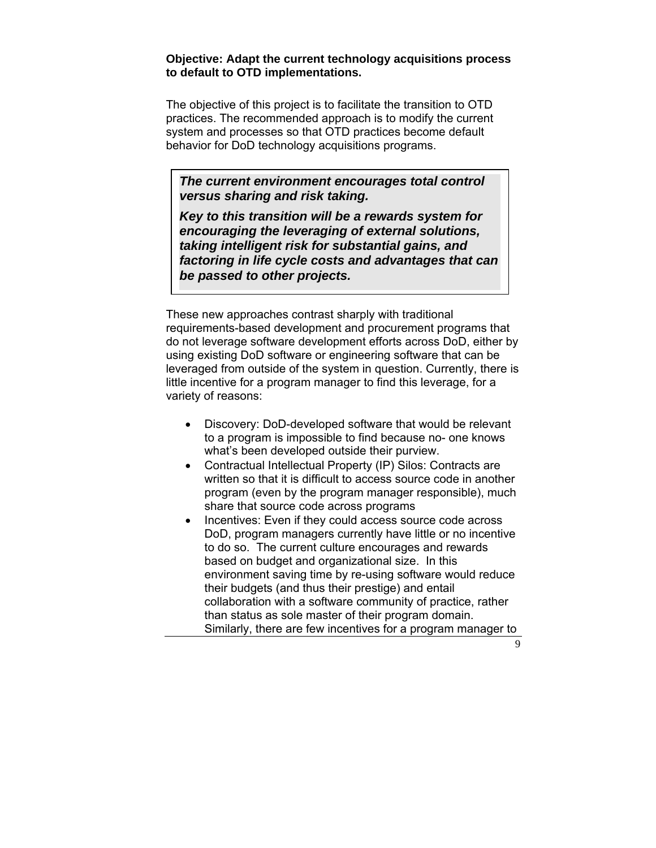#### **Objective: Adapt the current technology acquisitions process to default to OTD implementations.**

The objective of this project is to facilitate the transition to OTD practices. The recommended approach is to modify the current system and processes so that OTD practices become default behavior for DoD technology acquisitions programs.

*The current environment encourages total control versus sharing and risk taking.* 

*Key to this transition will be a rewards system for encouraging the leveraging of external solutions, taking intelligent risk for substantial gains, and factoring in life cycle costs and advantages that can be passed to other projects.* 

These new approaches contrast sharply with traditional requirements-based development and procurement programs that do not leverage software development efforts across DoD, either by using existing DoD software or engineering software that can be leveraged from outside of the system in question. Currently, there is little incentive for a program manager to find this leverage, for a variety of reasons:

- Discovery: DoD-developed software that would be relevant to a program is impossible to find because no- one knows what's been developed outside their purview.
- Contractual Intellectual Property (IP) Silos: Contracts are written so that it is difficult to access source code in another program (even by the program manager responsible), much share that source code across programs
- Incentives: Even if they could access source code across DoD, program managers currently have little or no incentive to do so. The current culture encourages and rewards based on budget and organizational size. In this environment saving time by re-using software would reduce their budgets (and thus their prestige) and entail collaboration with a software community of practice, rather than status as sole master of their program domain. Similarly, there are few incentives for a program manager to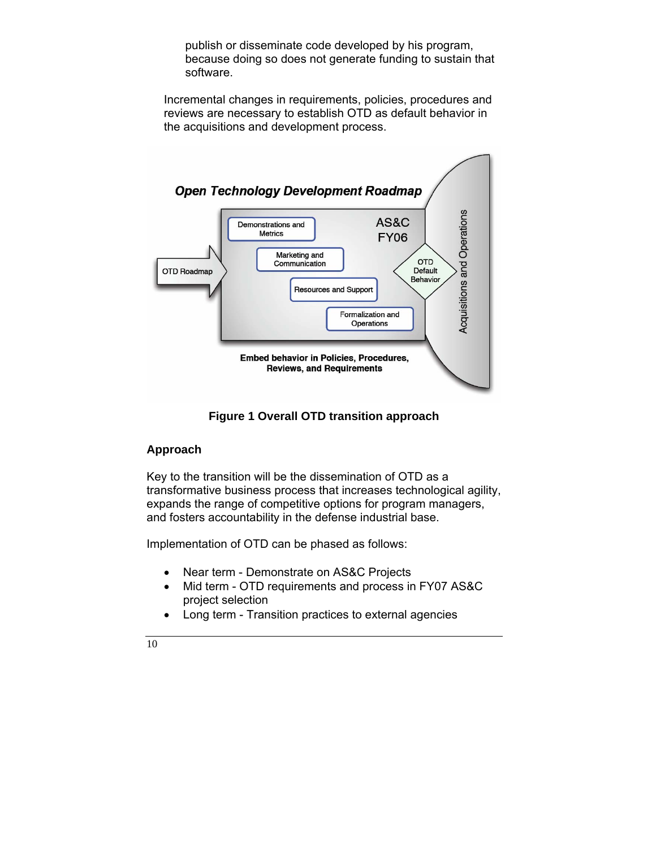publish or disseminate code developed by his program, because doing so does not generate funding to sustain that software.

Incremental changes in requirements, policies, procedures and reviews are necessary to establish OTD as default behavior in the acquisitions and development process.



# **Figure 1 Overall OTD transition approach**

# **Approach**

Key to the transition will be the dissemination of OTD as a transformative business process that increases technological agility, expands the range of competitive options for program managers, and fosters accountability in the defense industrial base.

Implementation of OTD can be phased as follows:

- Near term Demonstrate on AS&C Projects
- Mid term OTD requirements and process in FY07 AS&C project selection
- Long term Transition practices to external agencies

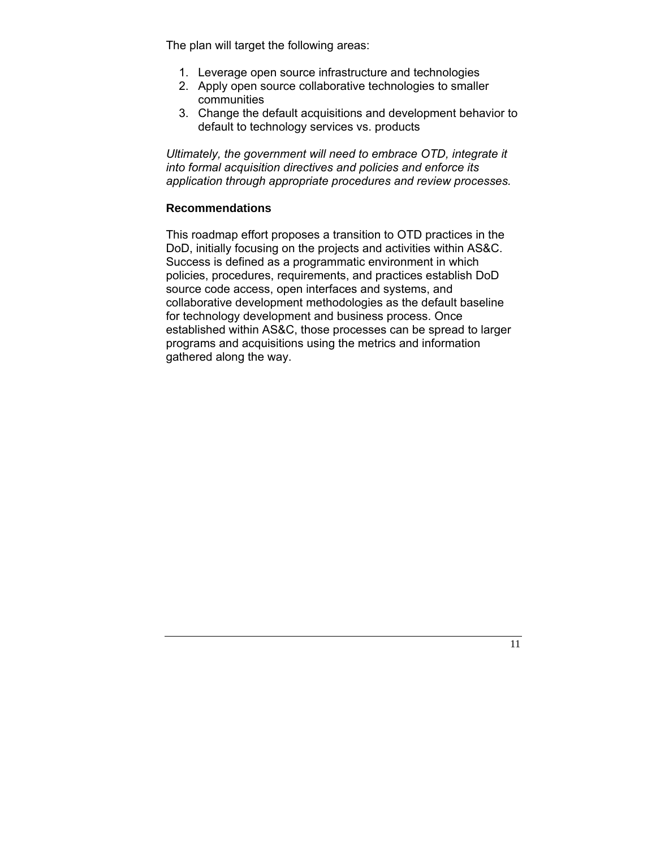The plan will target the following areas:

- 1. Leverage open source infrastructure and technologies
- 2. Apply open source collaborative technologies to smaller communities
- 3. Change the default acquisitions and development behavior to default to technology services vs. products

*Ultimately, the government will need to embrace OTD, integrate it into formal acquisition directives and policies and enforce its application through appropriate procedures and review processes.* 

# **Recommendations**

This roadmap effort proposes a transition to OTD practices in the DoD, initially focusing on the projects and activities within AS&C. Success is defined as a programmatic environment in which policies, procedures, requirements, and practices establish DoD source code access, open interfaces and systems, and collaborative development methodologies as the default baseline for technology development and business process. Once established within AS&C, those processes can be spread to larger programs and acquisitions using the metrics and information gathered along the way.

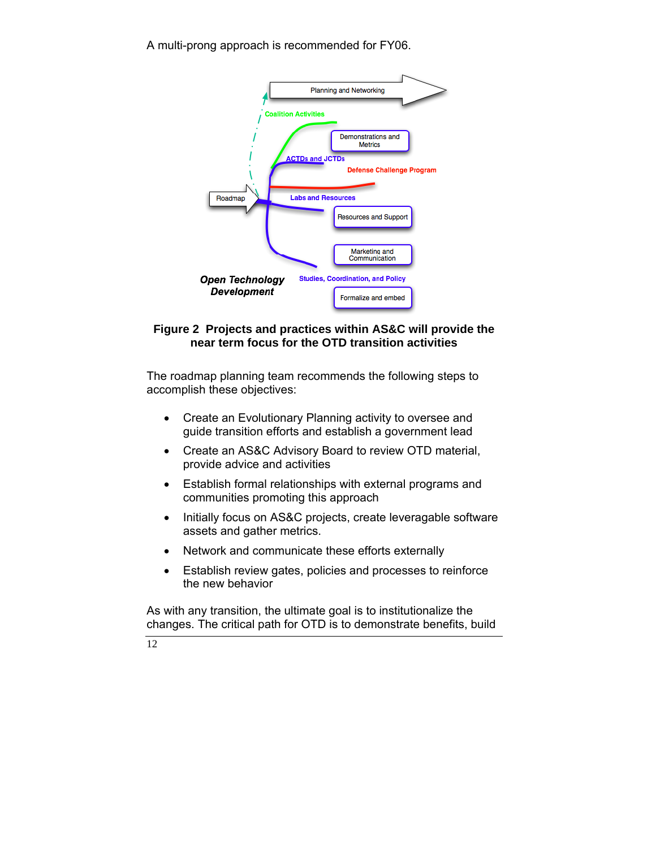A multi-prong approach is recommended for FY06.



# **Figure 2 Projects and practices within AS&C will provide the near term focus for the OTD transition activities**

The roadmap planning team recommends the following steps to accomplish these objectives:

- Create an Evolutionary Planning activity to oversee and guide transition efforts and establish a government lead
- Create an AS&C Advisory Board to review OTD material, provide advice and activities
- Establish formal relationships with external programs and communities promoting this approach
- Initially focus on AS&C projects, create leveragable software assets and gather metrics.
- Network and communicate these efforts externally
- Establish review gates, policies and processes to reinforce the new behavior

As with any transition, the ultimate goal is to institutionalize the changes. The critical path for OTD is to demonstrate benefits, build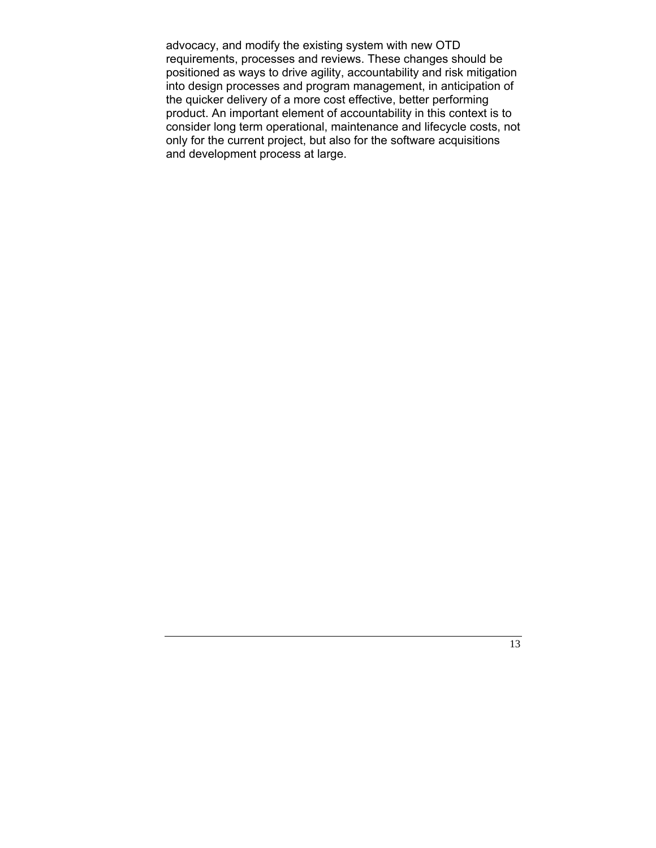advocacy, and modify the existing system with new OTD requirements, processes and reviews. These changes should be positioned as ways to drive agility, accountability and risk mitigation into design processes and program management, in anticipation of the quicker delivery of a more cost effective, better performing product. An important element of accountability in this context is to consider long term operational, maintenance and lifecycle costs, not only for the current project, but also for the software acquisitions and development process at large.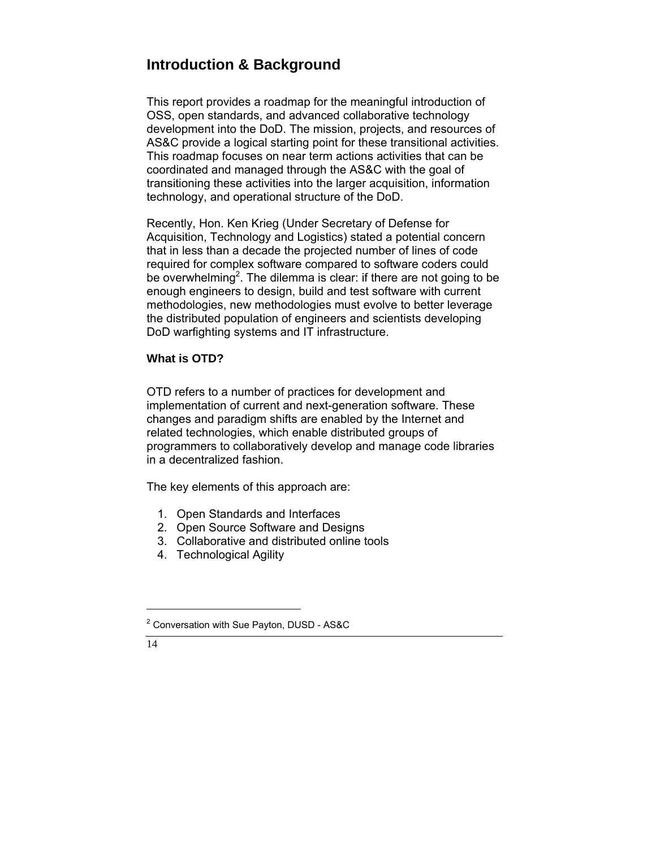# **Introduction & Background**

This report provides a roadmap for the meaningful introduction of OSS, open standards, and advanced collaborative technology development into the DoD. The mission, projects, and resources of AS&C provide a logical starting point for these transitional activities. This roadmap focuses on near term actions activities that can be coordinated and managed through the AS&C with the goal of transitioning these activities into the larger acquisition, information technology, and operational structure of the DoD.

Recently, Hon. Ken Krieg (Under Secretary of Defense for Acquisition, Technology and Logistics) stated a potential concern that in less than a decade the projected number of lines of code required for complex software compared to software coders could be overwhelming<sup>2</sup>. The dilemma is clear: if there are not going to be enough engineers to design, build and test software with current methodologies, new methodologies must evolve to better leverage the distributed population of engineers and scientists developing DoD warfighting systems and IT infrastructure.

# **What is OTD?**

OTD refers to a number of practices for development and implementation of current and next-generation software. These changes and paradigm shifts are enabled by the Internet and related technologies, which enable distributed groups of programmers to collaboratively develop and manage code libraries in a decentralized fashion.

The key elements of this approach are:

- 1. Open Standards and Interfaces
- 2. Open Source Software and Designs
- 3. Collaborative and distributed online tools
- 4. Technological Agility

<sup>&</sup>lt;sup>2</sup> Conversation with Sue Payton, DUSD - AS&C

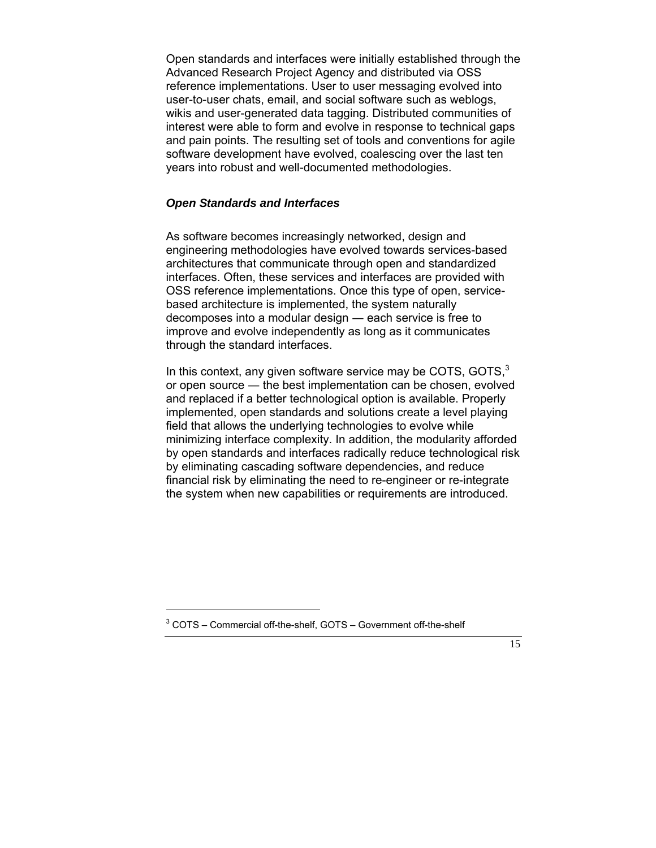Open standards and interfaces were initially established through the Advanced Research Project Agency and distributed via OSS reference implementations. User to user messaging evolved into user-to-user chats, email, and social software such as weblogs, wikis and user-generated data tagging. Distributed communities of interest were able to form and evolve in response to technical gaps and pain points. The resulting set of tools and conventions for agile software development have evolved, coalescing over the last ten years into robust and well-documented methodologies.

# *Open Standards and Interfaces*

As software becomes increasingly networked, design and engineering methodologies have evolved towards services-based architectures that communicate through open and standardized interfaces. Often, these services and interfaces are provided with OSS reference implementations. Once this type of open, servicebased architecture is implemented, the system naturally decomposes into a modular design ― each service is free to improve and evolve independently as long as it communicates through the standard interfaces.

In this context, any given software service may be COTS, GOTS, $3$ or open source ― the best implementation can be chosen, evolved and replaced if a better technological option is available. Properly implemented, open standards and solutions create a level playing field that allows the underlying technologies to evolve while minimizing interface complexity. In addition, the modularity afforded by open standards and interfaces radically reduce technological risk by eliminating cascading software dependencies, and reduce financial risk by eliminating the need to re-engineer or re-integrate the system when new capabilities or requirements are introduced.

 $3$  COTS – Commercial off-the-shelf, GOTS – Government off-the-shelf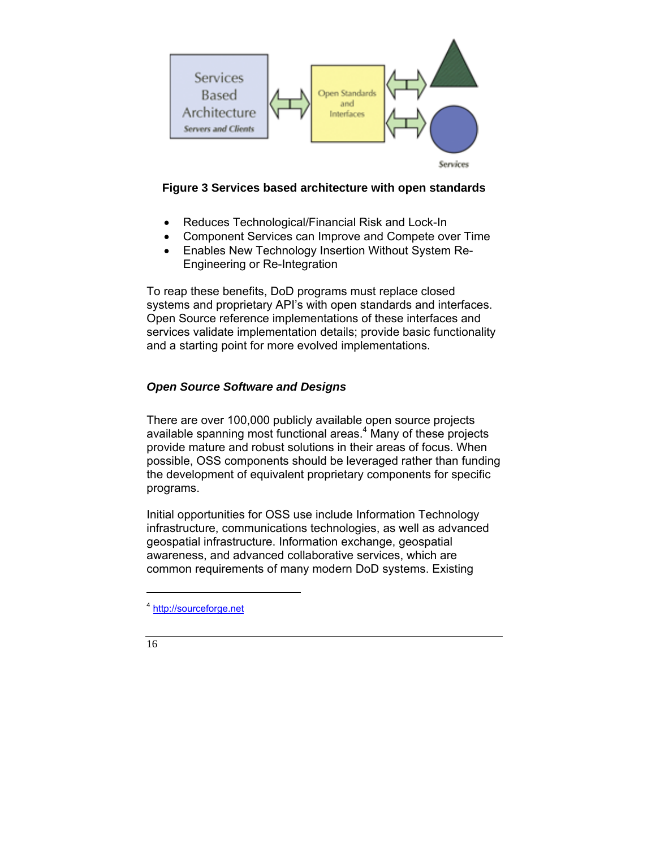

# **Figure 3 Services based architecture with open standards**

- Reduces Technological/Financial Risk and Lock-In
- Component Services can Improve and Compete over Time
- Enables New Technology Insertion Without System Re-Engineering or Re-Integration

To reap these benefits, DoD programs must replace closed systems and proprietary API's with open standards and interfaces. Open Source reference implementations of these interfaces and services validate implementation details; provide basic functionality and a starting point for more evolved implementations.

# *Open Source Software and Designs*

There are over 100,000 publicly available open source projects available spanning most functional areas.<sup>4</sup> Many of these projects provide mature and robust solutions in their areas of focus. When possible, OSS components should be leveraged rather than funding the development of equivalent proprietary components for specific programs.

Initial opportunities for OSS use include Information Technology infrastructure, communications technologies, as well as advanced geospatial infrastructure. Information exchange, geospatial awareness, and advanced collaborative services, which are common requirements of many modern DoD systems. Existing

16

<sup>4</sup> http://sourceforge.net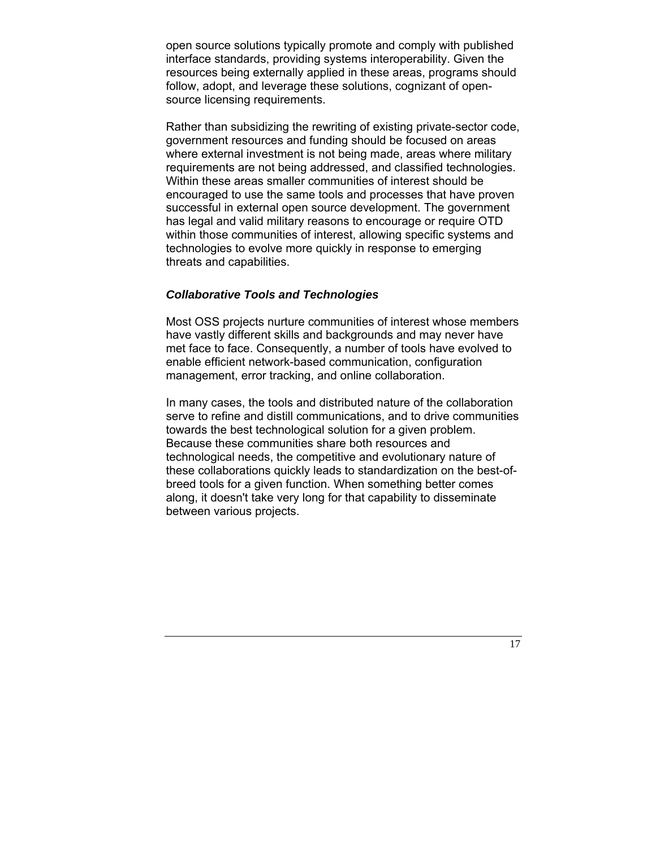open source solutions typically promote and comply with published interface standards, providing systems interoperability. Given the resources being externally applied in these areas, programs should follow, adopt, and leverage these solutions, cognizant of opensource licensing requirements.

Rather than subsidizing the rewriting of existing private-sector code, government resources and funding should be focused on areas where external investment is not being made, areas where military requirements are not being addressed, and classified technologies. Within these areas smaller communities of interest should be encouraged to use the same tools and processes that have proven successful in external open source development. The government has legal and valid military reasons to encourage or require OTD within those communities of interest, allowing specific systems and technologies to evolve more quickly in response to emerging threats and capabilities.

## *Collaborative Tools and Technologies*

Most OSS projects nurture communities of interest whose members have vastly different skills and backgrounds and may never have met face to face. Consequently, a number of tools have evolved to enable efficient network-based communication, configuration management, error tracking, and online collaboration.

In many cases, the tools and distributed nature of the collaboration serve to refine and distill communications, and to drive communities towards the best technological solution for a given problem. Because these communities share both resources and technological needs, the competitive and evolutionary nature of these collaborations quickly leads to standardization on the best-ofbreed tools for a given function. When something better comes along, it doesn't take very long for that capability to disseminate between various projects.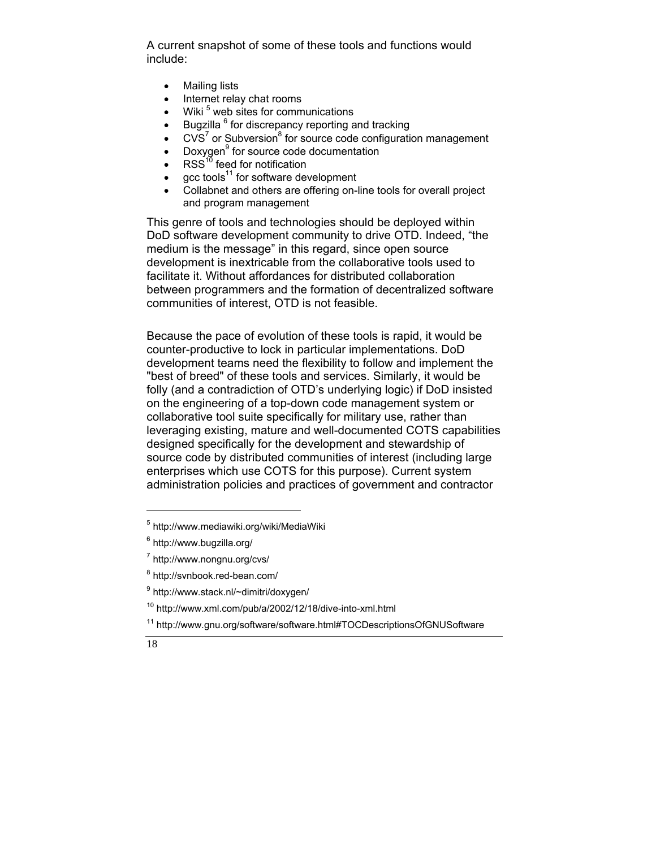A current snapshot of some of these tools and functions would include:

- Mailing lists
- Internet relay chat rooms
- $\bullet$  Wiki<sup>5</sup> web sites for communications
- $\bullet$  Bugzilla  $^6$  for discrepancy reporting and tracking
- $\bullet$  CVS<sup>7</sup> or Subversion<sup>8</sup> for source code configuration management
- Doxygen<sup>9</sup> for source code documentation
- $RSS^{10}$  feed for notification
- $qcc$  tools<sup>11</sup> for software development
- Collabnet and others are offering on-line tools for overall project and program management

This genre of tools and technologies should be deployed within DoD software development community to drive OTD. Indeed, "the medium is the message" in this regard, since open source development is inextricable from the collaborative tools used to facilitate it. Without affordances for distributed collaboration between programmers and the formation of decentralized software communities of interest, OTD is not feasible.

Because the pace of evolution of these tools is rapid, it would be counter-productive to lock in particular implementations. DoD development teams need the flexibility to follow and implement the "best of breed" of these tools and services. Similarly, it would be folly (and a contradiction of OTD's underlying logic) if DoD insisted on the engineering of a top-down code management system or collaborative tool suite specifically for military use, rather than leveraging existing, mature and well-documented COTS capabilities designed specifically for the development and stewardship of source code by distributed communities of interest (including large enterprises which use COTS for this purpose). Current system administration policies and practices of government and contractor

- 10 http://www.xml.com/pub/a/2002/12/18/dive-into-xml.html
- 11 http://www.gnu.org/software/software.html#TOCDescriptionsOfGNUSoftware



<sup>5</sup> http://www.mediawiki.org/wiki/MediaWiki

<sup>&</sup>lt;sup>6</sup> http://www.bugzilla.org/

<sup>&</sup>lt;sup>7</sup> http://www.nongnu.org/cvs/

<sup>&</sup>lt;sup>8</sup> http://svnbook.red-bean.com/

<sup>&</sup>lt;sup>9</sup> http://www.stack.nl/~dimitri/doxygen/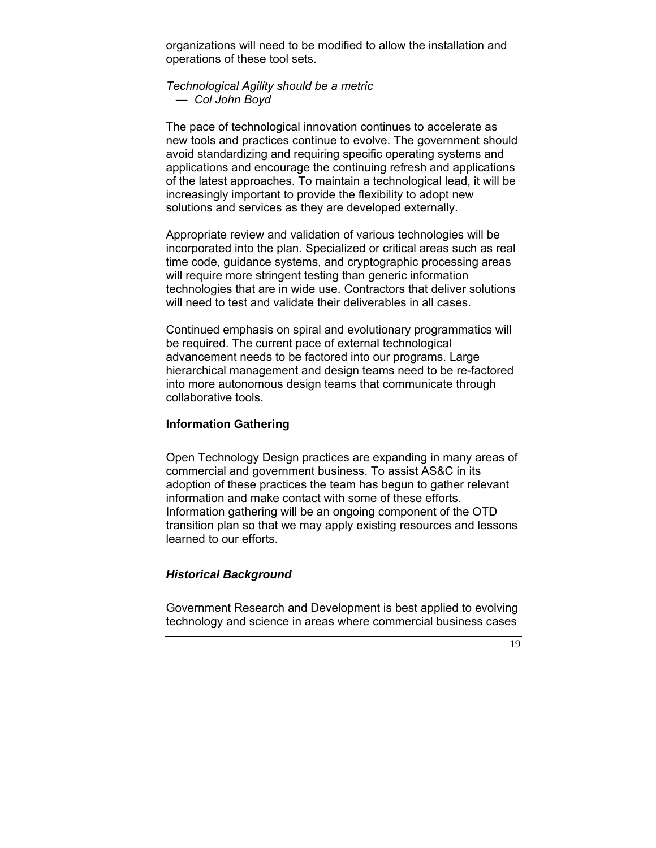organizations will need to be modified to allow the installation and operations of these tool sets.

## *Technological Agility should be a metric — Col John Boyd*

The pace of technological innovation continues to accelerate as new tools and practices continue to evolve. The government should avoid standardizing and requiring specific operating systems and applications and encourage the continuing refresh and applications of the latest approaches. To maintain a technological lead, it will be increasingly important to provide the flexibility to adopt new solutions and services as they are developed externally.

Appropriate review and validation of various technologies will be incorporated into the plan. Specialized or critical areas such as real time code, guidance systems, and cryptographic processing areas will require more stringent testing than generic information technologies that are in wide use. Contractors that deliver solutions will need to test and validate their deliverables in all cases.

Continued emphasis on spiral and evolutionary programmatics will be required. The current pace of external technological advancement needs to be factored into our programs. Large hierarchical management and design teams need to be re-factored into more autonomous design teams that communicate through collaborative tools.

## **Information Gathering**

Open Technology Design practices are expanding in many areas of commercial and government business. To assist AS&C in its adoption of these practices the team has begun to gather relevant information and make contact with some of these efforts. Information gathering will be an ongoing component of the OTD transition plan so that we may apply existing resources and lessons learned to our efforts.

# *Historical Background*

Government Research and Development is best applied to evolving technology and science in areas where commercial business cases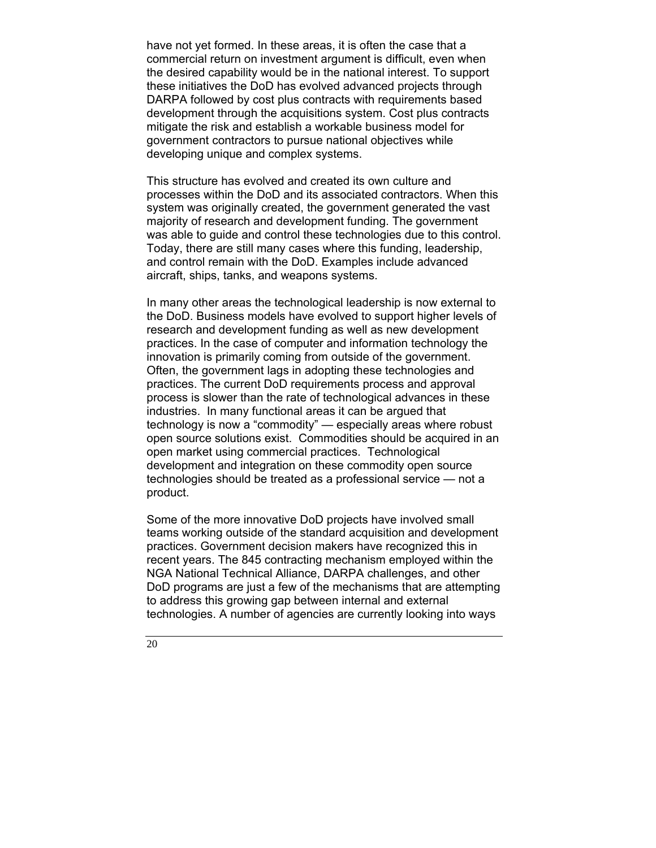have not yet formed. In these areas, it is often the case that a commercial return on investment argument is difficult, even when the desired capability would be in the national interest. To support these initiatives the DoD has evolved advanced projects through DARPA followed by cost plus contracts with requirements based development through the acquisitions system. Cost plus contracts mitigate the risk and establish a workable business model for government contractors to pursue national objectives while developing unique and complex systems.

This structure has evolved and created its own culture and processes within the DoD and its associated contractors. When this system was originally created, the government generated the vast majority of research and development funding. The government was able to guide and control these technologies due to this control. Today, there are still many cases where this funding, leadership, and control remain with the DoD. Examples include advanced aircraft, ships, tanks, and weapons systems.

In many other areas the technological leadership is now external to the DoD. Business models have evolved to support higher levels of research and development funding as well as new development practices. In the case of computer and information technology the innovation is primarily coming from outside of the government. Often, the government lags in adopting these technologies and practices. The current DoD requirements process and approval process is slower than the rate of technological advances in these industries. In many functional areas it can be argued that technology is now a "commodity" — especially areas where robust open source solutions exist. Commodities should be acquired in an open market using commercial practices. Technological development and integration on these commodity open source technologies should be treated as a professional service — not a product.

Some of the more innovative DoD projects have involved small teams working outside of the standard acquisition and development practices. Government decision makers have recognized this in recent years. The 845 contracting mechanism employed within the NGA National Technical Alliance, DARPA challenges, and other DoD programs are just a few of the mechanisms that are attempting to address this growing gap between internal and external technologies. A number of agencies are currently looking into ways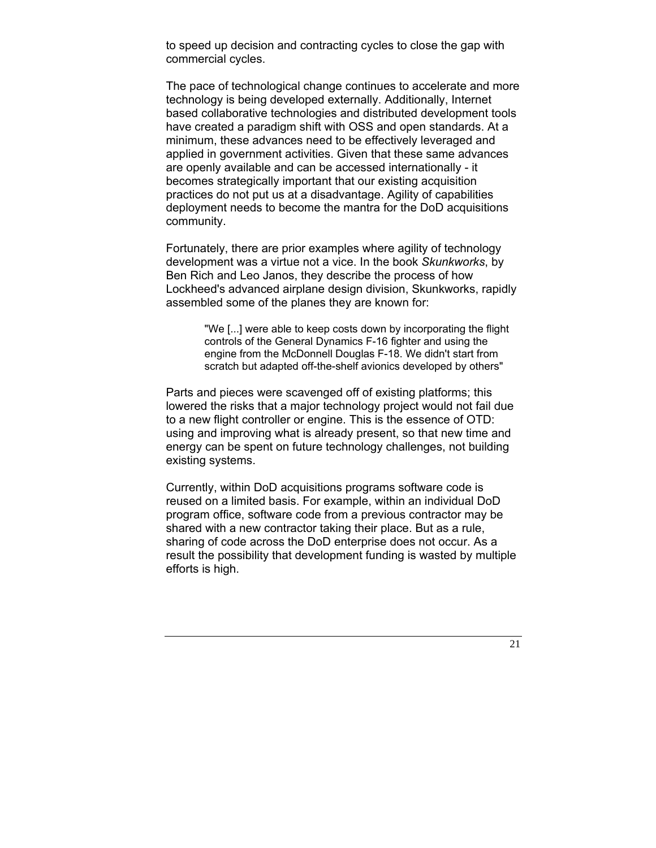to speed up decision and contracting cycles to close the gap with commercial cycles.

The pace of technological change continues to accelerate and more technology is being developed externally. Additionally, Internet based collaborative technologies and distributed development tools have created a paradigm shift with OSS and open standards. At a minimum, these advances need to be effectively leveraged and applied in government activities. Given that these same advances are openly available and can be accessed internationally - it becomes strategically important that our existing acquisition practices do not put us at a disadvantage. Agility of capabilities deployment needs to become the mantra for the DoD acquisitions community.

Fortunately, there are prior examples where agility of technology development was a virtue not a vice. In the book *Skunkworks*, by Ben Rich and Leo Janos, they describe the process of how Lockheed's advanced airplane design division, Skunkworks, rapidly assembled some of the planes they are known for:

> "We [...] were able to keep costs down by incorporating the flight controls of the General Dynamics F-16 fighter and using the engine from the McDonnell Douglas F-18. We didn't start from scratch but adapted off-the-shelf avionics developed by others"

Parts and pieces were scavenged off of existing platforms; this lowered the risks that a major technology project would not fail due to a new flight controller or engine. This is the essence of OTD: using and improving what is already present, so that new time and energy can be spent on future technology challenges, not building existing systems.

Currently, within DoD acquisitions programs software code is reused on a limited basis. For example, within an individual DoD program office, software code from a previous contractor may be shared with a new contractor taking their place. But as a rule, sharing of code across the DoD enterprise does not occur. As a result the possibility that development funding is wasted by multiple efforts is high.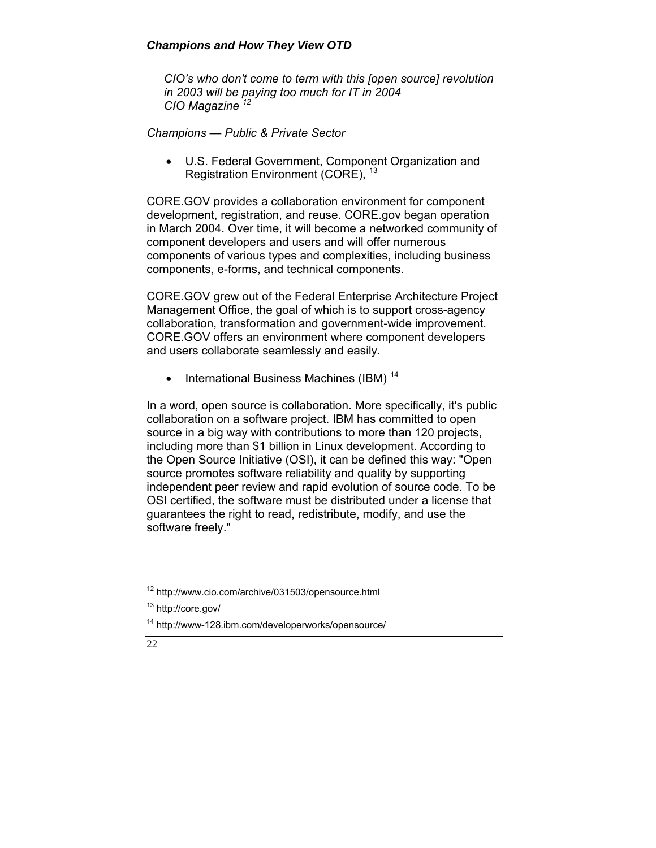# *Champions and How They View OTD*

*CIO's who don't come to term with this [open source] revolution in 2003 will be paying too much for IT in 2004 CIO Magazine <sup>12</sup>*

*Champions — Public & Private Sector* 

• U.S. Federal Government, Component Organization and Registration Environment (CORE), <sup>13</sup>

CORE.GOV provides a collaboration environment for component development, registration, and reuse. CORE.gov began operation in March 2004. Over time, it will become a networked community of component developers and users and will offer numerous components of various types and complexities, including business components, e-forms, and technical components.

CORE.GOV grew out of the Federal Enterprise Architecture Project Management Office, the goal of which is to support cross-agency collaboration, transformation and government-wide improvement. CORE.GOV offers an environment where component developers and users collaborate seamlessly and easily.

• International Business Machines (IBM)  $14$ 

In a word, open source is collaboration. More specifically, it's public collaboration on a software project. IBM has committed to open source in a big way with contributions to more than 120 projects, including more than \$1 billion in Linux development. According to the Open Source Initiative (OSI), it can be defined this way: "Open source promotes software reliability and quality by supporting independent peer review and rapid evolution of source code. To be OSI certified, the software must be distributed under a license that guarantees the right to read, redistribute, modify, and use the software freely."

<sup>14</sup> http://www-128.ibm.com/developerworks/opensource/



<sup>12</sup> http://www.cio.com/archive/031503/opensource.html

<sup>13</sup> http://core.gov/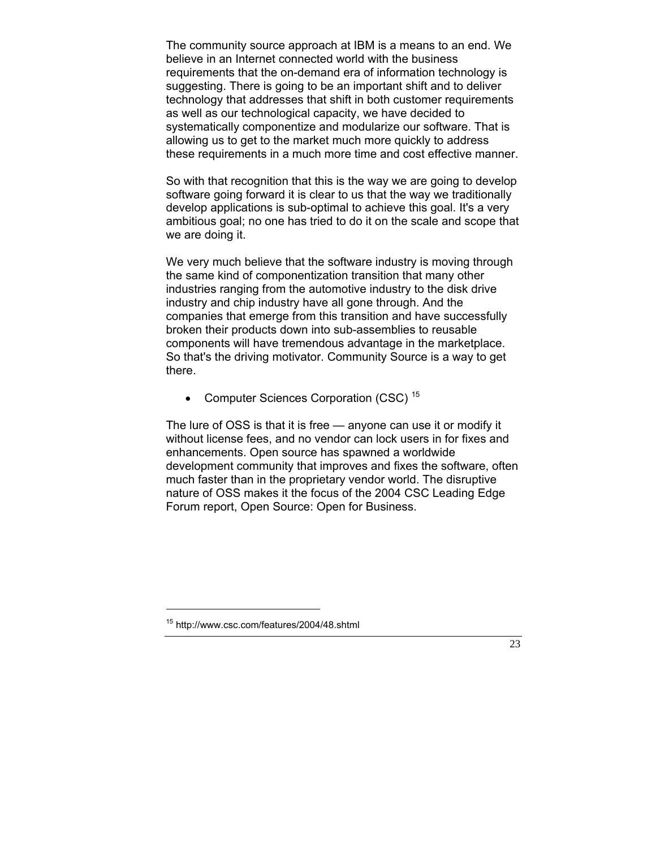The community source approach at IBM is a means to an end. We believe in an Internet connected world with the business requirements that the on-demand era of information technology is suggesting. There is going to be an important shift and to deliver technology that addresses that shift in both customer requirements as well as our technological capacity, we have decided to systematically componentize and modularize our software. That is allowing us to get to the market much more quickly to address these requirements in a much more time and cost effective manner.

So with that recognition that this is the way we are going to develop software going forward it is clear to us that the way we traditionally develop applications is sub-optimal to achieve this goal. It's a very ambitious goal; no one has tried to do it on the scale and scope that we are doing it.

We very much believe that the software industry is moving through the same kind of componentization transition that many other industries ranging from the automotive industry to the disk drive industry and chip industry have all gone through. And the companies that emerge from this transition and have successfully broken their products down into sub-assemblies to reusable components will have tremendous advantage in the marketplace. So that's the driving motivator. Community Source is a way to get there.

• Computer Sciences Corporation (CSC)<sup>15</sup>

The lure of OSS is that it is free — anyone can use it or modify it without license fees, and no vendor can lock users in for fixes and enhancements. Open source has spawned a worldwide development community that improves and fixes the software, often much faster than in the proprietary vendor world. The disruptive nature of OSS makes it the focus of the 2004 CSC Leading Edge Forum report, Open Source: Open for Business.

<sup>15</sup> http://www.csc.com/features/2004/48.shtml

 <sup>23</sup>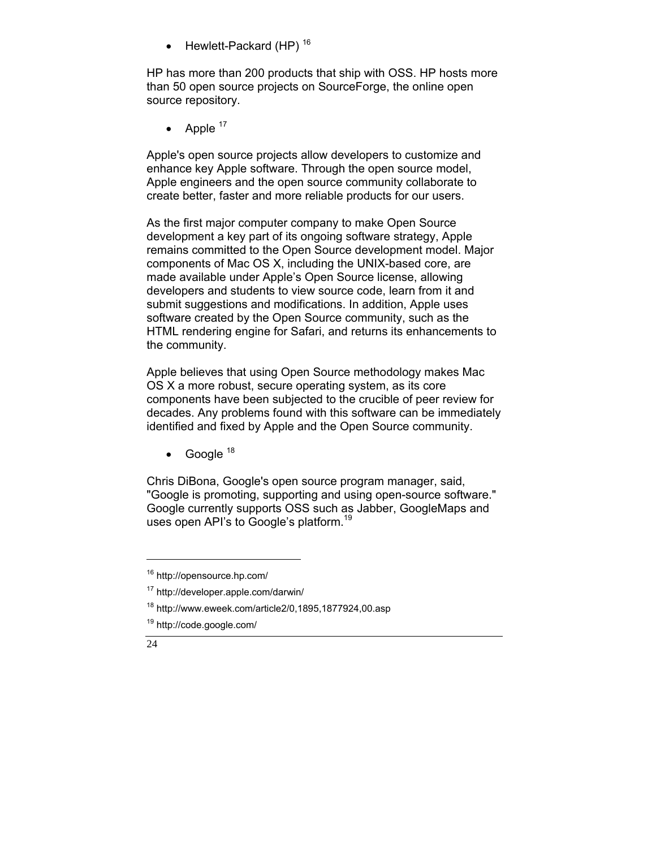$\bullet$  Hewlett-Packard (HP)<sup>16</sup>

HP has more than 200 products that ship with OSS. HP hosts more than 50 open source projects on SourceForge, the online open source repository.

• Apple  $17$ 

Apple's open source projects allow developers to customize and enhance key Apple software. Through the open source model, Apple engineers and the open source community collaborate to create better, faster and more reliable products for our users.

As the first major computer company to make Open Source development a key part of its ongoing software strategy, Apple remains committed to the Open Source development model. Major components of Mac OS X, including the UNIX-based core, are made available under Apple's Open Source license, allowing developers and students to view source code, learn from it and submit suggestions and modifications. In addition, Apple uses software created by the Open Source community, such as the HTML rendering engine for Safari, and returns its enhancements to the community.

Apple believes that using Open Source methodology makes Mac OS X a more robust, secure operating system, as its core components have been subjected to the crucible of peer review for decades. Any problems found with this software can be immediately identified and fixed by Apple and the Open Source community.

• Google  $18$ 

Chris DiBona, Google's open source program manager, said, "Google is promoting, supporting and using open-source software." Google currently supports OSS such as Jabber, GoogleMaps and uses open API's to Google's platform.<sup>19</sup>

<sup>19</sup> http://code.google.com/



 $\overline{a}$ 

<sup>16</sup> http://opensource.hp.com/

<sup>17</sup> http://developer.apple.com/darwin/

<sup>18</sup> http://www.eweek.com/article2/0,1895,1877924,00.asp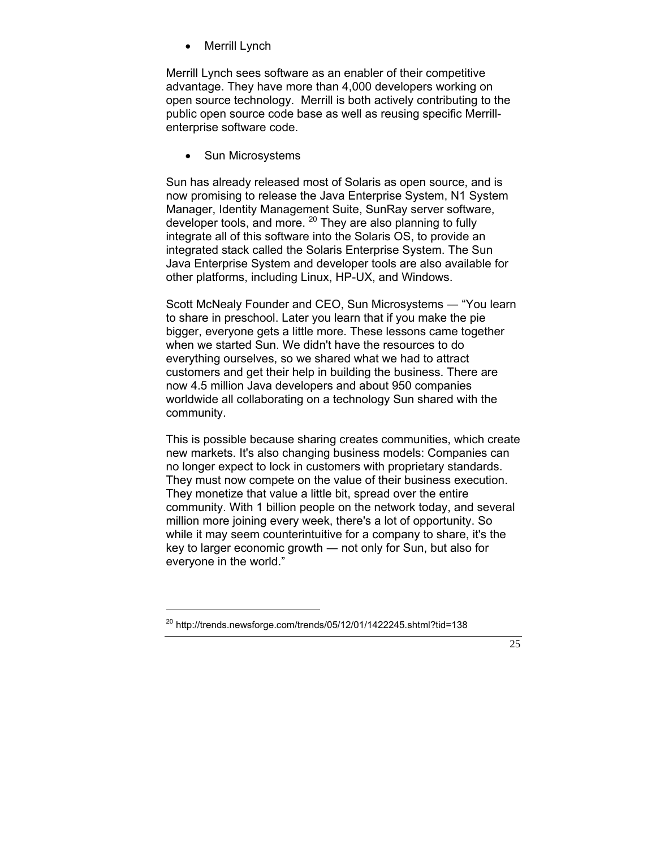• Merrill Lynch

Merrill Lynch sees software as an enabler of their competitive advantage. They have more than 4,000 developers working on open source technology. Merrill is both actively contributing to the public open source code base as well as reusing specific Merrillenterprise software code.

• Sun Microsystems

Sun has already released most of Solaris as open source, and is now promising to release the Java Enterprise System, N1 System Manager, Identity Management Suite, SunRay server software, developer tools, and more.  $^{20}$  They are also planning to fully integrate all of this software into the Solaris OS, to provide an integrated stack called the Solaris Enterprise System. The Sun Java Enterprise System and developer tools are also available for other platforms, including Linux, HP-UX, and Windows.

Scott McNealy Founder and CEO, Sun Microsystems ― "You learn to share in preschool. Later you learn that if you make the pie bigger, everyone gets a little more. These lessons came together when we started Sun. We didn't have the resources to do everything ourselves, so we shared what we had to attract customers and get their help in building the business. There are now 4.5 million Java developers and about 950 companies worldwide all collaborating on a technology Sun shared with the community.

This is possible because sharing creates communities, which create new markets. It's also changing business models: Companies can no longer expect to lock in customers with proprietary standards. They must now compete on the value of their business execution. They monetize that value a little bit, spread over the entire community. With 1 billion people on the network today, and several million more joining every week, there's a lot of opportunity. So while it may seem counterintuitive for a company to share, it's the key to larger economic growth ― not only for Sun, but also for everyone in the world."

 $^{20}$  http://trends.newsforge.com/trends/05/12/01/1422245.shtml?tid=138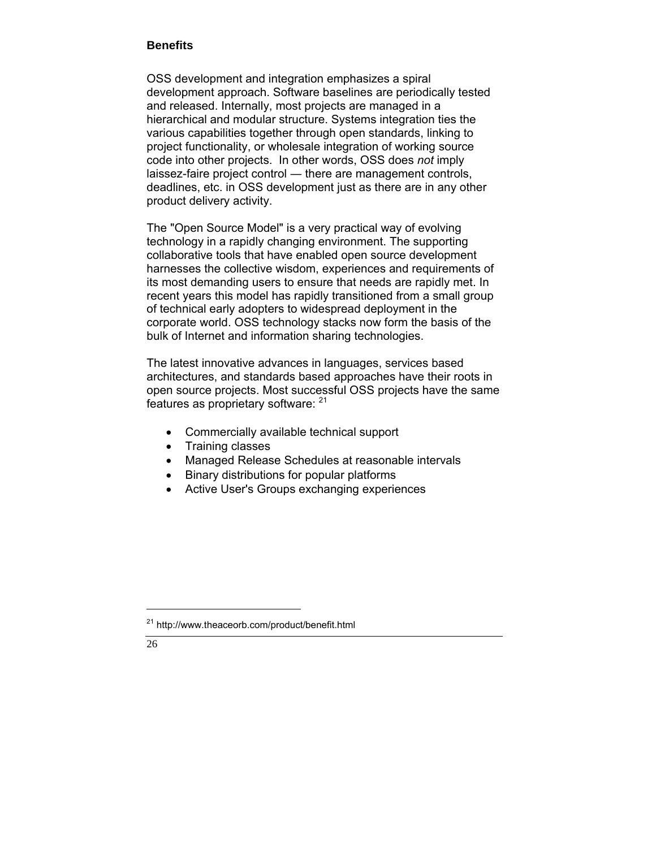#### **Benefits**

OSS development and integration emphasizes a spiral development approach. Software baselines are periodically tested and released. Internally, most projects are managed in a hierarchical and modular structure. Systems integration ties the various capabilities together through open standards, linking to project functionality, or wholesale integration of working source code into other projects. In other words, OSS does *not* imply laissez-faire project control ― there are management controls, deadlines, etc. in OSS development just as there are in any other product delivery activity.

The "Open Source Model" is a very practical way of evolving technology in a rapidly changing environment. The supporting collaborative tools that have enabled open source development harnesses the collective wisdom, experiences and requirements of its most demanding users to ensure that needs are rapidly met. In recent years this model has rapidly transitioned from a small group of technical early adopters to widespread deployment in the corporate world. OSS technology stacks now form the basis of the bulk of Internet and information sharing technologies.

The latest innovative advances in languages, services based architectures, and standards based approaches have their roots in open source projects. Most successful OSS projects have the same features as proprietary software: <sup>21</sup>

- Commercially available technical support
- Training classes
- Managed Release Schedules at reasonable intervals
- Binary distributions for popular platforms
- Active User's Groups exchanging experiences

<sup>21</sup> http://www.theaceorb.com/product/benefit.html

<sup>26</sup>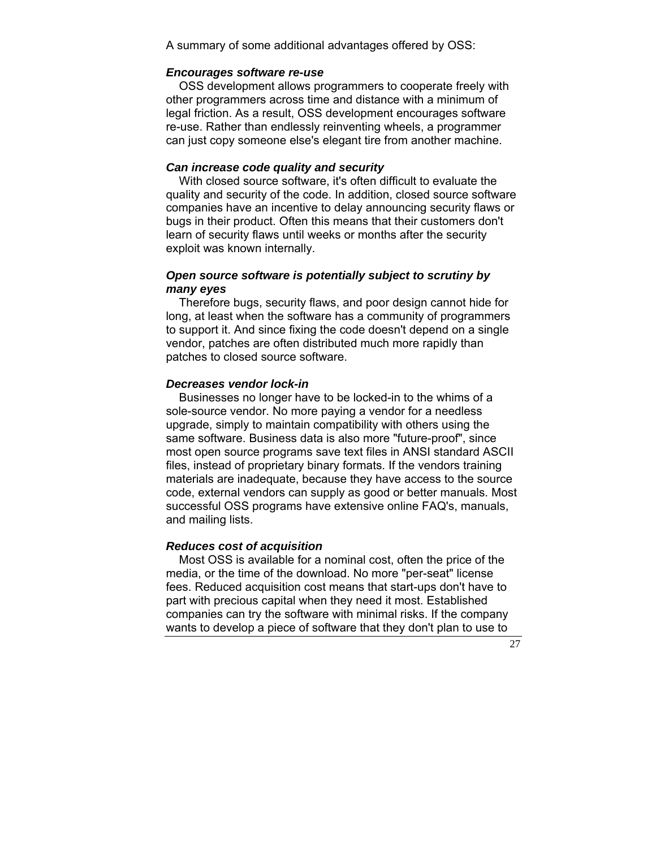A summary of some additional advantages offered by OSS:

## *Encourages software re-use*

 OSS development allows programmers to cooperate freely with other programmers across time and distance with a minimum of legal friction. As a result, OSS development encourages software re-use. Rather than endlessly reinventing wheels, a programmer can just copy someone else's elegant tire from another machine.

#### *Can increase code quality and security*

 With closed source software, it's often difficult to evaluate the quality and security of the code. In addition, closed source software companies have an incentive to delay announcing security flaws or bugs in their product. Often this means that their customers don't learn of security flaws until weeks or months after the security exploit was known internally.

## *Open source software is potentially subject to scrutiny by many eyes*

 Therefore bugs, security flaws, and poor design cannot hide for long, at least when the software has a community of programmers to support it. And since fixing the code doesn't depend on a single vendor, patches are often distributed much more rapidly than patches to closed source software.

#### *Decreases vendor lock-in*

 Businesses no longer have to be locked-in to the whims of a sole-source vendor. No more paying a vendor for a needless upgrade, simply to maintain compatibility with others using the same software. Business data is also more "future-proof", since most open source programs save text files in ANSI standard ASCII files, instead of proprietary binary formats. If the vendors training materials are inadequate, because they have access to the source code, external vendors can supply as good or better manuals. Most successful OSS programs have extensive online FAQ's, manuals, and mailing lists.

#### *Reduces cost of acquisition*

 Most OSS is available for a nominal cost, often the price of the media, or the time of the download. No more "per-seat" license fees. Reduced acquisition cost means that start-ups don't have to part with precious capital when they need it most. Established companies can try the software with minimal risks. If the company wants to develop a piece of software that they don't plan to use to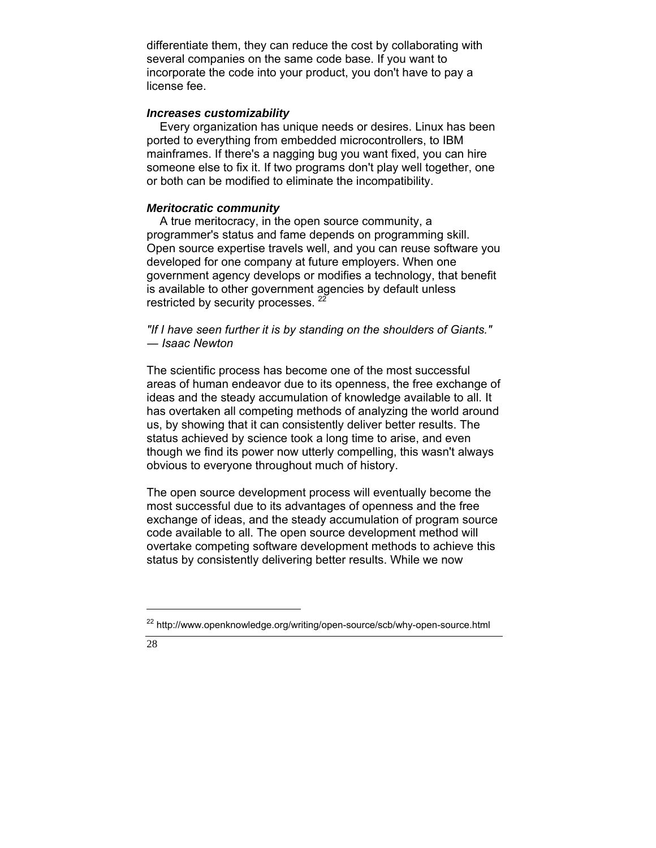differentiate them, they can reduce the cost by collaborating with several companies on the same code base. If you want to incorporate the code into your product, you don't have to pay a license fee.

#### *Increases customizability*

 Every organization has unique needs or desires. Linux has been ported to everything from embedded microcontrollers, to IBM mainframes. If there's a nagging bug you want fixed, you can hire someone else to fix it. If two programs don't play well together, one or both can be modified to eliminate the incompatibility.

#### *Meritocratic community*

 A true meritocracy, in the open source community, a programmer's status and fame depends on programming skill. Open source expertise travels well, and you can reuse software you developed for one company at future employers. When one government agency develops or modifies a technology, that benefit is available to other government agencies by default unless restricted by security processes.<sup>2</sup>

*"If I have seen further it is by standing on the shoulders of Giants." ― Isaac Newton* 

The scientific process has become one of the most successful areas of human endeavor due to its openness, the free exchange of ideas and the steady accumulation of knowledge available to all. It has overtaken all competing methods of analyzing the world around us, by showing that it can consistently deliver better results. The status achieved by science took a long time to arise, and even though we find its power now utterly compelling, this wasn't always obvious to everyone throughout much of history.

The open source development process will eventually become the most successful due to its advantages of openness and the free exchange of ideas, and the steady accumulation of program source code available to all. The open source development method will overtake competing software development methods to achieve this status by consistently delivering better results. While we now

<sup>&</sup>lt;sup>22</sup> http://www.openknowledge.org/writing/open-source/scb/why-open-source.html

<sup>28</sup>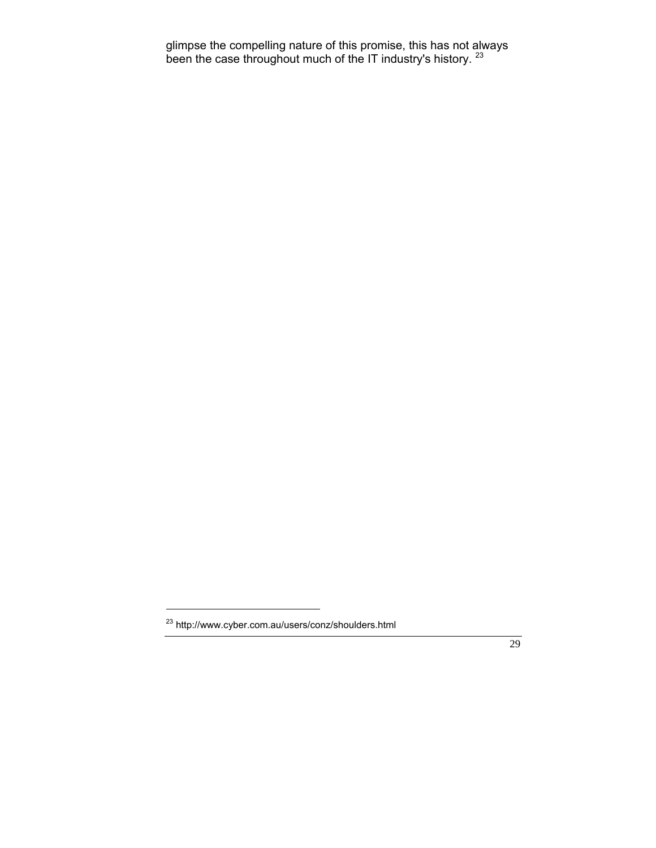glimpse the compelling nature of this promise, this has not always been the case throughout much of the IT industry's history. <sup>23</sup>

<sup>23</sup> http://www.cyber.com.au/users/conz/shoulders.html

 <sup>29</sup>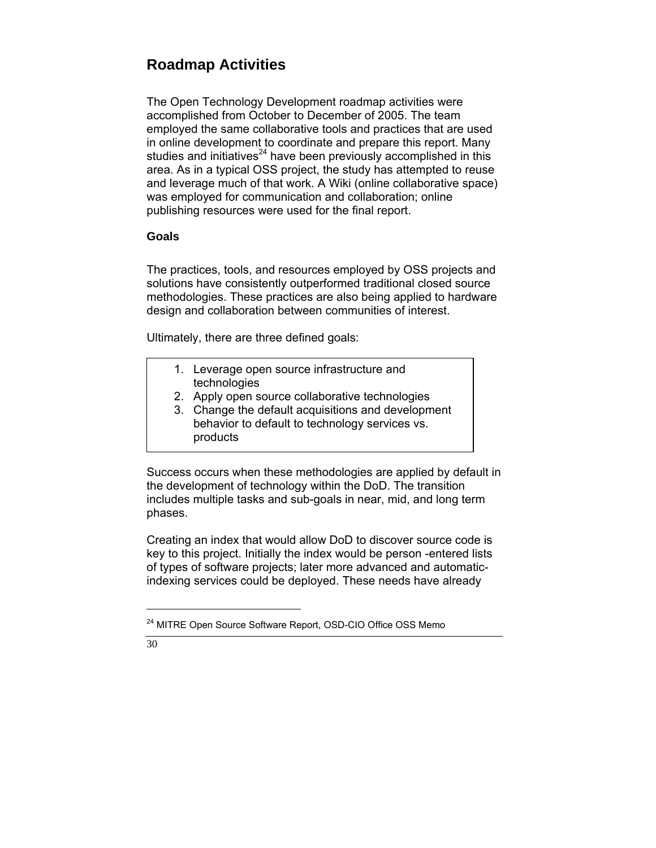# **Roadmap Activities**

The Open Technology Development roadmap activities were accomplished from October to December of 2005. The team employed the same collaborative tools and practices that are used in online development to coordinate and prepare this report. Many studies and initiatives<sup>24</sup> have been previously accomplished in this area. As in a typical OSS project, the study has attempted to reuse and leverage much of that work. A Wiki (online collaborative space) was employed for communication and collaboration; online publishing resources were used for the final report.

# **Goals**

The practices, tools, and resources employed by OSS projects and solutions have consistently outperformed traditional closed source methodologies. These practices are also being applied to hardware design and collaboration between communities of interest.

Ultimately, there are three defined goals:

- 1. Leverage open source infrastructure and technologies
- 2. Apply open source collaborative technologies
- 3. Change the default acquisitions and development behavior to default to technology services vs. products

Success occurs when these methodologies are applied by default in the development of technology within the DoD. The transition includes multiple tasks and sub-goals in near, mid, and long term phases.

Creating an index that would allow DoD to discover source code is key to this project. Initially the index would be person -entered lists of types of software projects; later more advanced and automaticindexing services could be deployed. These needs have already

<sup>&</sup>lt;sup>24</sup> MITRE Open Source Software Report, OSD-CIO Office OSS Memo

<sup>30</sup>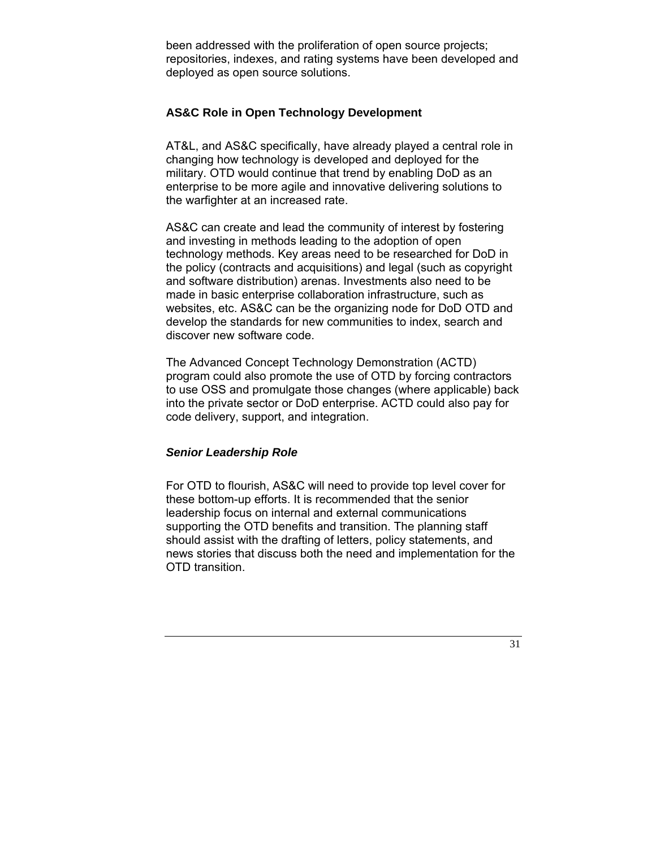been addressed with the proliferation of open source projects; repositories, indexes, and rating systems have been developed and deployed as open source solutions.

#### **AS&C Role in Open Technology Development**

AT&L, and AS&C specifically, have already played a central role in changing how technology is developed and deployed for the military. OTD would continue that trend by enabling DoD as an enterprise to be more agile and innovative delivering solutions to the warfighter at an increased rate.

AS&C can create and lead the community of interest by fostering and investing in methods leading to the adoption of open technology methods. Key areas need to be researched for DoD in the policy (contracts and acquisitions) and legal (such as copyright and software distribution) arenas. Investments also need to be made in basic enterprise collaboration infrastructure, such as websites, etc. AS&C can be the organizing node for DoD OTD and develop the standards for new communities to index, search and discover new software code.

The Advanced Concept Technology Demonstration (ACTD) program could also promote the use of OTD by forcing contractors to use OSS and promulgate those changes (where applicable) back into the private sector or DoD enterprise. ACTD could also pay for code delivery, support, and integration.

#### *Senior Leadership Role*

For OTD to flourish, AS&C will need to provide top level cover for these bottom-up efforts. It is recommended that the senior leadership focus on internal and external communications supporting the OTD benefits and transition. The planning staff should assist with the drafting of letters, policy statements, and news stories that discuss both the need and implementation for the OTD transition.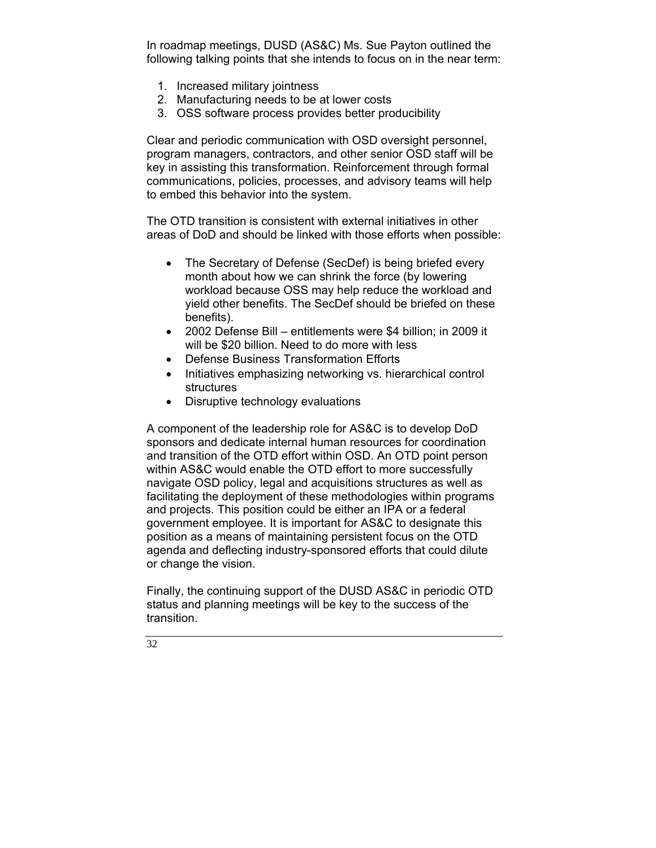In roadmap meetings, DUSD (AS&C) Ms. Sue Payton outlined the following talking points that she intends to focus on in the near term:

- 1. Increased military jointness
- 2. Manufacturing needs to be at lower costs
- 3. OSS software process provides better producibility

Clear and periodic communication with OSD oversight personnel, program managers, contractors, and other senior OSD staff will be key in assisting this transformation. Reinforcement through formal communications, policies, processes, and advisory teams will help to embed this behavior into the system.

The OTD transition is consistent with external initiatives in other areas of DoD and should be linked with those efforts when possible:

- The Secretary of Defense (SecDef) is being briefed every month about how we can shrink the force (by lowering workload because OSS may help reduce the workload and yield other benefits. The SecDef should be briefed on these benefits).
- 2002 Defense Bill entitlements were \$4 billion; in 2009 it will be \$20 billion. Need to do more with less
- Defense Business Transformation Efforts
- Initiatives emphasizing networking vs. hierarchical control structures
- Disruptive technology evaluations

A component of the leadership role for AS&C is to develop DoD sponsors and dedicate internal human resources for coordination and transition of the OTD effort within OSD. An OTD point person within AS&C would enable the OTD effort to more successfully navigate OSD policy, legal and acquisitions structures as well as facilitating the deployment of these methodologies within programs and projects. This position could be either an IPA or a federal government employee. It is important for AS&C to designate this position as a means of maintaining persistent focus on the OTD agenda and deflecting industry-sponsored efforts that could dilute or change the vision.

Finally, the continuing support of the DUSD AS&C in periodic OTD status and planning meetings will be key to the success of the transition.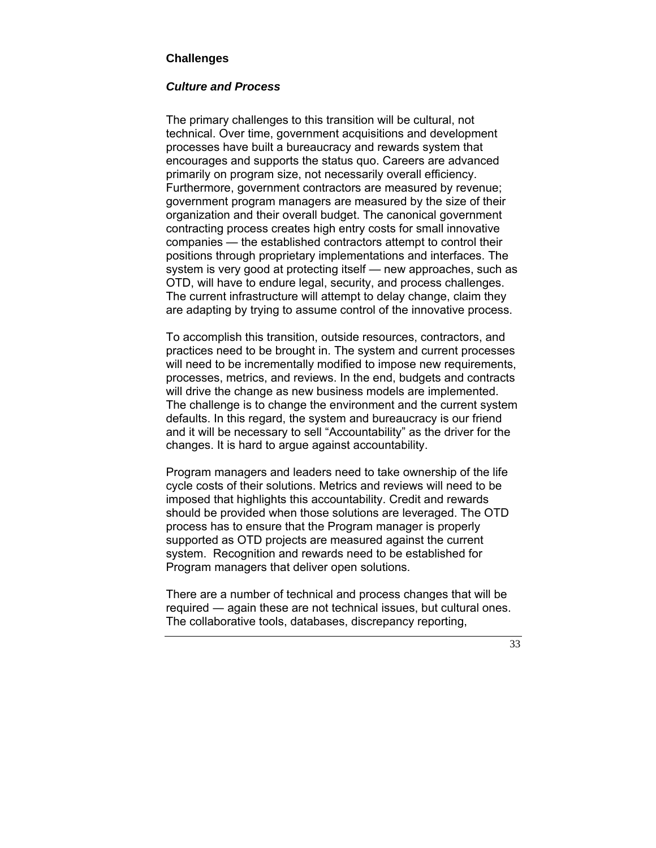# **Challenges**

#### *Culture and Process*

The primary challenges to this transition will be cultural, not technical. Over time, government acquisitions and development processes have built a bureaucracy and rewards system that encourages and supports the status quo. Careers are advanced primarily on program size, not necessarily overall efficiency. Furthermore, government contractors are measured by revenue; government program managers are measured by the size of their organization and their overall budget. The canonical government contracting process creates high entry costs for small innovative companies — the established contractors attempt to control their positions through proprietary implementations and interfaces. The system is very good at protecting itself — new approaches, such as OTD, will have to endure legal, security, and process challenges. The current infrastructure will attempt to delay change, claim they are adapting by trying to assume control of the innovative process.

To accomplish this transition, outside resources, contractors, and practices need to be brought in. The system and current processes will need to be incrementally modified to impose new requirements, processes, metrics, and reviews. In the end, budgets and contracts will drive the change as new business models are implemented. The challenge is to change the environment and the current system defaults. In this regard, the system and bureaucracy is our friend and it will be necessary to sell "Accountability" as the driver for the changes. It is hard to argue against accountability.

Program managers and leaders need to take ownership of the life cycle costs of their solutions. Metrics and reviews will need to be imposed that highlights this accountability. Credit and rewards should be provided when those solutions are leveraged. The OTD process has to ensure that the Program manager is properly supported as OTD projects are measured against the current system. Recognition and rewards need to be established for Program managers that deliver open solutions.

There are a number of technical and process changes that will be required ― again these are not technical issues, but cultural ones. The collaborative tools, databases, discrepancy reporting,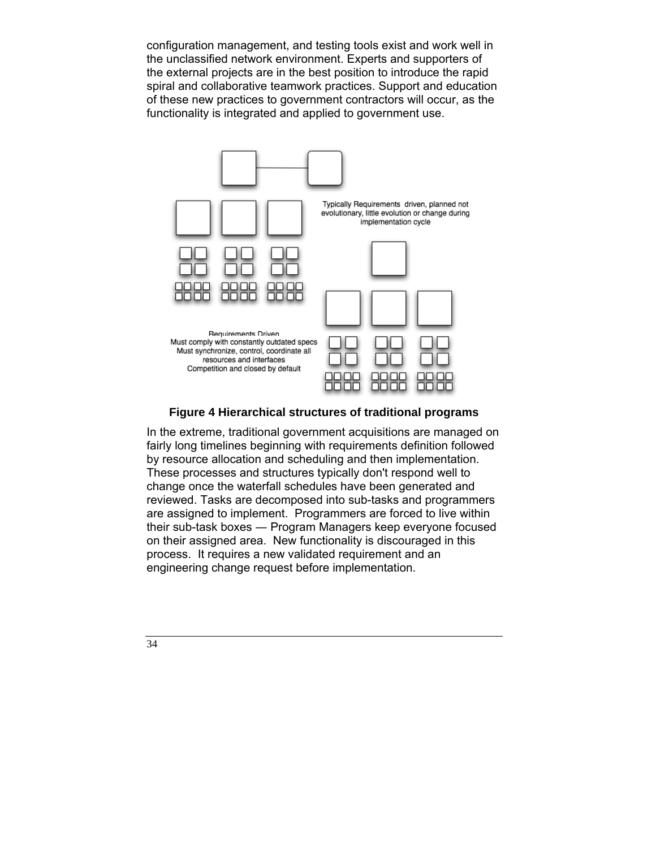configuration management, and testing tools exist and work well in the unclassified network environment. Experts and supporters of the external projects are in the best position to introduce the rapid spiral and collaborative teamwork practices. Support and education of these new practices to government contractors will occur, as the functionality is integrated and applied to government use.



# **Figure 4 Hierarchical structures of traditional programs**

In the extreme, traditional government acquisitions are managed on fairly long timelines beginning with requirements definition followed by resource allocation and scheduling and then implementation. These processes and structures typically don't respond well to change once the waterfall schedules have been generated and reviewed. Tasks are decomposed into sub-tasks and programmers are assigned to implement. Programmers are forced to live within their sub-task boxes ― Program Managers keep everyone focused on their assigned area. New functionality is discouraged in this process. It requires a new validated requirement and an engineering change request before implementation.

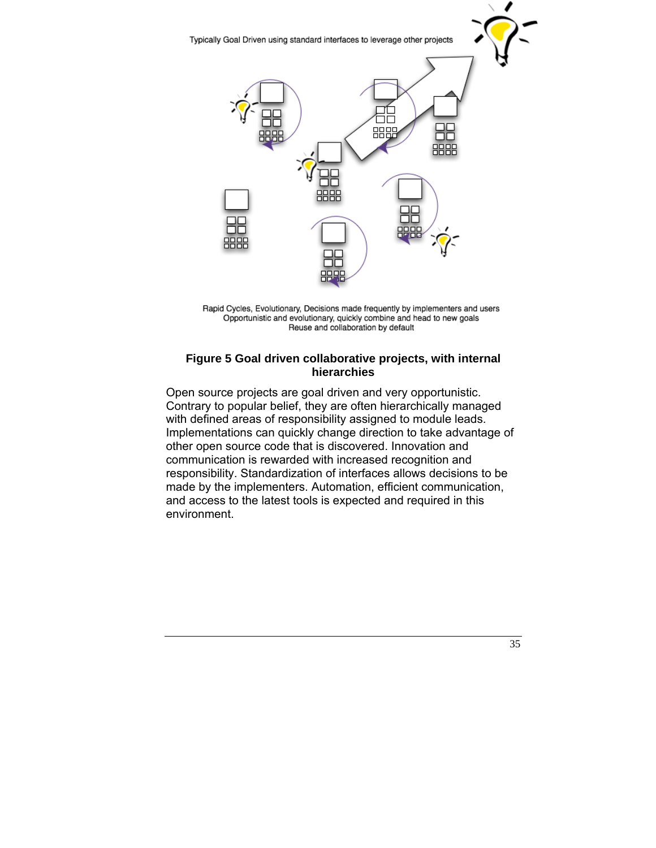

Rapid Cycles, Evolutionary, Decisions made frequently by implementers and users Opportunistic and evolutionary, quickly combine and head to new goals Reuse and collaboration by default

## **Figure 5 Goal driven collaborative projects, with internal hierarchies**

Open source projects are goal driven and very opportunistic. Contrary to popular belief, they are often hierarchically managed with defined areas of responsibility assigned to module leads. Implementations can quickly change direction to take advantage of other open source code that is discovered. Innovation and communication is rewarded with increased recognition and responsibility. Standardization of interfaces allows decisions to be made by the implementers. Automation, efficient communication, and access to the latest tools is expected and required in this environment.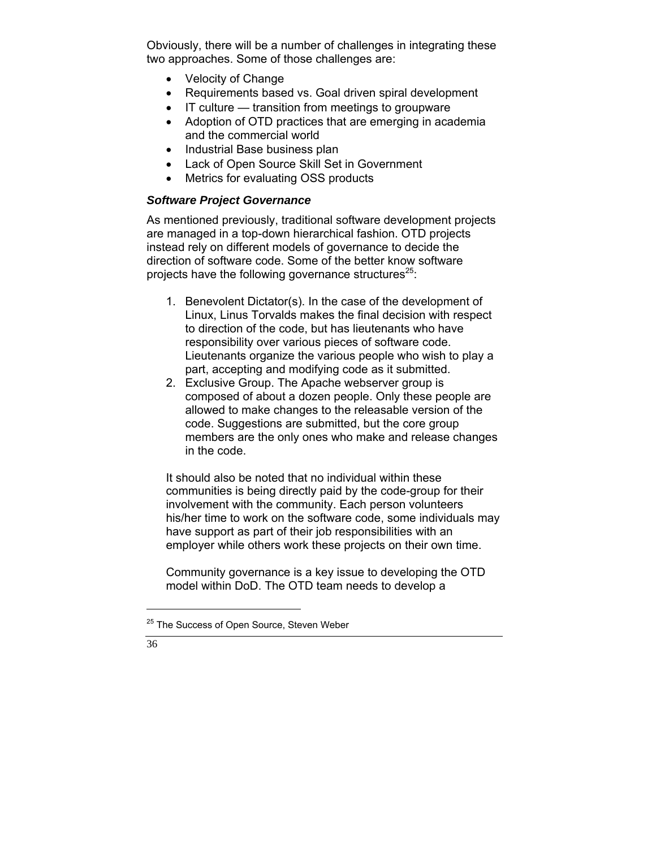Obviously, there will be a number of challenges in integrating these two approaches. Some of those challenges are:

- Velocity of Change
- Requirements based vs. Goal driven spiral development
- IT culture transition from meetings to groupware
- Adoption of OTD practices that are emerging in academia and the commercial world
- Industrial Base business plan
- Lack of Open Source Skill Set in Government
- Metrics for evaluating OSS products

# *Software Project Governance*

As mentioned previously, traditional software development projects are managed in a top-down hierarchical fashion. OTD projects instead rely on different models of governance to decide the direction of software code. Some of the better know software projects have the following governance structures<sup>25</sup>:

- 1. Benevolent Dictator(s). In the case of the development of Linux, Linus Torvalds makes the final decision with respect to direction of the code, but has lieutenants who have responsibility over various pieces of software code. Lieutenants organize the various people who wish to play a part, accepting and modifying code as it submitted.
- 2. Exclusive Group. The Apache webserver group is composed of about a dozen people. Only these people are allowed to make changes to the releasable version of the code. Suggestions are submitted, but the core group members are the only ones who make and release changes in the code.

It should also be noted that no individual within these communities is being directly paid by the code-group for their involvement with the community. Each person volunteers his/her time to work on the software code, some individuals may have support as part of their job responsibilities with an employer while others work these projects on their own time.

Community governance is a key issue to developing the OTD model within DoD. The OTD team needs to develop a

<sup>&</sup>lt;sup>25</sup> The Success of Open Source, Steven Weber

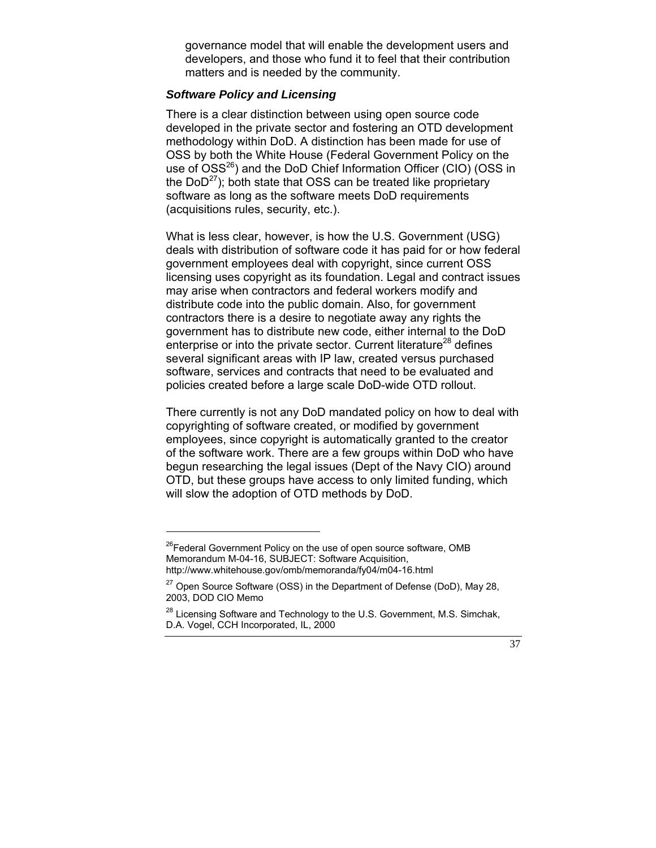governance model that will enable the development users and developers, and those who fund it to feel that their contribution matters and is needed by the community.

### *Software Policy and Licensing*

There is a clear distinction between using open source code developed in the private sector and fostering an OTD development methodology within DoD. A distinction has been made for use of OSS by both the White House (Federal Government Policy on the use of  $OSS^{26}$ ) and the DoD Chief Information Officer (CIO) (OSS in the DoD $^{27}$ ); both state that OSS can be treated like proprietary software as long as the software meets DoD requirements (acquisitions rules, security, etc.).

What is less clear, however, is how the U.S. Government (USG) deals with distribution of software code it has paid for or how federal government employees deal with copyright, since current OSS licensing uses copyright as its foundation. Legal and contract issues may arise when contractors and federal workers modify and distribute code into the public domain. Also, for government contractors there is a desire to negotiate away any rights the government has to distribute new code, either internal to the DoD enterprise or into the private sector. Current literature<sup>28</sup> defines several significant areas with IP law, created versus purchased software, services and contracts that need to be evaluated and policies created before a large scale DoD-wide OTD rollout.

There currently is not any DoD mandated policy on how to deal with copyrighting of software created, or modified by government employees, since copyright is automatically granted to the creator of the software work. There are a few groups within DoD who have begun researching the legal issues (Dept of the Navy CIO) around OTD, but these groups have access to only limited funding, which will slow the adoption of OTD methods by DoD.

<sup>&</sup>lt;sup>26</sup>Federal Government Policy on the use of open source software, OMB Memorandum M-04-16, SUBJECT: Software Acquisition, http://www.whitehouse.gov/omb/memoranda/fy04/m04-16.html

 $27$  Open Source Software (OSS) in the Department of Defense (DoD), May 28, 2003, DOD CIO Memo

 $^{28}$  Licensing Software and Technology to the U.S. Government, M.S. Simchak, D.A. Vogel, CCH Incorporated, IL, 2000

 <sup>37</sup>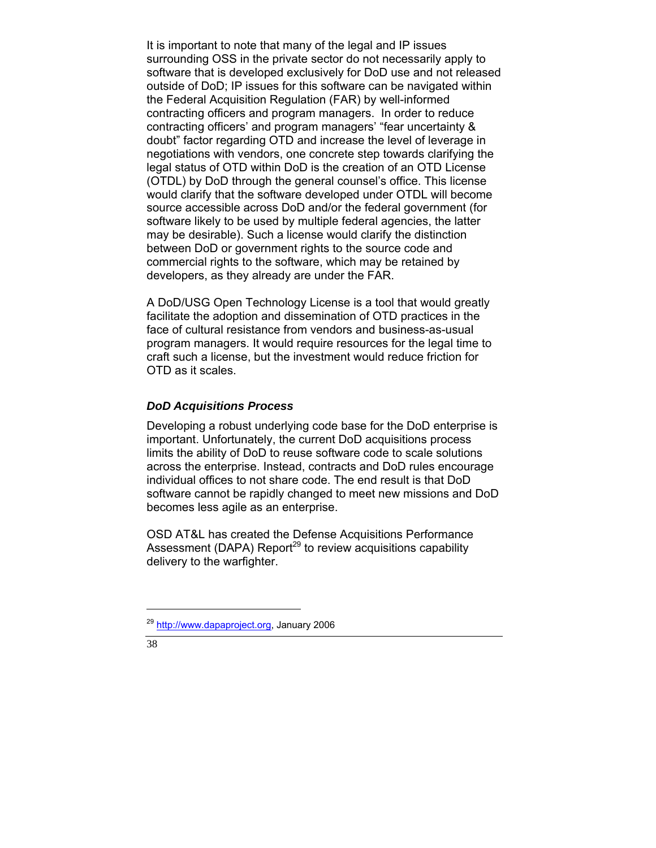It is important to note that many of the legal and IP issues surrounding OSS in the private sector do not necessarily apply to software that is developed exclusively for DoD use and not released outside of DoD; IP issues for this software can be navigated within the Federal Acquisition Regulation (FAR) by well-informed contracting officers and program managers. In order to reduce contracting officers' and program managers' "fear uncertainty & doubt" factor regarding OTD and increase the level of leverage in negotiations with vendors, one concrete step towards clarifying the legal status of OTD within DoD is the creation of an OTD License (OTDL) by DoD through the general counsel's office. This license would clarify that the software developed under OTDL will become source accessible across DoD and/or the federal government (for software likely to be used by multiple federal agencies, the latter may be desirable). Such a license would clarify the distinction between DoD or government rights to the source code and commercial rights to the software, which may be retained by developers, as they already are under the FAR.

A DoD/USG Open Technology License is a tool that would greatly facilitate the adoption and dissemination of OTD practices in the face of cultural resistance from vendors and business-as-usual program managers. It would require resources for the legal time to craft such a license, but the investment would reduce friction for OTD as it scales.

#### *DoD Acquisitions Process*

Developing a robust underlying code base for the DoD enterprise is important. Unfortunately, the current DoD acquisitions process limits the ability of DoD to reuse software code to scale solutions across the enterprise. Instead, contracts and DoD rules encourage individual offices to not share code. The end result is that DoD software cannot be rapidly changed to meet new missions and DoD becomes less agile as an enterprise.

OSD AT&L has created the Defense Acquisitions Performance Assessment (DAPA) Report<sup>29</sup> to review acquisitions capability delivery to the warfighter.

<sup>&</sup>lt;sup>29</sup> http://www.dapaproject.org, January 2006

<sup>38</sup>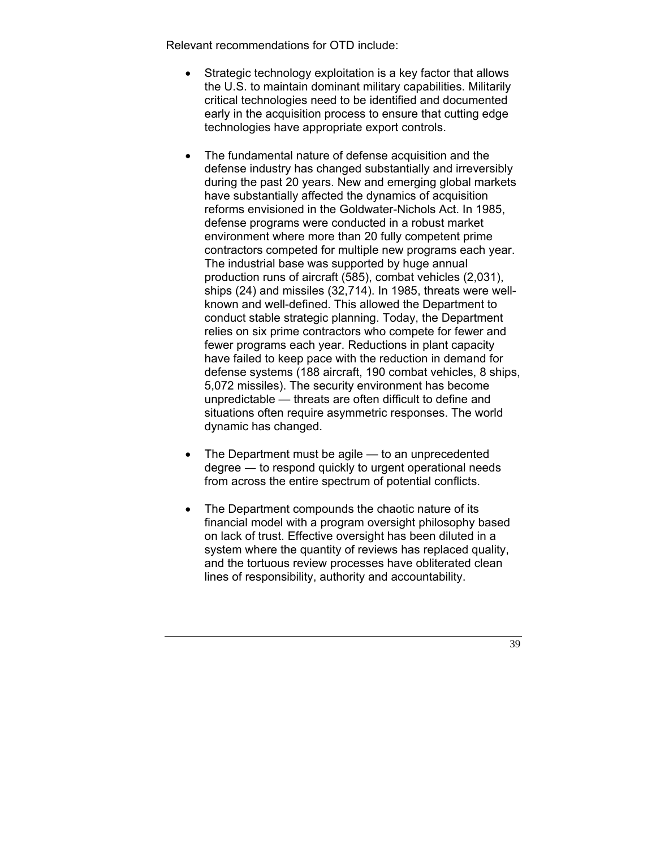Relevant recommendations for OTD include:

- Strategic technology exploitation is a key factor that allows the U.S. to maintain dominant military capabilities. Militarily critical technologies need to be identified and documented early in the acquisition process to ensure that cutting edge technologies have appropriate export controls.
- The fundamental nature of defense acquisition and the defense industry has changed substantially and irreversibly during the past 20 years. New and emerging global markets have substantially affected the dynamics of acquisition reforms envisioned in the Goldwater-Nichols Act. In 1985, defense programs were conducted in a robust market environment where more than 20 fully competent prime contractors competed for multiple new programs each year. The industrial base was supported by huge annual production runs of aircraft (585), combat vehicles (2,031), ships (24) and missiles (32,714). In 1985, threats were wellknown and well-defined. This allowed the Department to conduct stable strategic planning. Today, the Department relies on six prime contractors who compete for fewer and fewer programs each year. Reductions in plant capacity have failed to keep pace with the reduction in demand for defense systems (188 aircraft, 190 combat vehicles, 8 ships, 5,072 missiles). The security environment has become unpredictable — threats are often difficult to define and situations often require asymmetric responses. The world dynamic has changed.
- The Department must be agile  $-$  to an unprecedented degree ― to respond quickly to urgent operational needs from across the entire spectrum of potential conflicts.
- The Department compounds the chaotic nature of its financial model with a program oversight philosophy based on lack of trust. Effective oversight has been diluted in a system where the quantity of reviews has replaced quality, and the tortuous review processes have obliterated clean lines of responsibility, authority and accountability.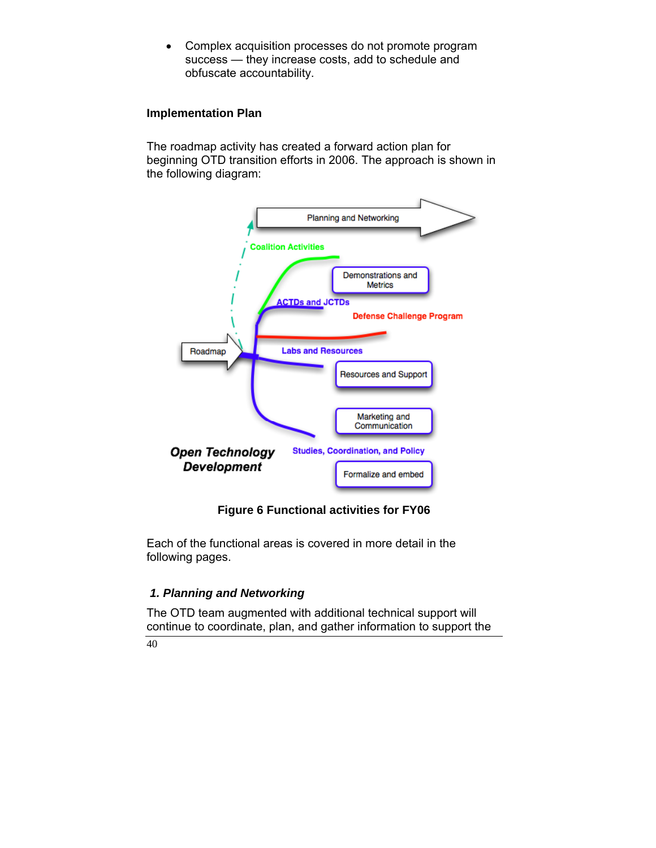• Complex acquisition processes do not promote program success — they increase costs, add to schedule and obfuscate accountability.

#### **Implementation Plan**

The roadmap activity has created a forward action plan for beginning OTD transition efforts in 2006. The approach is shown in the following diagram:



## **Figure 6 Functional activities for FY06**

Each of the functional areas is covered in more detail in the following pages.

## *1. Planning and Networking*

The OTD team augmented with additional technical support will continue to coordinate, plan, and gather information to support the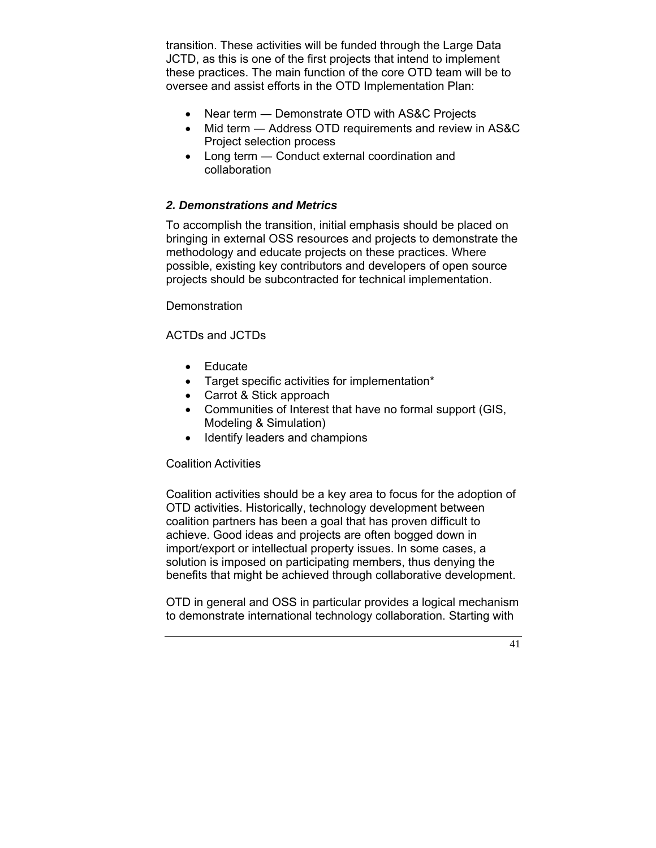transition. These activities will be funded through the Large Data JCTD, as this is one of the first projects that intend to implement these practices. The main function of the core OTD team will be to oversee and assist efforts in the OTD Implementation Plan:

- Near term Demonstrate OTD with AS&C Projects
- Mid term Address OTD requirements and review in AS&C Project selection process
- Long term Conduct external coordination and collaboration

#### *2. Demonstrations and Metrics*

To accomplish the transition, initial emphasis should be placed on bringing in external OSS resources and projects to demonstrate the methodology and educate projects on these practices. Where possible, existing key contributors and developers of open source projects should be subcontracted for technical implementation.

**Demonstration** 

#### ACTDs and JCTDs

- Educate
- Target specific activities for implementation\*
- Carrot & Stick approach
- Communities of Interest that have no formal support (GIS, Modeling & Simulation)
- Identify leaders and champions

#### Coalition Activities

Coalition activities should be a key area to focus for the adoption of OTD activities. Historically, technology development between coalition partners has been a goal that has proven difficult to achieve. Good ideas and projects are often bogged down in import/export or intellectual property issues. In some cases, a solution is imposed on participating members, thus denying the benefits that might be achieved through collaborative development.

OTD in general and OSS in particular provides a logical mechanism to demonstrate international technology collaboration. Starting with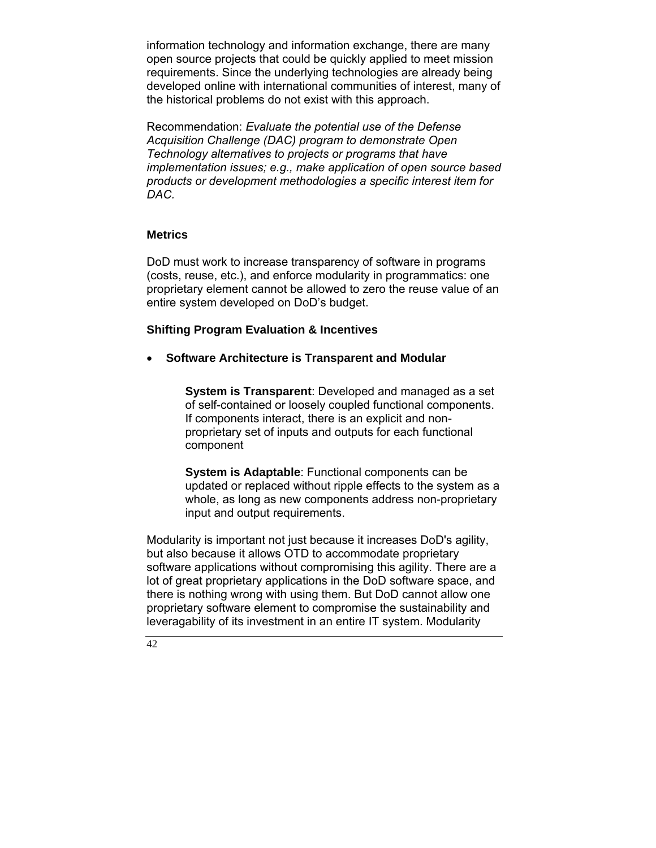information technology and information exchange, there are many open source projects that could be quickly applied to meet mission requirements. Since the underlying technologies are already being developed online with international communities of interest, many of the historical problems do not exist with this approach.

Recommendation: *Evaluate the potential use of the Defense Acquisition Challenge (DAC) program to demonstrate Open Technology alternatives to projects or programs that have implementation issues; e.g., make application of open source based products or development methodologies a specific interest item for DAC.* 

#### **Metrics**

DoD must work to increase transparency of software in programs (costs, reuse, etc.), and enforce modularity in programmatics: one proprietary element cannot be allowed to zero the reuse value of an entire system developed on DoD's budget.

## **Shifting Program Evaluation & Incentives**

• **Software Architecture is Transparent and Modular** 

**System is Transparent**: Developed and managed as a set of self-contained or loosely coupled functional components. If components interact, there is an explicit and nonproprietary set of inputs and outputs for each functional component

**System is Adaptable**: Functional components can be updated or replaced without ripple effects to the system as a whole, as long as new components address non-proprietary input and output requirements.

Modularity is important not just because it increases DoD's agility, but also because it allows OTD to accommodate proprietary software applications without compromising this agility. There are a lot of great proprietary applications in the DoD software space, and there is nothing wrong with using them. But DoD cannot allow one proprietary software element to compromise the sustainability and leveragability of its investment in an entire IT system. Modularity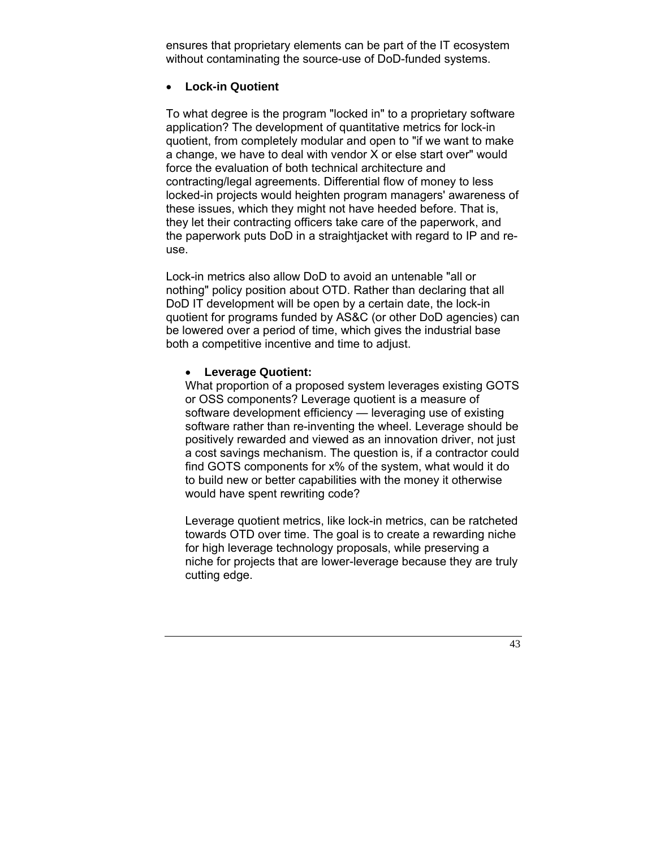ensures that proprietary elements can be part of the IT ecosystem without contaminating the source-use of DoD-funded systems.

#### • **Lock-in Quotient**

To what degree is the program "locked in" to a proprietary software application? The development of quantitative metrics for lock-in quotient, from completely modular and open to "if we want to make a change, we have to deal with vendor X or else start over" would force the evaluation of both technical architecture and contracting/legal agreements. Differential flow of money to less locked-in projects would heighten program managers' awareness of these issues, which they might not have heeded before. That is, they let their contracting officers take care of the paperwork, and the paperwork puts DoD in a straightjacket with regard to IP and reuse.

Lock-in metrics also allow DoD to avoid an untenable "all or nothing" policy position about OTD. Rather than declaring that all DoD IT development will be open by a certain date, the lock-in quotient for programs funded by AS&C (or other DoD agencies) can be lowered over a period of time, which gives the industrial base both a competitive incentive and time to adjust.

#### • **Leverage Quotient:**

What proportion of a proposed system leverages existing GOTS or OSS components? Leverage quotient is a measure of software development efficiency — leveraging use of existing software rather than re-inventing the wheel. Leverage should be positively rewarded and viewed as an innovation driver, not just a cost savings mechanism. The question is, if a contractor could find GOTS components for x% of the system, what would it do to build new or better capabilities with the money it otherwise would have spent rewriting code?

Leverage quotient metrics, like lock-in metrics, can be ratcheted towards OTD over time. The goal is to create a rewarding niche for high leverage technology proposals, while preserving a niche for projects that are lower-leverage because they are truly cutting edge.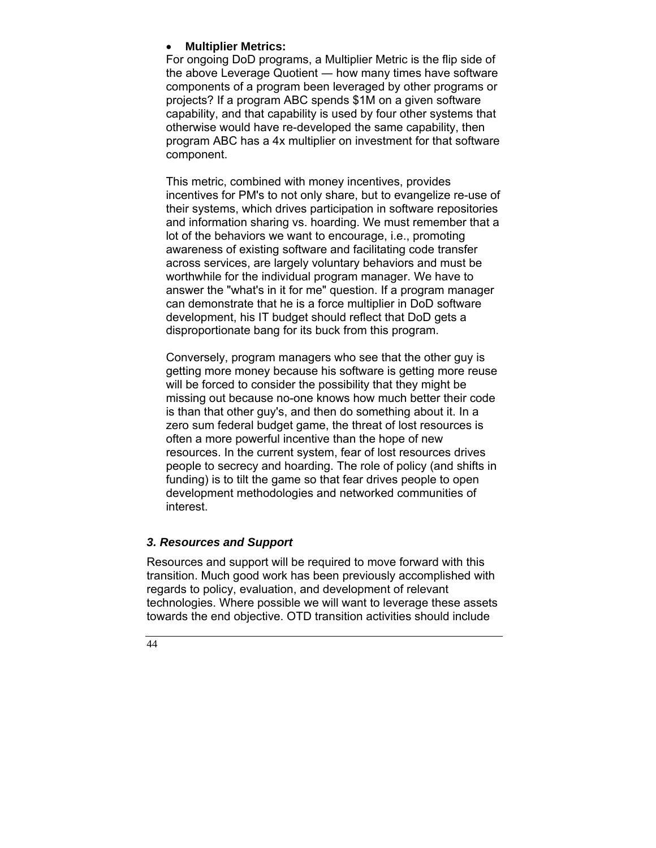#### • **Multiplier Metrics:**

For ongoing DoD programs, a Multiplier Metric is the flip side of the above Leverage Quotient ― how many times have software components of a program been leveraged by other programs or projects? If a program ABC spends \$1M on a given software capability, and that capability is used by four other systems that otherwise would have re-developed the same capability, then program ABC has a 4x multiplier on investment for that software component.

This metric, combined with money incentives, provides incentives for PM's to not only share, but to evangelize re-use of their systems, which drives participation in software repositories and information sharing vs. hoarding. We must remember that a lot of the behaviors we want to encourage, i.e., promoting awareness of existing software and facilitating code transfer across services, are largely voluntary behaviors and must be worthwhile for the individual program manager. We have to answer the "what's in it for me" question. If a program manager can demonstrate that he is a force multiplier in DoD software development, his IT budget should reflect that DoD gets a disproportionate bang for its buck from this program.

Conversely, program managers who see that the other guy is getting more money because his software is getting more reuse will be forced to consider the possibility that they might be missing out because no-one knows how much better their code is than that other guy's, and then do something about it. In a zero sum federal budget game, the threat of lost resources is often a more powerful incentive than the hope of new resources. In the current system, fear of lost resources drives people to secrecy and hoarding. The role of policy (and shifts in funding) is to tilt the game so that fear drives people to open development methodologies and networked communities of interest.

## *3. Resources and Support*

Resources and support will be required to move forward with this transition. Much good work has been previously accomplished with regards to policy, evaluation, and development of relevant technologies. Where possible we will want to leverage these assets towards the end objective. OTD transition activities should include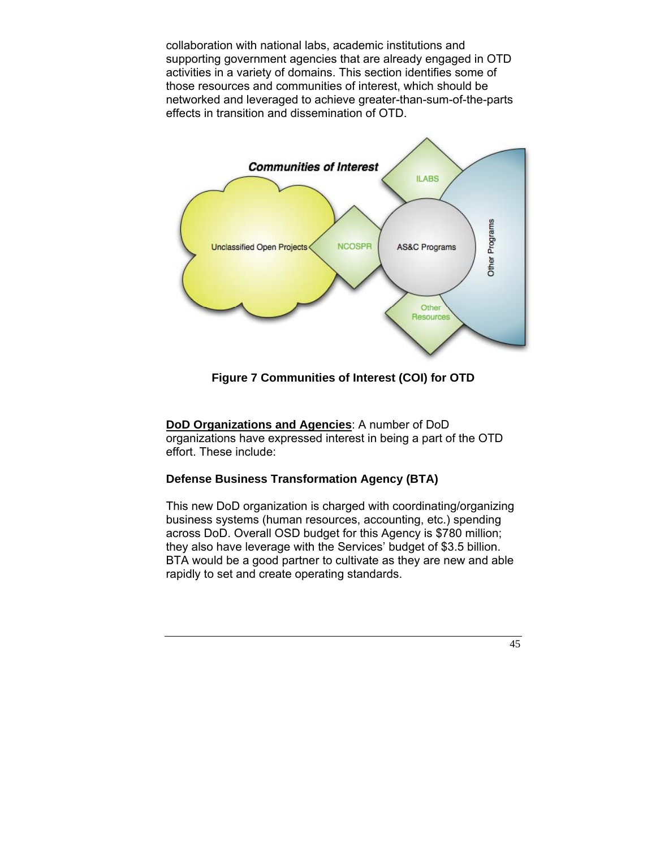collaboration with national labs, academic institutions and supporting government agencies that are already engaged in OTD activities in a variety of domains. This section identifies some of those resources and communities of interest, which should be networked and leveraged to achieve greater-than-sum-of-the-parts effects in transition and dissemination of OTD.



**Figure 7 Communities of Interest (COI) for OTD** 

**DoD Organizations and Agencies**: A number of DoD organizations have expressed interest in being a part of the OTD effort. These include:

## **Defense Business Transformation Agency (BTA)**

This new DoD organization is charged with coordinating/organizing business systems (human resources, accounting, etc.) spending across DoD. Overall OSD budget for this Agency is \$780 million; they also have leverage with the Services' budget of \$3.5 billion. BTA would be a good partner to cultivate as they are new and able rapidly to set and create operating standards.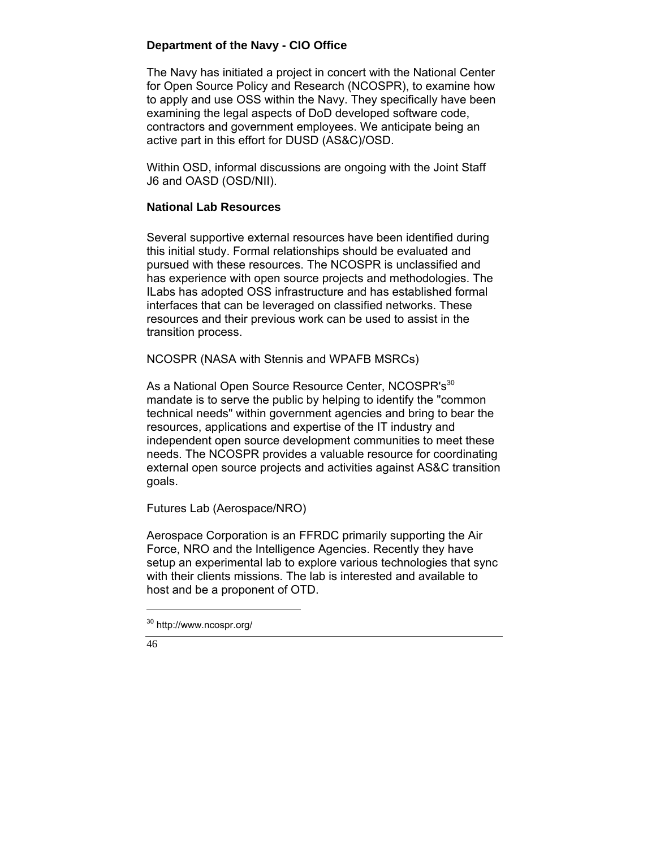#### **Department of the Navy - CIO Office**

The Navy has initiated a project in concert with the National Center for Open Source Policy and Research (NCOSPR), to examine how to apply and use OSS within the Navy. They specifically have been examining the legal aspects of DoD developed software code, contractors and government employees. We anticipate being an active part in this effort for DUSD (AS&C)/OSD.

Within OSD, informal discussions are ongoing with the Joint Staff J6 and OASD (OSD/NII).

#### **National Lab Resources**

Several supportive external resources have been identified during this initial study. Formal relationships should be evaluated and pursued with these resources. The NCOSPR is unclassified and has experience with open source projects and methodologies. The ILabs has adopted OSS infrastructure and has established formal interfaces that can be leveraged on classified networks. These resources and their previous work can be used to assist in the transition process.

NCOSPR (NASA with Stennis and WPAFB MSRCs)

As a National Open Source Resource Center, NCOSPR's<sup>30</sup> mandate is to serve the public by helping to identify the "common technical needs" within government agencies and bring to bear the resources, applications and expertise of the IT industry and independent open source development communities to meet these needs. The NCOSPR provides a valuable resource for coordinating external open source projects and activities against AS&C transition goals.

Futures Lab (Aerospace/NRO)

Aerospace Corporation is an FFRDC primarily supporting the Air Force, NRO and the Intelligence Agencies. Recently they have setup an experimental lab to explore various technologies that sync with their clients missions. The lab is interested and available to host and be a proponent of OTD.

46

<sup>30</sup> http://www.ncospr.org/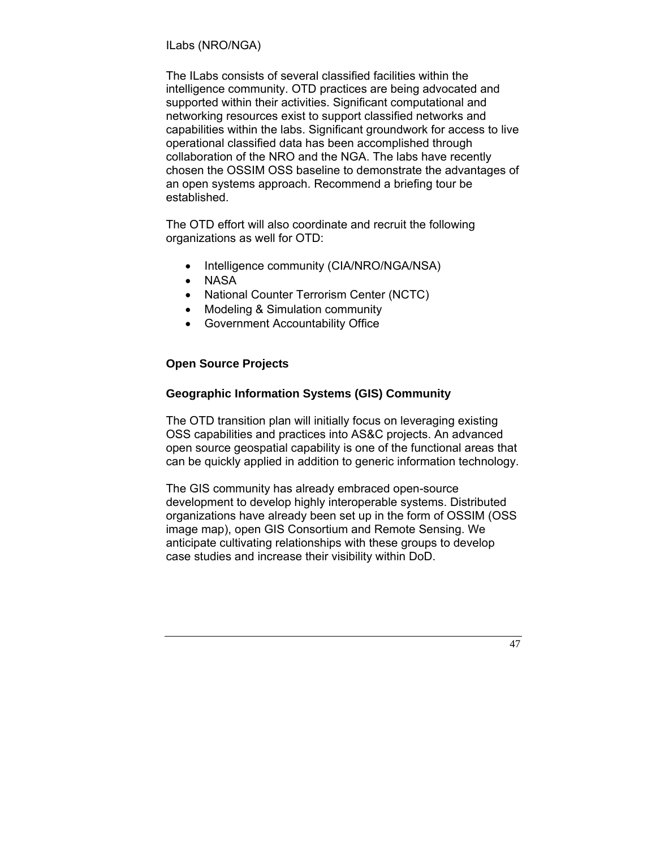#### ILabs (NRO/NGA)

The ILabs consists of several classified facilities within the intelligence community. OTD practices are being advocated and supported within their activities. Significant computational and networking resources exist to support classified networks and capabilities within the labs. Significant groundwork for access to live operational classified data has been accomplished through collaboration of the NRO and the NGA. The labs have recently chosen the OSSIM OSS baseline to demonstrate the advantages of an open systems approach. Recommend a briefing tour be established.

The OTD effort will also coordinate and recruit the following organizations as well for OTD:

- Intelligence community (CIA/NRO/NGA/NSA)
- NASA
- National Counter Terrorism Center (NCTC)
- Modeling & Simulation community
- Government Accountability Office

#### **Open Source Projects**

#### **Geographic Information Systems (GIS) Community**

The OTD transition plan will initially focus on leveraging existing OSS capabilities and practices into AS&C projects. An advanced open source geospatial capability is one of the functional areas that can be quickly applied in addition to generic information technology.

The GIS community has already embraced open-source development to develop highly interoperable systems. Distributed organizations have already been set up in the form of OSSIM (OSS image map), open GIS Consortium and Remote Sensing. We anticipate cultivating relationships with these groups to develop case studies and increase their visibility within DoD.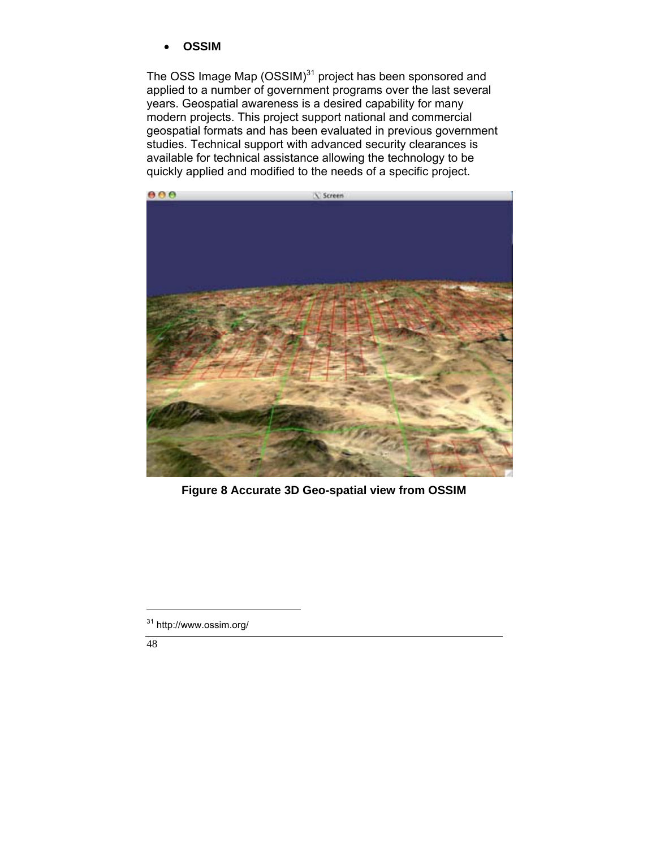• **OSSIM** 

The OSS Image Map  $(OSSIM)^{31}$  project has been sponsored and applied to a number of government programs over the last several years. Geospatial awareness is a desired capability for many modern projects. This project support national and commercial geospatial formats and has been evaluated in previous government studies. Technical support with advanced security clearances is available for technical assistance allowing the technology to be quickly applied and modified to the needs of a specific project.



**Figure 8 Accurate 3D Geo-spatial view from OSSIM** 

48

<sup>31</sup> http://www.ossim.org/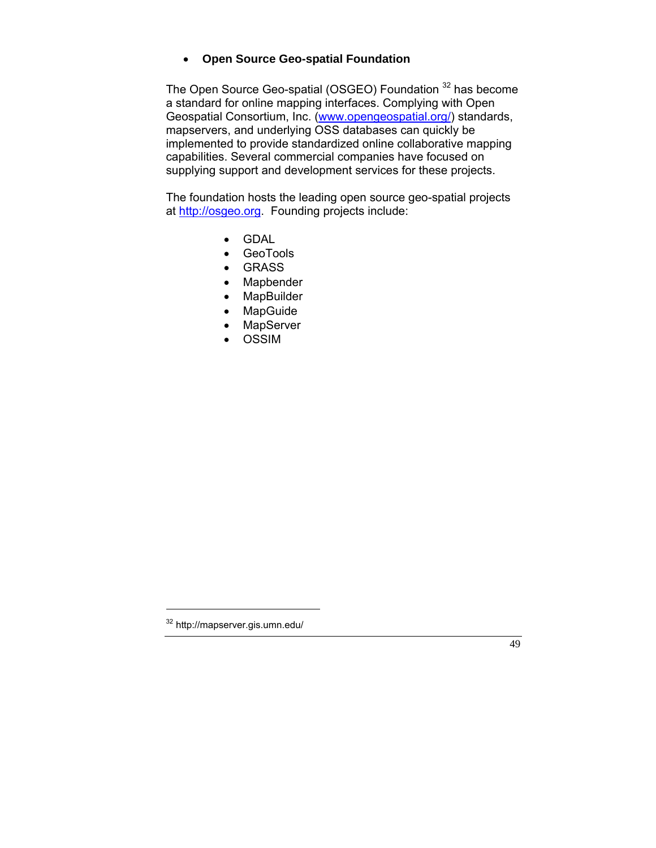## • **Open Source Geo-spatial Foundation**

The Open Source Geo-spatial (OSGEO) Foundation <sup>32</sup> has become a standard for online mapping interfaces. Complying with Open Geospatial Consortium, Inc. (www.opengeospatial.org/) standards, mapservers, and underlying OSS databases can quickly be implemented to provide standardized online collaborative mapping capabilities. Several commercial companies have focused on supplying support and development services for these projects.

The foundation hosts the leading open source geo-spatial projects at http://osgeo.org. Founding projects include:

- GDAL
- GeoTools
- GRASS
- Mapbender
- MapBuilder
- MapGuide
- **MapServer**
- OSSIM



<sup>32</sup> http://mapserver.gis.umn.edu/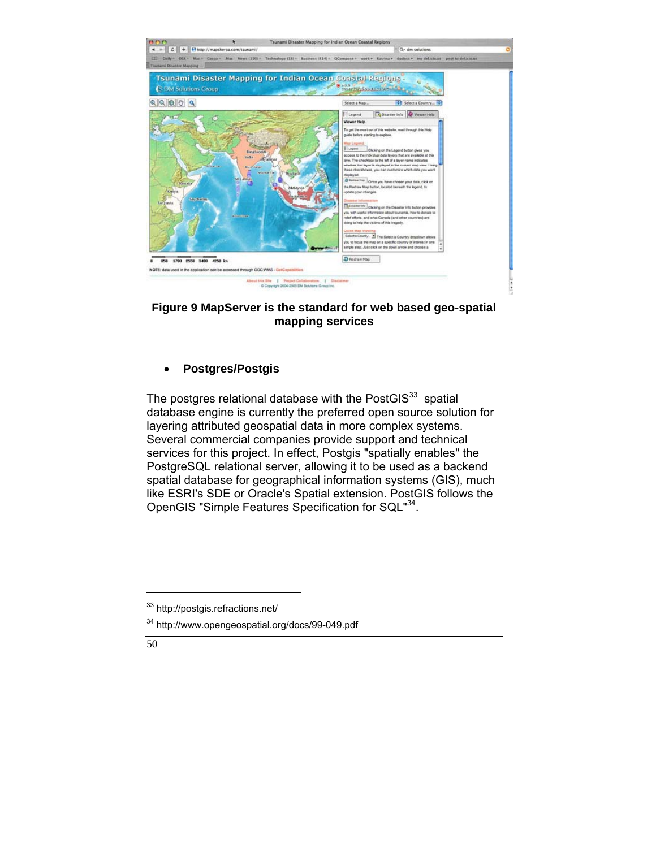

## **Figure 9 MapServer is the standard for web based geo-spatial mapping services**

## • **Postgres/Postgis**

The postgres relational database with the PostGIS $33$  spatial database engine is currently the preferred open source solution for layering attributed geospatial data in more complex systems. Several commercial companies provide support and technical services for this project. In effect, Postgis "spatially enables" the PostgreSQL relational server, allowing it to be used as a backend spatial database for geographical information systems (GIS), much like ESRI's SDE or Oracle's Spatial extension. PostGIS follows the OpenGIS "Simple Features Specification for SQL"34.

<sup>34</sup> http://www.opengeospatial.org/docs/99-049.pdf



<sup>33</sup> http://postgis.refractions.net/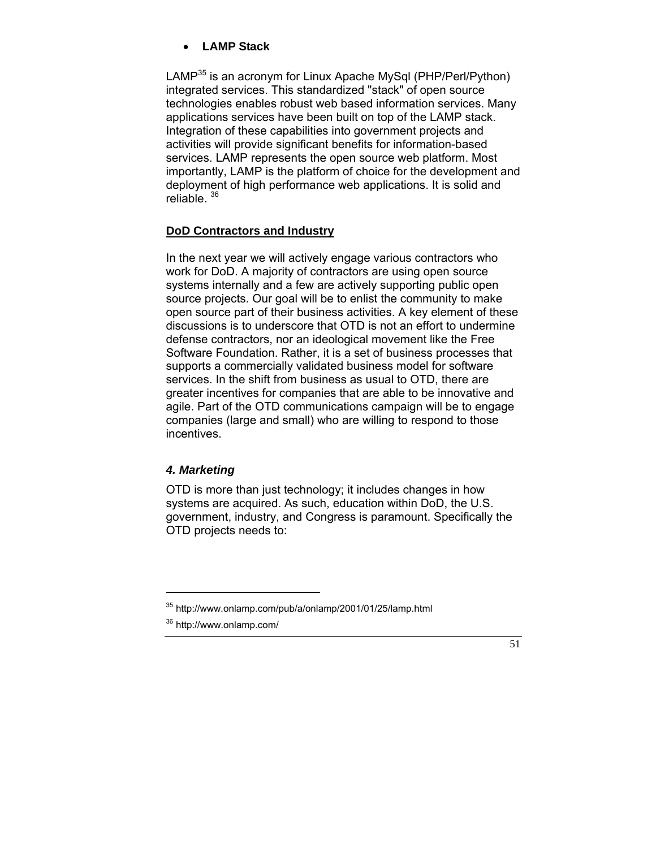## • **LAMP Stack**

LAMP<sup>35</sup> is an acronym for Linux Apache MySql (PHP/Perl/Python) integrated services. This standardized "stack" of open source technologies enables robust web based information services. Many applications services have been built on top of the LAMP stack. Integration of these capabilities into government projects and activities will provide significant benefits for information-based services. LAMP represents the open source web platform. Most importantly, LAMP is the platform of choice for the development and deployment of high performance web applications. It is solid and reliable.<sup>36</sup>

#### **DoD Contractors and Industry**

In the next year we will actively engage various contractors who work for DoD. A majority of contractors are using open source systems internally and a few are actively supporting public open source projects. Our goal will be to enlist the community to make open source part of their business activities. A key element of these discussions is to underscore that OTD is not an effort to undermine defense contractors, nor an ideological movement like the Free Software Foundation. Rather, it is a set of business processes that supports a commercially validated business model for software services. In the shift from business as usual to OTD, there are greater incentives for companies that are able to be innovative and agile. Part of the OTD communications campaign will be to engage companies (large and small) who are willing to respond to those incentives.

#### *4. Marketing*

OTD is more than just technology; it includes changes in how systems are acquired. As such, education within DoD, the U.S. government, industry, and Congress is paramount. Specifically the OTD projects needs to:



<sup>35</sup> http://www.onlamp.com/pub/a/onlamp/2001/01/25/lamp.html

<sup>36</sup> http://www.onlamp.com/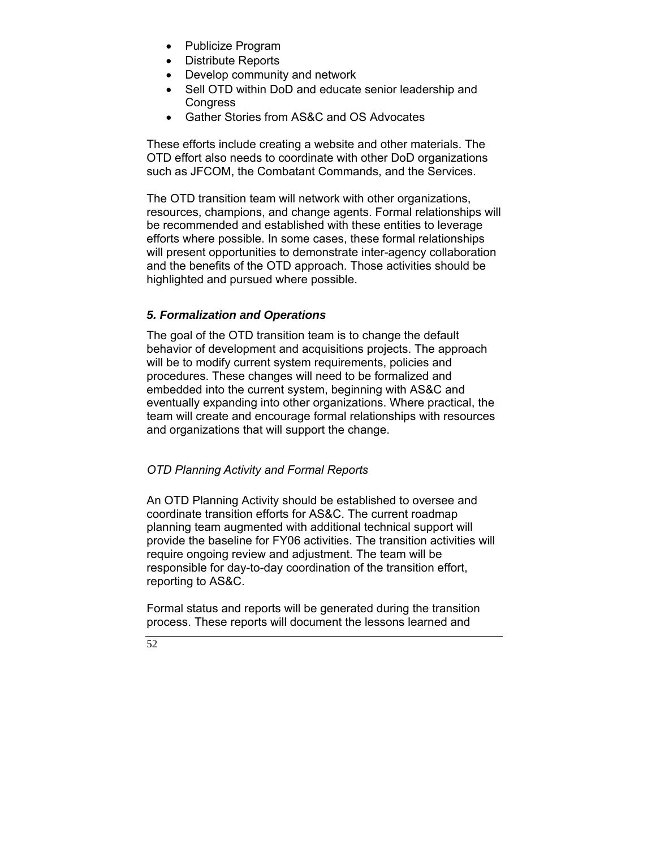- Publicize Program
- Distribute Reports
- Develop community and network
- Sell OTD within DoD and educate senior leadership and **Congress**
- Gather Stories from AS&C and OS Advocates

These efforts include creating a website and other materials. The OTD effort also needs to coordinate with other DoD organizations such as JFCOM, the Combatant Commands, and the Services.

The OTD transition team will network with other organizations, resources, champions, and change agents. Formal relationships will be recommended and established with these entities to leverage efforts where possible. In some cases, these formal relationships will present opportunities to demonstrate inter-agency collaboration and the benefits of the OTD approach. Those activities should be highlighted and pursued where possible.

## *5. Formalization and Operations*

The goal of the OTD transition team is to change the default behavior of development and acquisitions projects. The approach will be to modify current system requirements, policies and procedures. These changes will need to be formalized and embedded into the current system, beginning with AS&C and eventually expanding into other organizations. Where practical, the team will create and encourage formal relationships with resources and organizations that will support the change.

## *OTD Planning Activity and Formal Reports*

An OTD Planning Activity should be established to oversee and coordinate transition efforts for AS&C. The current roadmap planning team augmented with additional technical support will provide the baseline for FY06 activities. The transition activities will require ongoing review and adjustment. The team will be responsible for day-to-day coordination of the transition effort, reporting to AS&C.

Formal status and reports will be generated during the transition process. These reports will document the lessons learned and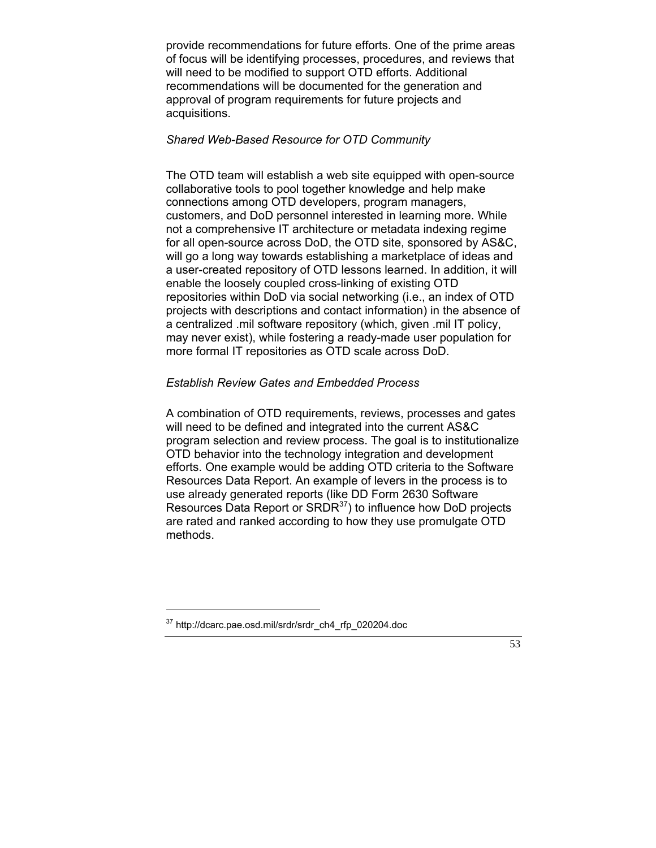provide recommendations for future efforts. One of the prime areas of focus will be identifying processes, procedures, and reviews that will need to be modified to support OTD efforts. Additional recommendations will be documented for the generation and approval of program requirements for future projects and acquisitions.

#### *Shared Web-Based Resource for OTD Community*

The OTD team will establish a web site equipped with open-source collaborative tools to pool together knowledge and help make connections among OTD developers, program managers, customers, and DoD personnel interested in learning more. While not a comprehensive IT architecture or metadata indexing regime for all open-source across DoD, the OTD site, sponsored by AS&C, will go a long way towards establishing a marketplace of ideas and a user-created repository of OTD lessons learned. In addition, it will enable the loosely coupled cross-linking of existing OTD repositories within DoD via social networking (i.e., an index of OTD projects with descriptions and contact information) in the absence of a centralized .mil software repository (which, given .mil IT policy, may never exist), while fostering a ready-made user population for more formal IT repositories as OTD scale across DoD.

### *Establish Review Gates and Embedded Process*

A combination of OTD requirements, reviews, processes and gates will need to be defined and integrated into the current AS&C program selection and review process. The goal is to institutionalize OTD behavior into the technology integration and development efforts. One example would be adding OTD criteria to the Software Resources Data Report. An example of levers in the process is to use already generated reports (like DD Form 2630 Software Resources Data Report or SRDR<sup>37</sup>) to influence how DoD projects are rated and ranked according to how they use promulgate OTD methods.

<sup>37</sup> http://dcarc.pae.osd.mil/srdr/srdr\_ch4\_rfp\_020204.doc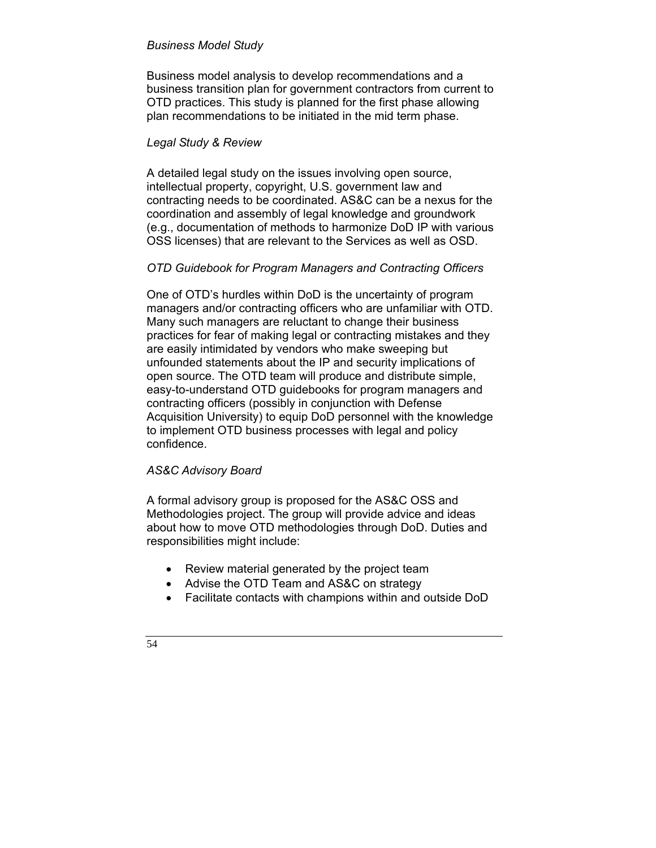#### *Business Model Study*

Business model analysis to develop recommendations and a business transition plan for government contractors from current to OTD practices. This study is planned for the first phase allowing plan recommendations to be initiated in the mid term phase.

#### *Legal Study & Review*

A detailed legal study on the issues involving open source, intellectual property, copyright, U.S. government law and contracting needs to be coordinated. AS&C can be a nexus for the coordination and assembly of legal knowledge and groundwork (e.g., documentation of methods to harmonize DoD IP with various OSS licenses) that are relevant to the Services as well as OSD.

## *OTD Guidebook for Program Managers and Contracting Officers*

One of OTD's hurdles within DoD is the uncertainty of program managers and/or contracting officers who are unfamiliar with OTD. Many such managers are reluctant to change their business practices for fear of making legal or contracting mistakes and they are easily intimidated by vendors who make sweeping but unfounded statements about the IP and security implications of open source. The OTD team will produce and distribute simple, easy-to-understand OTD guidebooks for program managers and contracting officers (possibly in conjunction with Defense Acquisition University) to equip DoD personnel with the knowledge to implement OTD business processes with legal and policy confidence.

## *AS&C Advisory Board*

A formal advisory group is proposed for the AS&C OSS and Methodologies project. The group will provide advice and ideas about how to move OTD methodologies through DoD. Duties and responsibilities might include:

- Review material generated by the project team
- Advise the OTD Team and AS&C on strategy
- Facilitate contacts with champions within and outside DoD

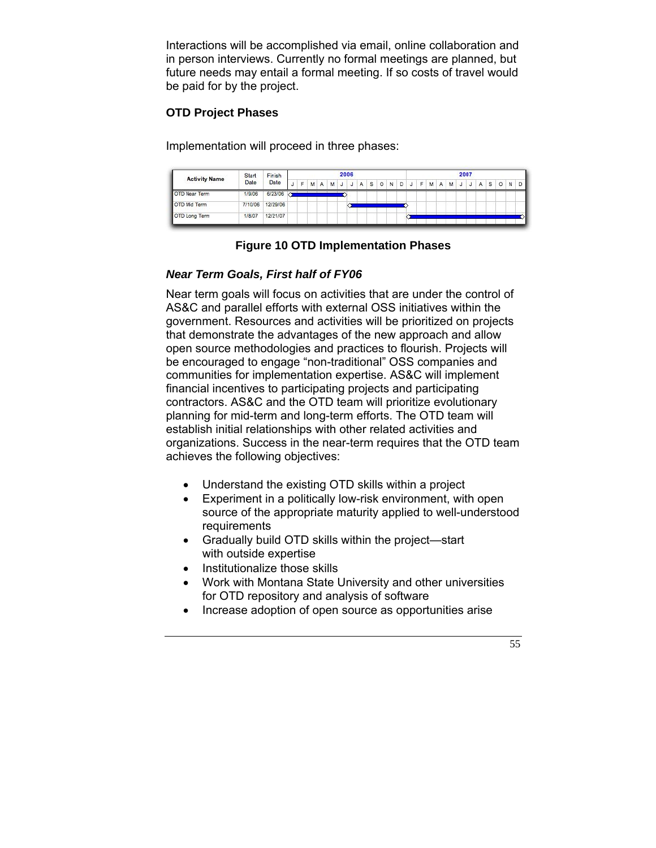Interactions will be accomplished via email, online collaboration and in person interviews. Currently no formal meetings are planned, but future needs may entail a formal meeting. If so costs of travel would be paid for by the project.

#### **OTD Project Phases**

Implementation will proceed in three phases:

| <b>Activity Name</b> | Start   | Finish<br>Date | 2006 |              |   |              |   |              |   |   | 2007         |         |   |   |  |     |   |   |   |  |  |   |   |         |   |   |
|----------------------|---------|----------------|------|--------------|---|--------------|---|--------------|---|---|--------------|---------|---|---|--|-----|---|---|---|--|--|---|---|---------|---|---|
|                      | Date    |                |      | $\mathbf{r}$ | M | $\mathsf{A}$ | M | $\mathsf{J}$ | J | A | $\mathbf{s}$ | $\circ$ | N | D |  | J F | M | Α | M |  |  | A | s | $\circ$ | N | D |
| <b>OTD Near Term</b> | 1/9/06  | 6/23/06 3      |      |              |   |              |   |              |   |   |              |         |   |   |  |     |   |   |   |  |  |   |   |         |   |   |
| OTD Md Term          | 7/10/06 | 12/29/06       |      |              |   |              |   |              |   |   |              |         |   |   |  |     |   |   |   |  |  |   |   |         |   |   |
| OTD Long Term        | 1/8/07  | 12/21/07       |      |              |   |              |   |              |   |   |              |         |   |   |  |     |   |   |   |  |  |   |   |         |   |   |

## **Figure 10 OTD Implementation Phases**

## *Near Term Goals, First half of FY06*

Near term goals will focus on activities that are under the control of AS&C and parallel efforts with external OSS initiatives within the government. Resources and activities will be prioritized on projects that demonstrate the advantages of the new approach and allow open source methodologies and practices to flourish. Projects will be encouraged to engage "non-traditional" OSS companies and communities for implementation expertise. AS&C will implement financial incentives to participating projects and participating contractors. AS&C and the OTD team will prioritize evolutionary planning for mid-term and long-term efforts. The OTD team will establish initial relationships with other related activities and organizations. Success in the near-term requires that the OTD team achieves the following objectives:

- Understand the existing OTD skills within a project
- Experiment in a politically low-risk environment, with open source of the appropriate maturity applied to well-understood requirements
- Gradually build OTD skills within the project—start with outside expertise
- Institutionalize those skills
- Work with Montana State University and other universities for OTD repository and analysis of software
- Increase adoption of open source as opportunities arise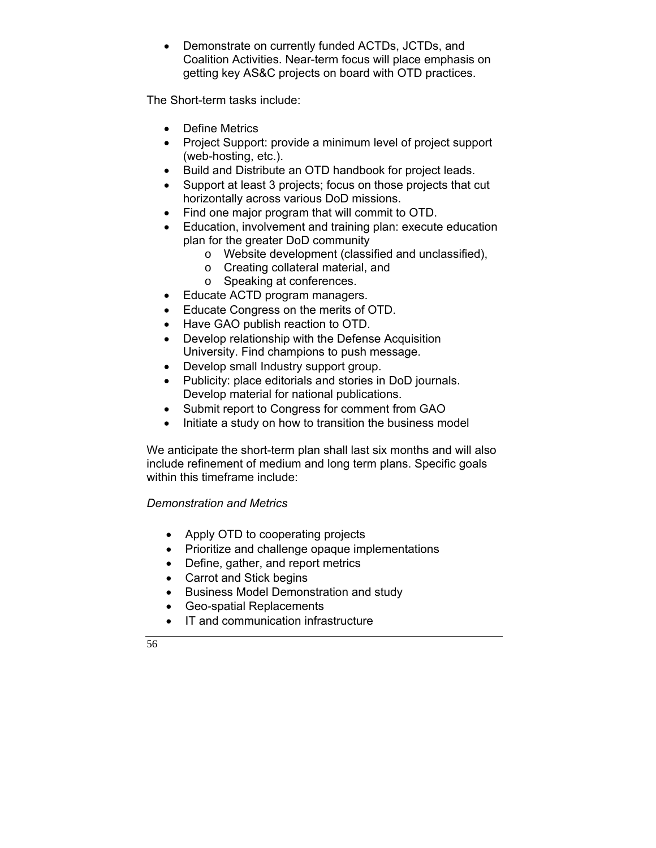• Demonstrate on currently funded ACTDs, JCTDs, and Coalition Activities. Near-term focus will place emphasis on getting key AS&C projects on board with OTD practices.

The Short-term tasks include:

- Define Metrics
- Project Support: provide a minimum level of project support (web-hosting, etc.).
- Build and Distribute an OTD handbook for project leads.
- Support at least 3 projects; focus on those projects that cut horizontally across various DoD missions.
- Find one major program that will commit to OTD.
- Education, involvement and training plan: execute education plan for the greater DoD community
	- o Website development (classified and unclassified),
	- o Creating collateral material, and
	- o Speaking at conferences.
- Educate ACTD program managers.
- Educate Congress on the merits of OTD.
- Have GAO publish reaction to OTD.
- Develop relationship with the Defense Acquisition University. Find champions to push message.
- Develop small Industry support group.
- Publicity: place editorials and stories in DoD journals. Develop material for national publications.
- Submit report to Congress for comment from GAO
- Initiate a study on how to transition the business model

We anticipate the short-term plan shall last six months and will also include refinement of medium and long term plans. Specific goals within this timeframe include:

## *Demonstration and Metrics*

- Apply OTD to cooperating projects
- Prioritize and challenge opaque implementations
- Define, gather, and report metrics
- Carrot and Stick begins
- Business Model Demonstration and study
- Geo-spatial Replacements
- IT and communication infrastructure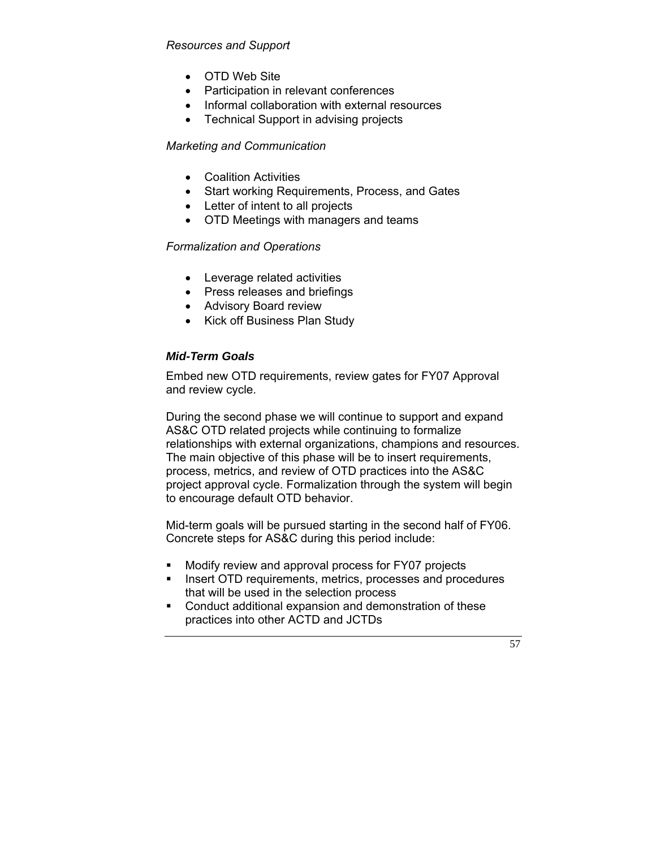## *Resources and Support*

- OTD Web Site
- Participation in relevant conferences
- Informal collaboration with external resources
- Technical Support in advising projects

#### *Marketing and Communication*

- Coalition Activities
- Start working Requirements, Process, and Gates
- Letter of intent to all projects
- OTD Meetings with managers and teams

#### *Formalization and Operations*

- Leverage related activities
- Press releases and briefings
- Advisory Board review
- Kick off Business Plan Study

#### *Mid-Term Goals*

Embed new OTD requirements, review gates for FY07 Approval and review cycle.

During the second phase we will continue to support and expand AS&C OTD related projects while continuing to formalize relationships with external organizations, champions and resources. The main objective of this phase will be to insert requirements, process, metrics, and review of OTD practices into the AS&C project approval cycle. Formalization through the system will begin to encourage default OTD behavior.

Mid-term goals will be pursued starting in the second half of FY06. Concrete steps for AS&C during this period include:

- Modify review and approval process for FY07 projects
- **Insert OTD requirements, metrics, processes and procedures** that will be used in the selection process
- Conduct additional expansion and demonstration of these practices into other ACTD and JCTDs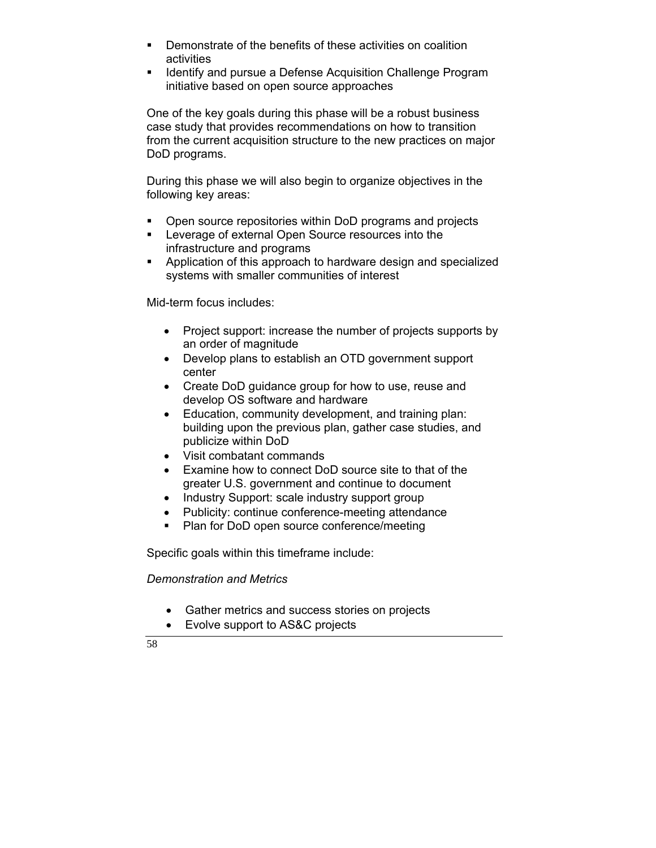- Demonstrate of the benefits of these activities on coalition activities
- **IDED 11** Identify and pursue a Defense Acquisition Challenge Program initiative based on open source approaches

One of the key goals during this phase will be a robust business case study that provides recommendations on how to transition from the current acquisition structure to the new practices on major DoD programs.

During this phase we will also begin to organize objectives in the following key areas:

- Open source repositories within DoD programs and projects
- **EXEC** Leverage of external Open Source resources into the infrastructure and programs
- **Application of this approach to hardware design and specialized** systems with smaller communities of interest

Mid-term focus includes:

- Project support: increase the number of projects supports by an order of magnitude
- Develop plans to establish an OTD government support center
- Create DoD guidance group for how to use, reuse and develop OS software and hardware
- Education, community development, and training plan: building upon the previous plan, gather case studies, and publicize within DoD
- Visit combatant commands
- Examine how to connect DoD source site to that of the greater U.S. government and continue to document
- Industry Support: scale industry support group
- Publicity: continue conference-meeting attendance
- **Plan for DoD open source conference/meeting**

Specific goals within this timeframe include:

*Demonstration and Metrics* 

- Gather metrics and success stories on projects
- Evolve support to AS&C projects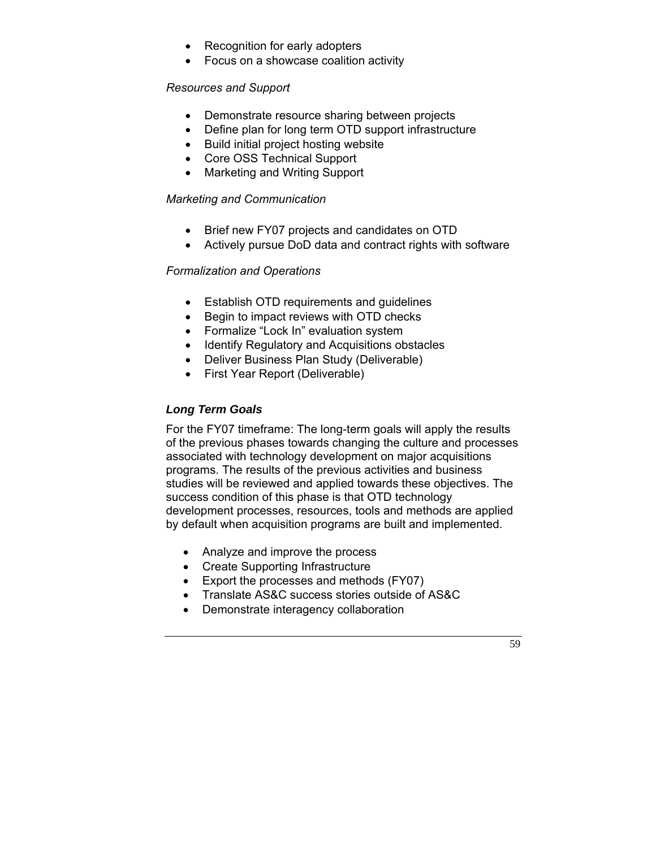- Recognition for early adopters
- Focus on a showcase coalition activity

#### *Resources and Support*

- Demonstrate resource sharing between projects
- Define plan for long term OTD support infrastructure
- Build initial project hosting website
- Core OSS Technical Support
- Marketing and Writing Support

#### *Marketing and Communication*

- Brief new FY07 projects and candidates on OTD
- Actively pursue DoD data and contract rights with software

#### *Formalization and Operations*

- Establish OTD requirements and guidelines
- Begin to impact reviews with OTD checks
- Formalize "Lock In" evaluation system
- Identify Regulatory and Acquisitions obstacles
- Deliver Business Plan Study (Deliverable)
- First Year Report (Deliverable)

#### *Long Term Goals*

For the FY07 timeframe: The long-term goals will apply the results of the previous phases towards changing the culture and processes associated with technology development on major acquisitions programs. The results of the previous activities and business studies will be reviewed and applied towards these objectives. The success condition of this phase is that OTD technology development processes, resources, tools and methods are applied by default when acquisition programs are built and implemented.

- Analyze and improve the process
- Create Supporting Infrastructure
- Export the processes and methods (FY07)
- Translate AS&C success stories outside of AS&C
- Demonstrate interagency collaboration

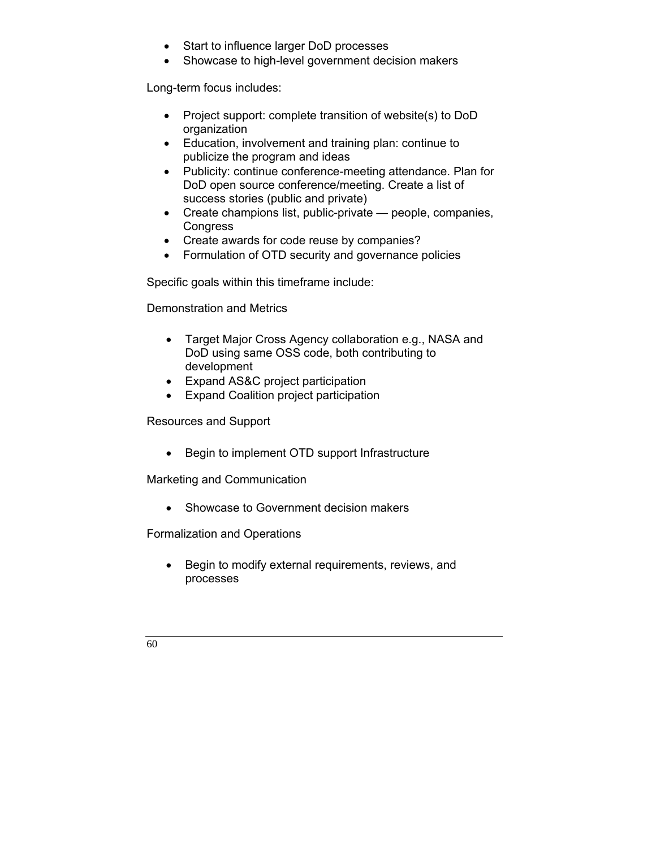- Start to influence larger DoD processes
- Showcase to high-level government decision makers

Long-term focus includes:

- Project support: complete transition of website(s) to DoD organization
- Education, involvement and training plan: continue to publicize the program and ideas
- Publicity: continue conference-meeting attendance. Plan for DoD open source conference/meeting. Create a list of success stories (public and private)
- Create champions list, public-private people, companies, **Congress**
- Create awards for code reuse by companies?
- Formulation of OTD security and governance policies

Specific goals within this timeframe include:

Demonstration and Metrics

- Target Major Cross Agency collaboration e.g., NASA and DoD using same OSS code, both contributing to development
- Expand AS&C project participation
- Expand Coalition project participation

Resources and Support

• Begin to implement OTD support Infrastructure

Marketing and Communication

• Showcase to Government decision makers

Formalization and Operations

• Begin to modify external requirements, reviews, and processes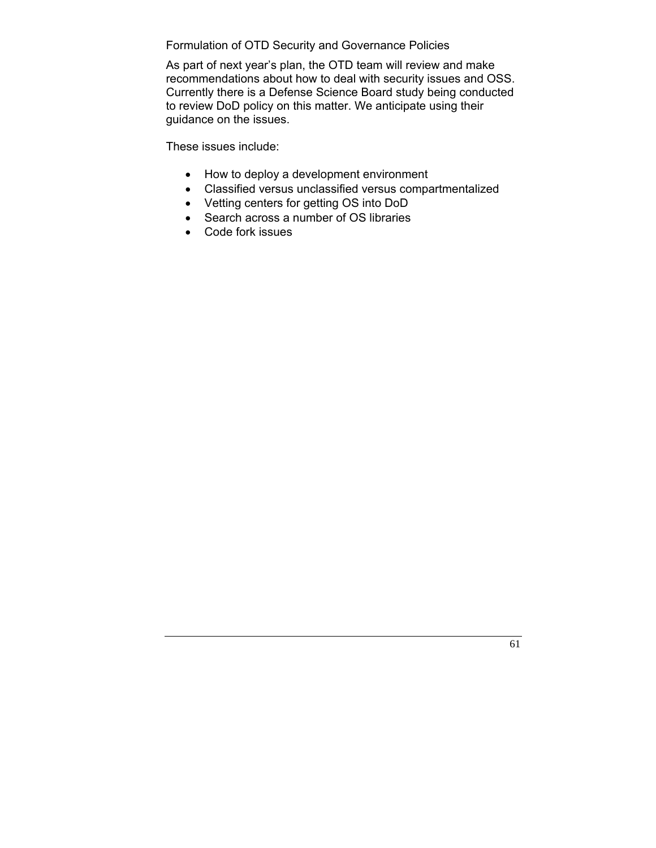Formulation of OTD Security and Governance Policies

As part of next year's plan, the OTD team will review and make recommendations about how to deal with security issues and OSS. Currently there is a Defense Science Board study being conducted to review DoD policy on this matter. We anticipate using their guidance on the issues.

These issues include:

- How to deploy a development environment
- Classified versus unclassified versus compartmentalized
- Vetting centers for getting OS into DoD
- Search across a number of OS libraries
- Code fork issues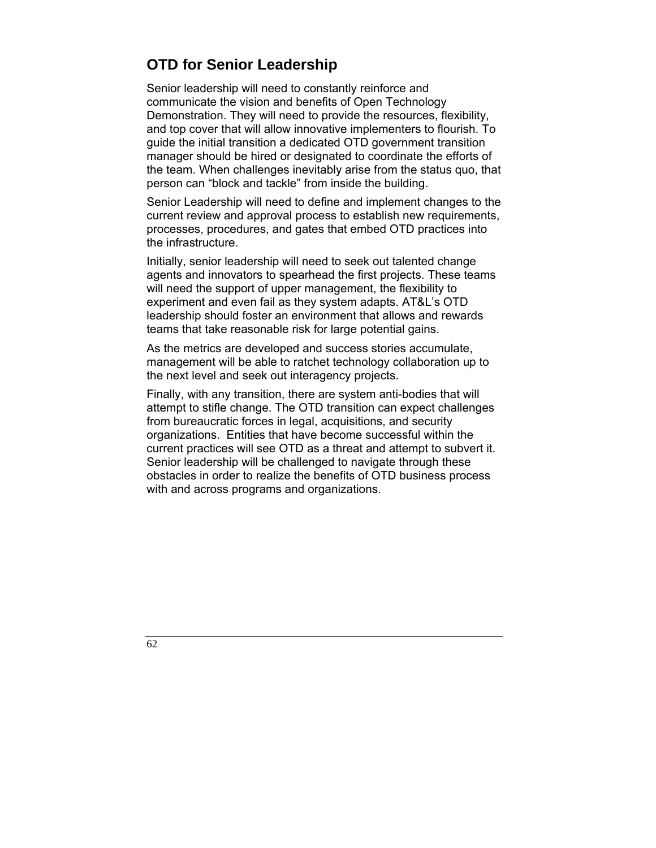# **OTD for Senior Leadership**

Senior leadership will need to constantly reinforce and communicate the vision and benefits of Open Technology Demonstration. They will need to provide the resources, flexibility, and top cover that will allow innovative implementers to flourish. To guide the initial transition a dedicated OTD government transition manager should be hired or designated to coordinate the efforts of the team. When challenges inevitably arise from the status quo, that person can "block and tackle" from inside the building.

Senior Leadership will need to define and implement changes to the current review and approval process to establish new requirements, processes, procedures, and gates that embed OTD practices into the infrastructure.

Initially, senior leadership will need to seek out talented change agents and innovators to spearhead the first projects. These teams will need the support of upper management, the flexibility to experiment and even fail as they system adapts. AT&L's OTD leadership should foster an environment that allows and rewards teams that take reasonable risk for large potential gains.

As the metrics are developed and success stories accumulate, management will be able to ratchet technology collaboration up to the next level and seek out interagency projects.

Finally, with any transition, there are system anti-bodies that will attempt to stifle change. The OTD transition can expect challenges from bureaucratic forces in legal, acquisitions, and security organizations. Entities that have become successful within the current practices will see OTD as a threat and attempt to subvert it. Senior leadership will be challenged to navigate through these obstacles in order to realize the benefits of OTD business process with and across programs and organizations.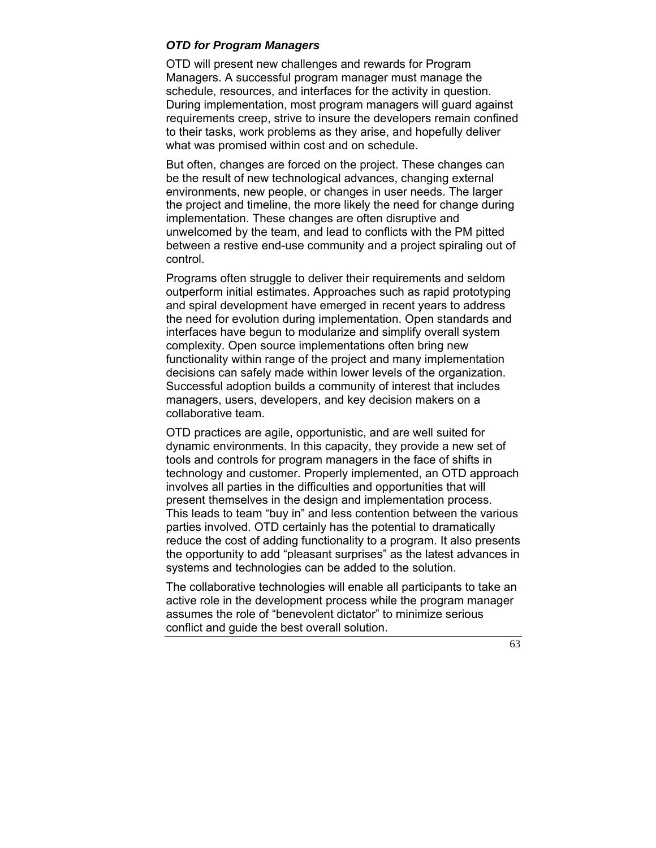#### *OTD for Program Managers*

OTD will present new challenges and rewards for Program Managers. A successful program manager must manage the schedule, resources, and interfaces for the activity in question. During implementation, most program managers will guard against requirements creep, strive to insure the developers remain confined to their tasks, work problems as they arise, and hopefully deliver what was promised within cost and on schedule.

But often, changes are forced on the project. These changes can be the result of new technological advances, changing external environments, new people, or changes in user needs. The larger the project and timeline, the more likely the need for change during implementation. These changes are often disruptive and unwelcomed by the team, and lead to conflicts with the PM pitted between a restive end-use community and a project spiraling out of control.

Programs often struggle to deliver their requirements and seldom outperform initial estimates. Approaches such as rapid prototyping and spiral development have emerged in recent years to address the need for evolution during implementation. Open standards and interfaces have begun to modularize and simplify overall system complexity. Open source implementations often bring new functionality within range of the project and many implementation decisions can safely made within lower levels of the organization. Successful adoption builds a community of interest that includes managers, users, developers, and key decision makers on a collaborative team.

OTD practices are agile, opportunistic, and are well suited for dynamic environments. In this capacity, they provide a new set of tools and controls for program managers in the face of shifts in technology and customer. Properly implemented, an OTD approach involves all parties in the difficulties and opportunities that will present themselves in the design and implementation process. This leads to team "buy in" and less contention between the various parties involved. OTD certainly has the potential to dramatically reduce the cost of adding functionality to a program. It also presents the opportunity to add "pleasant surprises" as the latest advances in systems and technologies can be added to the solution.

The collaborative technologies will enable all participants to take an active role in the development process while the program manager assumes the role of "benevolent dictator" to minimize serious conflict and guide the best overall solution.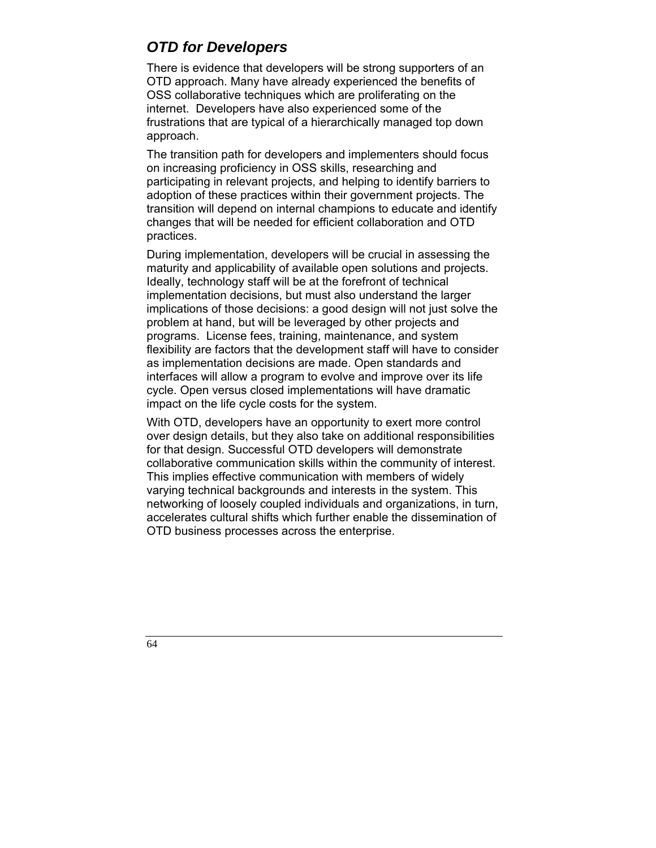# *OTD for Developers*

There is evidence that developers will be strong supporters of an OTD approach. Many have already experienced the benefits of OSS collaborative techniques which are proliferating on the internet. Developers have also experienced some of the frustrations that are typical of a hierarchically managed top down approach.

The transition path for developers and implementers should focus on increasing proficiency in OSS skills, researching and participating in relevant projects, and helping to identify barriers to adoption of these practices within their government projects. The transition will depend on internal champions to educate and identify changes that will be needed for efficient collaboration and OTD practices.

During implementation, developers will be crucial in assessing the maturity and applicability of available open solutions and projects. Ideally, technology staff will be at the forefront of technical implementation decisions, but must also understand the larger implications of those decisions: a good design will not just solve the problem at hand, but will be leveraged by other projects and programs. License fees, training, maintenance, and system flexibility are factors that the development staff will have to consider as implementation decisions are made. Open standards and interfaces will allow a program to evolve and improve over its life cycle. Open versus closed implementations will have dramatic impact on the life cycle costs for the system.

With OTD, developers have an opportunity to exert more control over design details, but they also take on additional responsibilities for that design. Successful OTD developers will demonstrate collaborative communication skills within the community of interest. This implies effective communication with members of widely varying technical backgrounds and interests in the system. This networking of loosely coupled individuals and organizations, in turn, accelerates cultural shifts which further enable the dissemination of OTD business processes across the enterprise.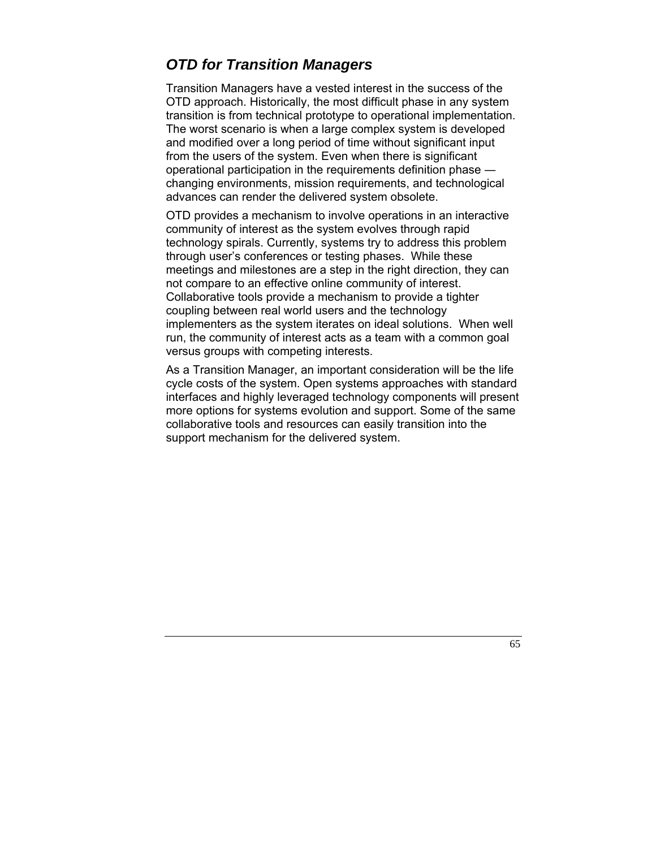# *OTD for Transition Managers*

Transition Managers have a vested interest in the success of the OTD approach. Historically, the most difficult phase in any system transition is from technical prototype to operational implementation. The worst scenario is when a large complex system is developed and modified over a long period of time without significant input from the users of the system. Even when there is significant operational participation in the requirements definition phase ― changing environments, mission requirements, and technological advances can render the delivered system obsolete.

OTD provides a mechanism to involve operations in an interactive community of interest as the system evolves through rapid technology spirals. Currently, systems try to address this problem through user's conferences or testing phases. While these meetings and milestones are a step in the right direction, they can not compare to an effective online community of interest. Collaborative tools provide a mechanism to provide a tighter coupling between real world users and the technology implementers as the system iterates on ideal solutions. When well run, the community of interest acts as a team with a common goal versus groups with competing interests.

As a Transition Manager, an important consideration will be the life cycle costs of the system. Open systems approaches with standard interfaces and highly leveraged technology components will present more options for systems evolution and support. Some of the same collaborative tools and resources can easily transition into the support mechanism for the delivered system.

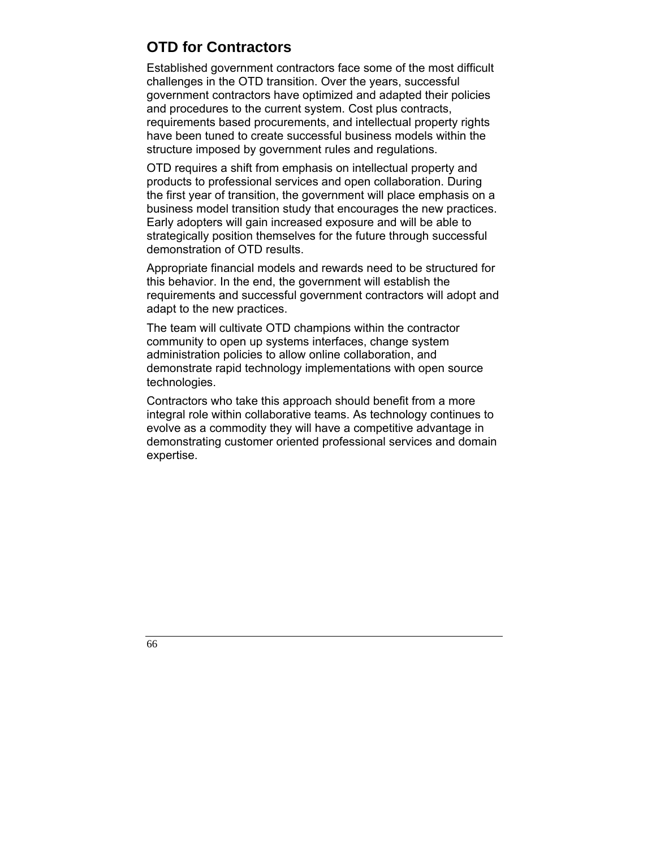# **OTD for Contractors**

Established government contractors face some of the most difficult challenges in the OTD transition. Over the years, successful government contractors have optimized and adapted their policies and procedures to the current system. Cost plus contracts, requirements based procurements, and intellectual property rights have been tuned to create successful business models within the structure imposed by government rules and regulations.

OTD requires a shift from emphasis on intellectual property and products to professional services and open collaboration. During the first year of transition, the government will place emphasis on a business model transition study that encourages the new practices. Early adopters will gain increased exposure and will be able to strategically position themselves for the future through successful demonstration of OTD results.

Appropriate financial models and rewards need to be structured for this behavior. In the end, the government will establish the requirements and successful government contractors will adopt and adapt to the new practices.

The team will cultivate OTD champions within the contractor community to open up systems interfaces, change system administration policies to allow online collaboration, and demonstrate rapid technology implementations with open source technologies.

Contractors who take this approach should benefit from a more integral role within collaborative teams. As technology continues to evolve as a commodity they will have a competitive advantage in demonstrating customer oriented professional services and domain expertise.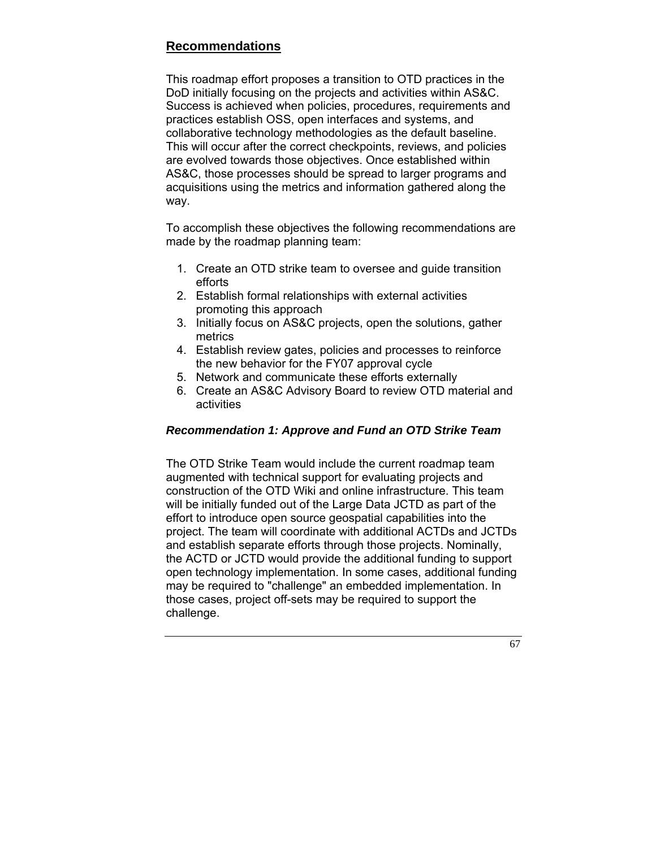## **Recommendations**

This roadmap effort proposes a transition to OTD practices in the DoD initially focusing on the projects and activities within AS&C. Success is achieved when policies, procedures, requirements and practices establish OSS, open interfaces and systems, and collaborative technology methodologies as the default baseline. This will occur after the correct checkpoints, reviews, and policies are evolved towards those objectives. Once established within AS&C, those processes should be spread to larger programs and acquisitions using the metrics and information gathered along the way.

To accomplish these objectives the following recommendations are made by the roadmap planning team:

- 1. Create an OTD strike team to oversee and guide transition efforts
- 2. Establish formal relationships with external activities promoting this approach
- 3. Initially focus on AS&C projects, open the solutions, gather metrics
- 4. Establish review gates, policies and processes to reinforce the new behavior for the FY07 approval cycle
- 5. Network and communicate these efforts externally
- 6. Create an AS&C Advisory Board to review OTD material and activities

## *Recommendation 1: Approve and Fund an OTD Strike Team*

The OTD Strike Team would include the current roadmap team augmented with technical support for evaluating projects and construction of the OTD Wiki and online infrastructure. This team will be initially funded out of the Large Data JCTD as part of the effort to introduce open source geospatial capabilities into the project. The team will coordinate with additional ACTDs and JCTDs and establish separate efforts through those projects. Nominally, the ACTD or JCTD would provide the additional funding to support open technology implementation. In some cases, additional funding may be required to "challenge" an embedded implementation. In those cases, project off-sets may be required to support the challenge.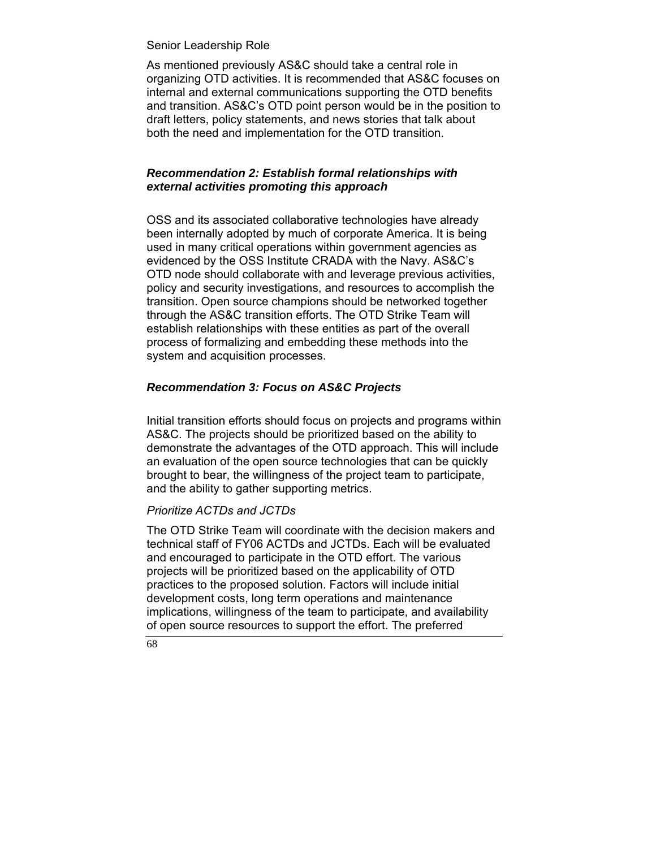#### Senior Leadership Role

As mentioned previously AS&C should take a central role in organizing OTD activities. It is recommended that AS&C focuses on internal and external communications supporting the OTD benefits and transition. AS&C's OTD point person would be in the position to draft letters, policy statements, and news stories that talk about both the need and implementation for the OTD transition.

#### *Recommendation 2: Establish formal relationships with external activities promoting this approach*

OSS and its associated collaborative technologies have already been internally adopted by much of corporate America. It is being used in many critical operations within government agencies as evidenced by the OSS Institute CRADA with the Navy. AS&C's OTD node should collaborate with and leverage previous activities, policy and security investigations, and resources to accomplish the transition. Open source champions should be networked together through the AS&C transition efforts. The OTD Strike Team will establish relationships with these entities as part of the overall process of formalizing and embedding these methods into the system and acquisition processes.

#### *Recommendation 3: Focus on AS&C Projects*

Initial transition efforts should focus on projects and programs within AS&C. The projects should be prioritized based on the ability to demonstrate the advantages of the OTD approach. This will include an evaluation of the open source technologies that can be quickly brought to bear, the willingness of the project team to participate, and the ability to gather supporting metrics.

#### *Prioritize ACTDs and JCTDs*

The OTD Strike Team will coordinate with the decision makers and technical staff of FY06 ACTDs and JCTDs. Each will be evaluated and encouraged to participate in the OTD effort. The various projects will be prioritized based on the applicability of OTD practices to the proposed solution. Factors will include initial development costs, long term operations and maintenance implications, willingness of the team to participate, and availability of open source resources to support the effort. The preferred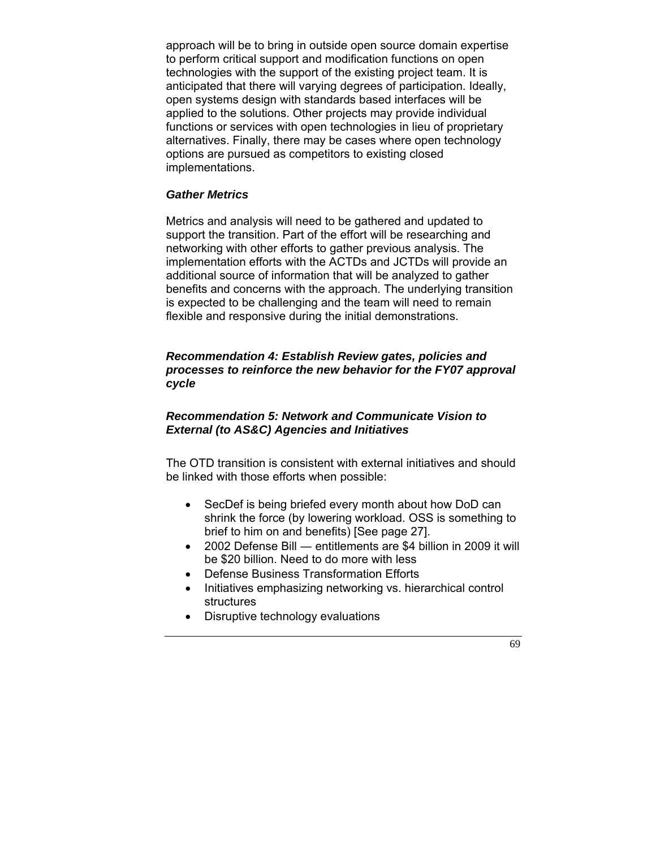approach will be to bring in outside open source domain expertise to perform critical support and modification functions on open technologies with the support of the existing project team. It is anticipated that there will varying degrees of participation. Ideally, open systems design with standards based interfaces will be applied to the solutions. Other projects may provide individual functions or services with open technologies in lieu of proprietary alternatives. Finally, there may be cases where open technology options are pursued as competitors to existing closed implementations.

#### *Gather Metrics*

Metrics and analysis will need to be gathered and updated to support the transition. Part of the effort will be researching and networking with other efforts to gather previous analysis. The implementation efforts with the ACTDs and JCTDs will provide an additional source of information that will be analyzed to gather benefits and concerns with the approach. The underlying transition is expected to be challenging and the team will need to remain flexible and responsive during the initial demonstrations.

#### *Recommendation 4: Establish Review gates, policies and processes to reinforce the new behavior for the FY07 approval cycle*

#### *Recommendation 5: Network and Communicate Vision to External (to AS&C) Agencies and Initiatives*

The OTD transition is consistent with external initiatives and should be linked with those efforts when possible:

- SecDef is being briefed every month about how DoD can shrink the force (by lowering workload. OSS is something to brief to him on and benefits) [See page 27].
- 2002 Defense Bill entitlements are \$4 billion in 2009 it will be \$20 billion. Need to do more with less
- Defense Business Transformation Efforts
- Initiatives emphasizing networking vs. hierarchical control structures
- Disruptive technology evaluations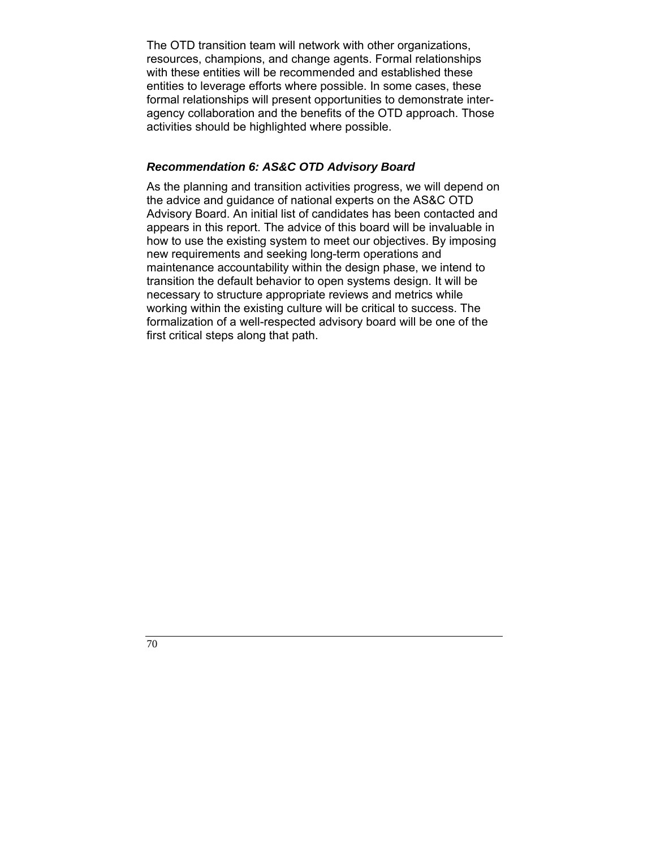The OTD transition team will network with other organizations, resources, champions, and change agents. Formal relationships with these entities will be recommended and established these entities to leverage efforts where possible. In some cases, these formal relationships will present opportunities to demonstrate interagency collaboration and the benefits of the OTD approach. Those activities should be highlighted where possible.

#### *Recommendation 6: AS&C OTD Advisory Board*

As the planning and transition activities progress, we will depend on the advice and guidance of national experts on the AS&C OTD Advisory Board. An initial list of candidates has been contacted and appears in this report. The advice of this board will be invaluable in how to use the existing system to meet our objectives. By imposing new requirements and seeking long-term operations and maintenance accountability within the design phase, we intend to transition the default behavior to open systems design. It will be necessary to structure appropriate reviews and metrics while working within the existing culture will be critical to success. The formalization of a well-respected advisory board will be one of the first critical steps along that path.

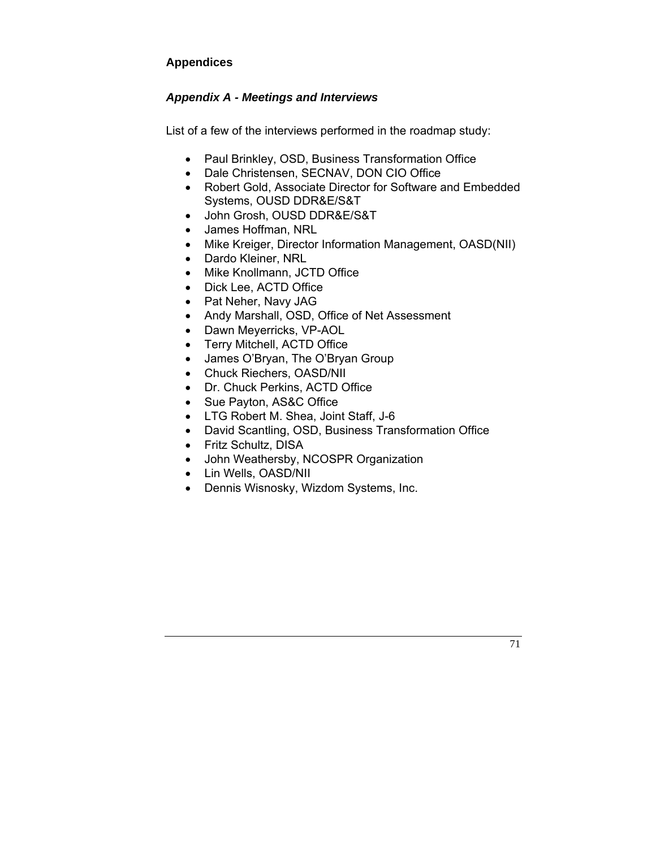## **Appendices**

## *Appendix A - Meetings and Interviews*

List of a few of the interviews performed in the roadmap study:

- Paul Brinkley, OSD, Business Transformation Office
- Dale Christensen, SECNAV, DON CIO Office
- Robert Gold, Associate Director for Software and Embedded Systems, OUSD DDR&E/S&T
- John Grosh, OUSD DDR&E/S&T
- James Hoffman, NRL
- Mike Kreiger, Director Information Management, OASD(NII)
- Dardo Kleiner, NRL
- Mike Knollmann, JCTD Office
- Dick Lee, ACTD Office
- Pat Neher, Navy JAG
- Andy Marshall, OSD, Office of Net Assessment
- Dawn Meyerricks, VP-AOL
- Terry Mitchell, ACTD Office
- James O'Bryan, The O'Bryan Group
- Chuck Riechers, OASD/NII
- Dr. Chuck Perkins, ACTD Office
- Sue Payton, AS&C Office
- LTG Robert M. Shea, Joint Staff, J-6
- David Scantling, OSD, Business Transformation Office
- Fritz Schultz, DISA
- John Weathersby, NCOSPR Organization
- Lin Wells, OASD/NII
- Dennis Wisnosky, Wizdom Systems, Inc.

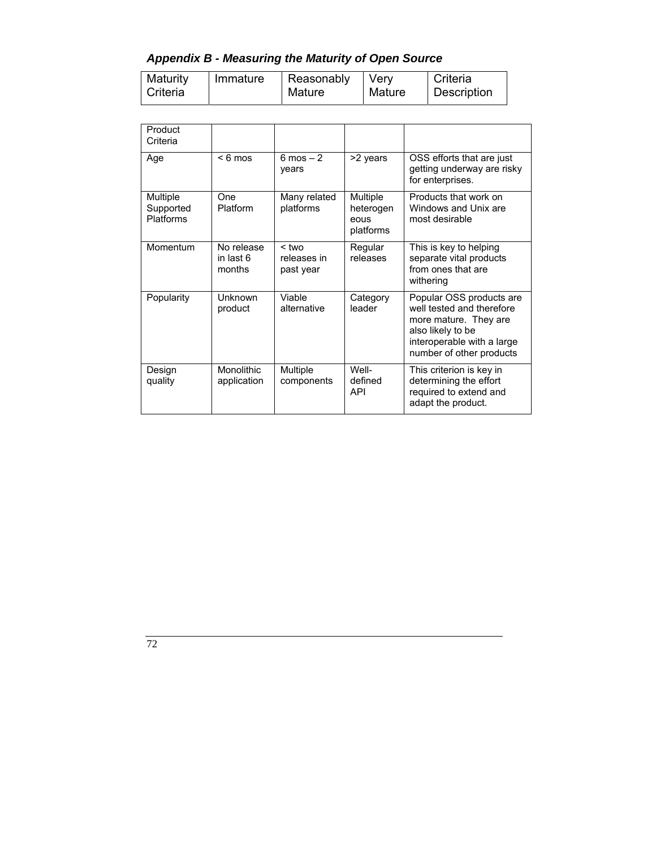*Appendix B - Measuring the Maturity of Open Source* 

| Maturity | Immature | Reasonably | Verv   | Criteria    |
|----------|----------|------------|--------|-------------|
| Criteria |          | Mature     | Mature | Description |

| Product<br>Criteria                |                                   |                                     |                                            |                                                                                                                                                               |  |  |  |  |  |
|------------------------------------|-----------------------------------|-------------------------------------|--------------------------------------------|---------------------------------------------------------------------------------------------------------------------------------------------------------------|--|--|--|--|--|
| Age                                | $< 6$ mos                         | $6 \text{ mos} - 2$<br>years        | >2 years                                   | OSS efforts that are just<br>getting underway are risky<br>for enterprises.                                                                                   |  |  |  |  |  |
| Multiple<br>Supported<br>Platforms | One<br>Platform                   | Many related<br>platforms           | Multiple<br>heterogen<br>eous<br>platforms | Products that work on<br>Windows and Unix are<br>most desirable                                                                                               |  |  |  |  |  |
| Momentum                           | No release<br>in last 6<br>months | $<$ two<br>releases in<br>past year | Regular<br>releases                        | This is key to helping<br>separate vital products<br>from ones that are<br>withering                                                                          |  |  |  |  |  |
| Popularity                         | <b>Unknown</b><br>product         | Viable<br>alternative               | Category<br>leader                         | Popular OSS products are<br>well tested and therefore<br>more mature. They are<br>also likely to be<br>interoperable with a large<br>number of other products |  |  |  |  |  |
| Design<br>quality                  | Monolithic<br>application         | Multiple<br>components              | Well-<br>defined<br>API                    | This criterion is key in<br>determining the effort<br>required to extend and<br>adapt the product.                                                            |  |  |  |  |  |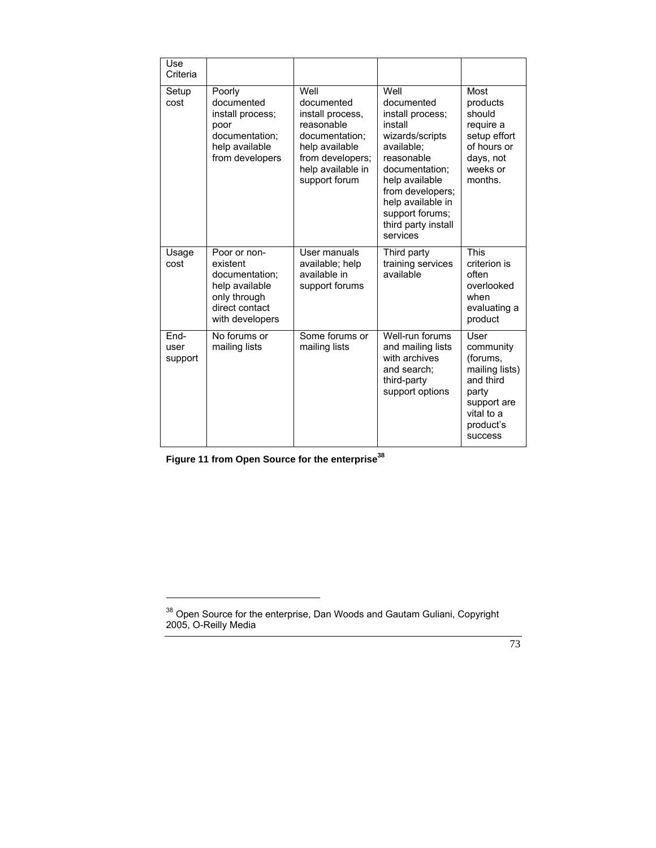| Use<br>Criteria         |                                                                                                                   |                                                                                                                                                    |                                                                                                                                                                                                                                     |                                                                                                                            |
|-------------------------|-------------------------------------------------------------------------------------------------------------------|----------------------------------------------------------------------------------------------------------------------------------------------------|-------------------------------------------------------------------------------------------------------------------------------------------------------------------------------------------------------------------------------------|----------------------------------------------------------------------------------------------------------------------------|
| Setup<br>cost           | Poorly<br>documented<br>install process;<br>poor<br>documentation;<br>help available<br>from developers           | Well<br>documented<br>install process,<br>reasonable<br>documentation;<br>help available<br>from developers;<br>help available in<br>support forum | Well<br>documented<br>install process;<br>install<br>wizards/scripts<br>available;<br>reasonable<br>documentation;<br>help available<br>from developers;<br>help available in<br>support forums;<br>third party install<br>services | Most<br>products<br>should<br>require a<br>setup effort<br>of hours or<br>days, not<br>weeks or<br>months.                 |
| Usage<br>cost           | Poor or non-<br>existent<br>documentation;<br>help available<br>only through<br>direct contact<br>with developers | User manuals<br>available; help<br>available in<br>support forums                                                                                  | Third party<br>training services<br>available                                                                                                                                                                                       | <b>This</b><br>criterion is<br>often<br>overlooked<br>when<br>evaluating a<br>product                                      |
| End-<br>user<br>support | No forums or<br>mailing lists                                                                                     | Some forums or<br>mailing lists                                                                                                                    | Well-run forums<br>and mailing lists<br>with archives<br>and search:<br>third-party<br>support options                                                                                                                              | User<br>community<br>(forums,<br>mailing lists)<br>and third<br>party<br>support are<br>vital to a<br>product's<br>success |

Figure 11 from Open Source for the enterprise<sup>38</sup>

 $38$  Open Source for the enterprise, Dan Woods and Gautam Guliani, Copyright 2005, O-Reilly Media

 <sup>73</sup>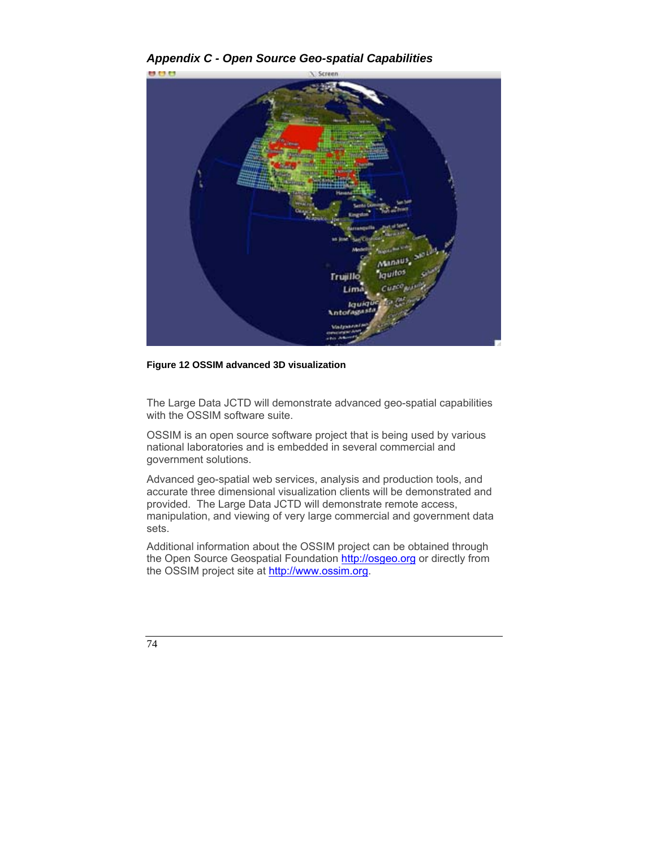*Appendix C - Open Source Geo-spatial Capabilities* 



**Figure 12 OSSIM advanced 3D visualization**

The Large Data JCTD will demonstrate advanced geo-spatial capabilities with the OSSIM software suite.

OSSIM is an open source software project that is being used by various national laboratories and is embedded in several commercial and government solutions.

Advanced geo-spatial web services, analysis and production tools, and accurate three dimensional visualization clients will be demonstrated and provided. The Large Data JCTD will demonstrate remote access, manipulation, and viewing of very large commercial and government data sets.

Additional information about the OSSIM project can be obtained through the Open Source Geospatial Foundation http://osgeo.org or directly from the OSSIM project site at http://www.ossim.org.

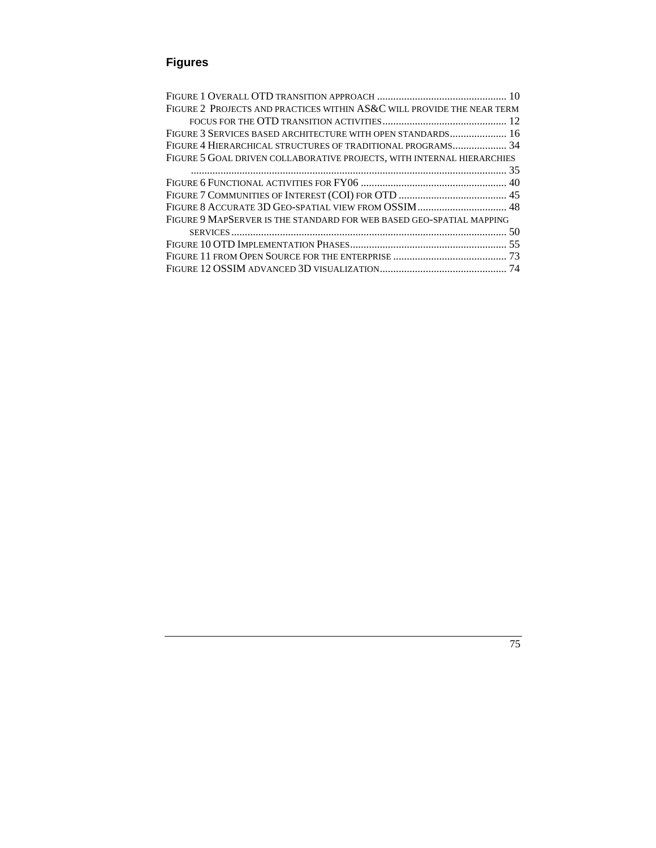# **Figures**

| FIGURE 2 PROJECTS AND PRACTICES WITHIN AS&C WILL PROVIDE THE NEAR TERM |  |  |  |
|------------------------------------------------------------------------|--|--|--|
|                                                                        |  |  |  |
|                                                                        |  |  |  |
|                                                                        |  |  |  |
| FIGURE 5 GOAL DRIVEN COLLABORATIVE PROJECTS, WITH INTERNAL HIERARCHIES |  |  |  |
|                                                                        |  |  |  |
|                                                                        |  |  |  |
|                                                                        |  |  |  |
|                                                                        |  |  |  |
| FIGURE 9 MAPSERVER IS THE STANDARD FOR WEB BASED GEO-SPATIAL MAPPING   |  |  |  |
|                                                                        |  |  |  |
|                                                                        |  |  |  |
|                                                                        |  |  |  |
|                                                                        |  |  |  |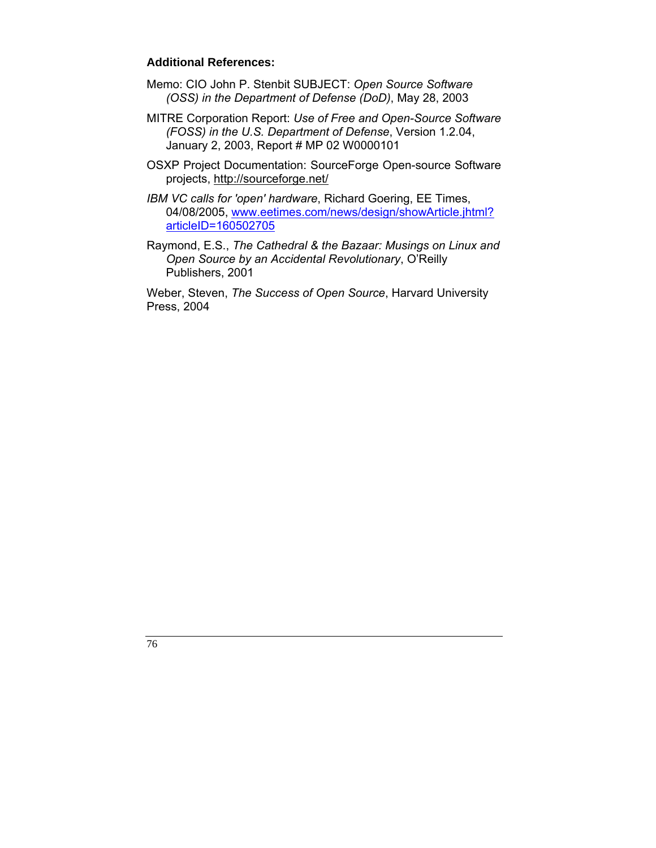## **Additional References:**

- Memo: CIO John P. Stenbit SUBJECT: *Open Source Software (OSS) in the Department of Defense (DoD)*, May 28, 2003
- MITRE Corporation Report: *Use of Free and Open-Source Software (FOSS) in the U.S. Department of Defense*, Version 1.2.04, January 2, 2003, Report # MP 02 W0000101
- OSXP Project Documentation: SourceForge Open-source Software projects, http://sourceforge.net/
- *IBM VC calls for 'open' hardware*, Richard Goering, EE Times, 04/08/2005, www.eetimes.com/news/design/showArticle.jhtml? articleID=160502705
- Raymond, E.S., *The Cathedral & the Bazaar: Musings on Linux and Open Source by an Accidental Revolutionary*, O'Reilly Publishers, 2001

Weber, Steven, *The Success of Open Source*, Harvard University Press, 2004

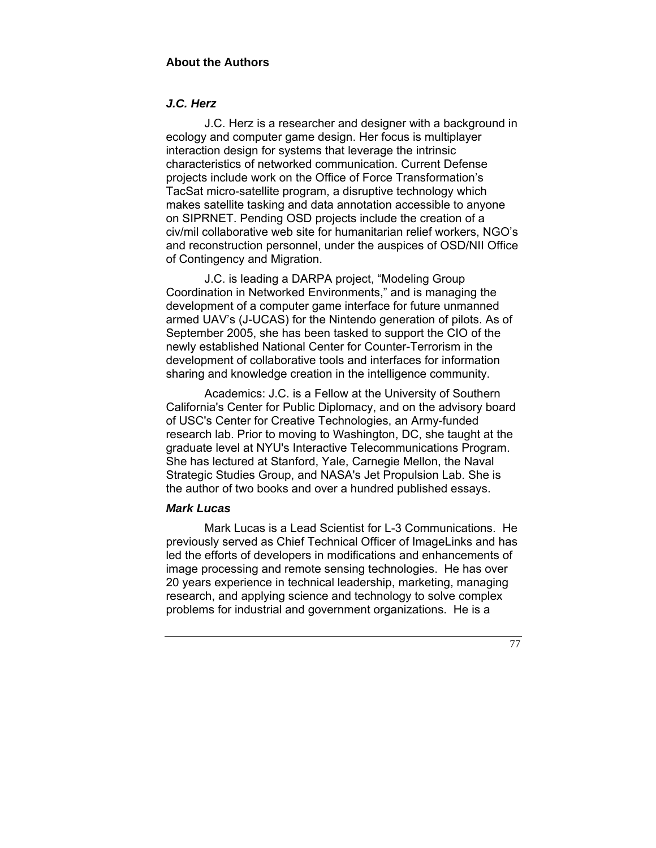# *J.C. Herz*

 J.C. Herz is a researcher and designer with a background in ecology and computer game design. Her focus is multiplayer interaction design for systems that leverage the intrinsic characteristics of networked communication. Current Defense projects include work on the Office of Force Transformation's TacSat micro-satellite program, a disruptive technology which makes satellite tasking and data annotation accessible to anyone on SIPRNET. Pending OSD projects include the creation of a civ/mil collaborative web site for humanitarian relief workers, NGO's and reconstruction personnel, under the auspices of OSD/NII Office of Contingency and Migration.

 J.C. is leading a DARPA project, "Modeling Group Coordination in Networked Environments," and is managing the development of a computer game interface for future unmanned armed UAV's (J-UCAS) for the Nintendo generation of pilots. As of September 2005, she has been tasked to support the CIO of the newly established National Center for Counter-Terrorism in the development of collaborative tools and interfaces for information sharing and knowledge creation in the intelligence community.

 Academics: J.C. is a Fellow at the University of Southern California's Center for Public Diplomacy, and on the advisory board of USC's Center for Creative Technologies, an Army-funded research lab. Prior to moving to Washington, DC, she taught at the graduate level at NYU's Interactive Telecommunications Program. She has lectured at Stanford, Yale, Carnegie Mellon, the Naval Strategic Studies Group, and NASA's Jet Propulsion Lab. She is the author of two books and over a hundred published essays.

#### *Mark Lucas*

 Mark Lucas is a Lead Scientist for L-3 Communications. He previously served as Chief Technical Officer of ImageLinks and has led the efforts of developers in modifications and enhancements of image processing and remote sensing technologies. He has over 20 years experience in technical leadership, marketing, managing research, and applying science and technology to solve complex problems for industrial and government organizations. He is a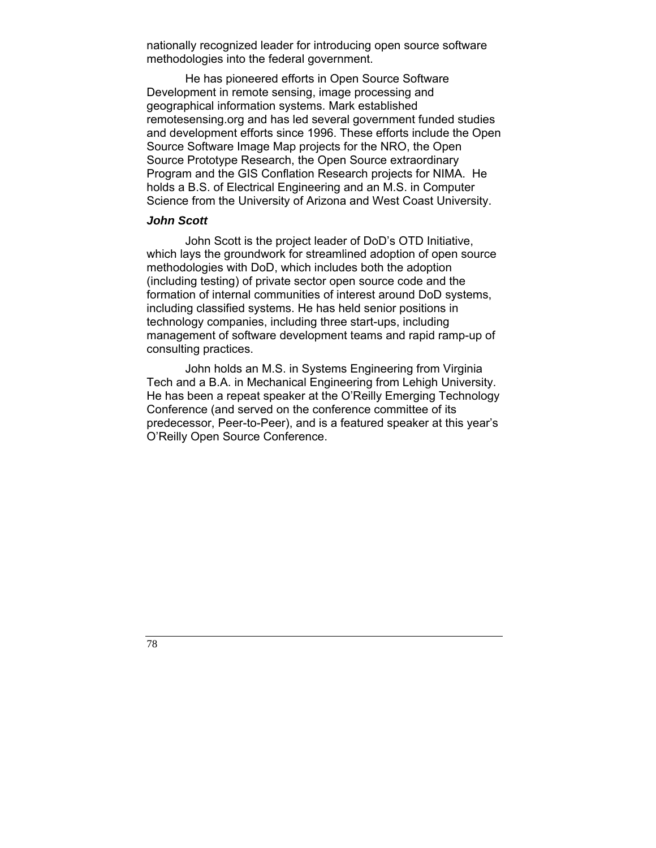nationally recognized leader for introducing open source software methodologies into the federal government.

 He has pioneered efforts in Open Source Software Development in remote sensing, image processing and geographical information systems. Mark established remotesensing.org and has led several government funded studies and development efforts since 1996. These efforts include the Open Source Software Image Map projects for the NRO, the Open Source Prototype Research, the Open Source extraordinary Program and the GIS Conflation Research projects for NIMA. He holds a B.S. of Electrical Engineering and an M.S. in Computer Science from the University of Arizona and West Coast University.

## *John Scott*

John Scott is the project leader of DoD's OTD Initiative, which lays the groundwork for streamlined adoption of open source methodologies with DoD, which includes both the adoption (including testing) of private sector open source code and the formation of internal communities of interest around DoD systems, including classified systems. He has held senior positions in technology companies, including three start-ups, including management of software development teams and rapid ramp-up of consulting practices.

John holds an M.S. in Systems Engineering from Virginia Tech and a B.A. in Mechanical Engineering from Lehigh University. He has been a repeat speaker at the O'Reilly Emerging Technology Conference (and served on the conference committee of its predecessor, Peer-to-Peer), and is a featured speaker at this year's O'Reilly Open Source Conference.